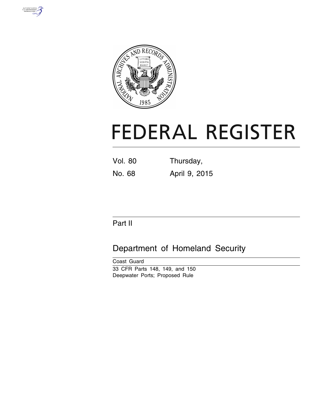



# **FEDERAL REGISTER**

Vol. 80 Thursday, No. 68 April 9, 2015

Part II

Department of Homeland Security

Coast Guard 33 CFR Parts 148, 149, and 150 Deepwater Ports; Proposed Rule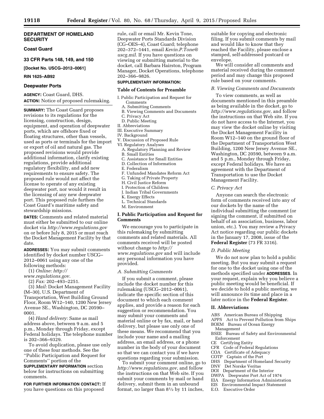## **DEPARTMENT OF HOMELAND SECURITY**

## **Coast Guard**

**33 CFR Parts 148, 149, and 150** 

# **[Docket No. USCG–2012–0061]**

**RIN 1625–AB92** 

#### **Deepwater Ports**

**AGENCY:** Coast Guard, DHS. **ACTION:** Notice of proposed rulemaking.

**SUMMARY:** The Coast Guard proposes revisions to its regulations for the licensing, construction, design, equipment, and operation of deepwater ports, which are offshore fixed or floating structures, other than vessels, used as ports or terminals for the import or export of oil and natural gas. The proposed revisions would provide additional information, clarify existing regulations, provide additional regulatory flexibility, and add new requirements to ensure safety. The proposed rule would not affect the license to operate of any existing deepwater port, nor would it result in the licensing of any new deepwater port. This proposed rule furthers the Coast Guard's maritime safety and stewardship missions.

**DATES:** Comments and related material must either be submitted to our online docket via *<http://www.regulations.gov>*  on or before July 8, 2015 or must reach the Docket Management Facility by that date.

**ADDRESSES:** You may submit comments identified by docket number USCG– 2012–0061 using any one of the following methods:

(1) *Online: [http://](http://www.regulations.gov)*

*[www.regulations.gov.](http://www.regulations.gov)* 

(2) *Fax:* 202–493–2251.

(3) *Mail:* Docket Management Facility (M–30), U.S. Department of Transportation, West Building Ground Floor, Room W12–140, 1200 New Jersey Avenue SE., Washington, DC 20590– 0001.

(4) *Hand delivery:* Same as mail address above, between 9 a.m. and 5 p.m., Monday through Friday, except Federal holidays. The telephone number is 202–366–9329.

To avoid duplication, please use only one of these four methods. See the ''Public Participation and Request for Comments'' portion of the

**SUPPLEMENTARY INFORMATION** section below for instructions on submitting comments.

**FOR FURTHER INFORMATION CONTACT:** If you have questions on this proposed

rule, call or email Mr. Kevin Tone, Deepwater Ports Standards Division (CG–OES–4), Coast Guard; telephone 202–372–1441, email *[Kevin.P.Tone@](mailto:Kevin.P.Tone@uscg.mil) [uscg.mil.](mailto:Kevin.P.Tone@uscg.mil)* If you have questions on viewing or submitting material to the docket, call Barbara Hairston, Program Manager, Docket Operations, telephone 202–366–9826.

## **SUPPLEMENTARY INFORMATION:**

#### **Table of Contents for Preamble**

I. Public Participation and Request for Comments

- A. Submitting Comments
- B. Viewing Comments and Documents
- C. Privacy Act
- D. Public Meeting
- II. Abbreviations
- III. Executive Summary
- IV. Background
- V. Discussion of Proposed Rule
- VI. Regulatory Analyses
- A. Regulatory Planning and Review
- B. Small Entities
- C. Assistance for Small Entities
- D. Collection of Information
- E. Federalism
- F. Unfunded Mandates Reform Act
- G. Taking of Private Property
- H. Civil Justice Reform
- I. Protection of Children
- J. Indian Tribal Governments
- K. Energy Effects
- L. Technical Standards
- M. Environment

## **I. Public Participation and Request for Comments**

We encourage you to participate in this rulemaking by submitting comments and related materials. All comments received will be posted without change to *[http://](http://www.regulations.gov) [www.regulations.gov](http://www.regulations.gov)* and will include any personal information you have provided.

#### *A. Submitting Comments*

If you submit a comment, please include the docket number for this rulemaking (USCG–2012–0061), indicate the specific section of this document to which each comment applies, and provide a reason for each suggestion or recommendation. You may submit your comments and material online or by fax, mail, or hand delivery, but please use only one of these means. We recommend that you include your name and a mailing address, an email address, or a phone number in the body of your document so that we can contact you if we have questions regarding your submission.

To submit your comment online, go to *[http://www.regulations.gov,](http://www.regulations.gov)* and follow the instructions on that Web site. If you submit your comments by mail or hand delivery, submit them in an unbound format, no larger than  $8\frac{1}{2}$  by 11 inches,

suitable for copying and electronic filing. If you submit comments by mail and would like to know that they reached the Facility, please enclose a stamped, self-addressed postcard or envelope.

We will consider all comments and material received during the comment period and may change this proposed rule based on your comments.

#### *B. Viewing Comments and Documents*

To view comments, as well as documents mentioned in this preamble as being available in the docket, go to *[http://www.regulations.gov,](http://www.regulations.gov)* and follow the instructions on that Web site. If you do not have access to the Internet, you may view the docket online by visiting the Docket Management Facility in Room W12–140 on the ground floor of the Department of Transportation West Building, 1200 New Jersey Avenue SE., Washington, DC 20590, between 9 a.m. and 5 p.m., Monday through Friday, except Federal holidays. We have an agreement with the Department of Transportation to use the Docket Management Facility.

## *C. Privacy Act*

Anyone can search the electronic form of comments received into any of our dockets by the name of the individual submitting the comment (or signing the comment, if submitted on behalf of an association, business, labor union, etc.). You may review a Privacy Act notice regarding our public dockets in the January 17, 2008, issue of the **Federal Register** (73 FR 3316).

#### *D. Public Meeting*

We do not now plan to hold a public meeting. But you may submit a request for one to the docket using one of the methods specified under **ADDRESSES**. In your request, explain why you believe a public meeting would be beneficial. If we decide to hold a public meeting, we will announce its time and place in a later notice in the **Federal Register**.

## **II. Abbreviations**

- ABS American Bureau of Shipping
- APPS Act to Prevent Pollution from Ships
- BOEM Bureau of Ocean Energy Management
- BSEE Bureau of Safety and Environmental Enforcement
- CE Certifying Entity
- CFR Code of Federal Regulations
- COA Certificate of Adequacy<br>COTP Cantain of the Port
	- Captain of the Port
	- DHS Department of Homeland Security<br>DNV Det Norske Veritas
	- Det Norske Veritas
	- DOI Department of the Interior
	- DWPA Deepwater Port Act of 1974
	- EIA Energy Information Administration
	- EIS Environmental Impact Statement
	- E.O. Executive Order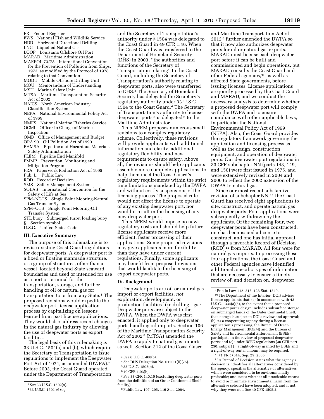- FR Federal Register
- FWS National Fish and Wildlife Service
- HDD Horizontal Directional Drilling
- Liquefied Natural Gas
- LOOP Louisiana Offshore Oil Port
- MARAD Maritime Administration
- MARPOL 73/78 International Convention for the Prevention of Pollution from Ships, 1973, as modified by the Protocol of 1978
- relating to that Convention MODU Mobile Offshore Drilling Unit
- MOU Memorandum of Understanding
- MSU Marine Safety Unit
- MTSA Maritime Transportation Security Act of 2002
- NAICS North American Industry Classification System
- NEPA National Environmental Policy Act of 1969
- NMFS National Marine Fisheries Service
- OCMI Officer in Charge of Marine Inspection
- OMB<sup>-</sup> Office of Management and Budget
- OPA 90 Oil Pollution Act of 1990
- PHMSA Pipeline and Hazardous Materials Safety Administration
- PLEM Pipeline End Manifold
- PMMP Prevention, Monitoring and
- Mitigation Program
- PRA Paperwork Reduction Act of 1995 Pub. L. Public Law
- ROD Record of Decision
- SMS Safety Management System
- SOLAS International Convention for the Safety of Life at Sea
- SPM–NGTS Single Point Mooring-Natural Gas Transfer System
- SPM–OTS Single Point Mooring-Oil Transfer System
- STL buoy Submerged turret loading buoy
- § Section symbol
- U.S.C. United States Code

#### **III. Executive Summary**

The purpose of this rulemaking is to revise existing Coast Guard regulations for deepwater ports. A deepwater port is a fixed or floating manmade structure, or a group of structures, other than a vessel, located beyond State seaward boundaries and used or intended for use as a port or terminal for the transportation, storage, and further handling of oil or natural gas for transportation to or from any State.1 The proposed revisions would expedite the deepwater port license application process by capitalizing on lessons learned from past license applications. They would also address recent changes in the natural gas industry by allowing the use of deepwater ports as export facilities.

The legal basis of this rulemaking is 33 U.S.C. 1504(a) and (b), which require the Secretary of Transportation to issue regulations to implement the Deepwater Port Act of 1974, as amended (DWPA).2 Before 2003, the Coast Guard operated under the Department of Transportation,

and the Secretary of Transportation's authority under § 1504 was delegated to the Coast Guard in 49 CFR 1.46. When the Coast Guard was transferred to the Department of Homeland Security (DHS) in 2003, ''the authorities and functions of the Secretary of Transportation relating'' to the Coast Guard, including the Secretary of Transportation's authority relating to deepwater ports, also were transferred to DHS.3 The Secretary of Homeland Security has delegated the Secretary's regulatory authority under 33 U.S.C. 1504 to the Coast Guard.4 The Secretary of Transportation's authority to license deepwater ports<sup>5</sup> is delegated  $6$  to the Maritime Administrator.

This NPRM proposes numerous small revisions to a complex regulatory scheme. Collectively, these revisions will provide applicants with additional information and clarity, additional regulatory flexibility, and new requirements to ensure safety. Above all, the revisions should help applicants assemble more complete applications, to help them meet the Coast Guard's regulatory requirements within the strict time limitations mandated by the DWPA and without costly suspensions of the licensing process. The proposed rule would not affect the license to operate of any existing deepwater port, nor would it result in the licensing of any new deepwater port.

This NPRM would impose no new regulatory costs and should help future license applicants receive more efficient, faster processing of their applications. Some proposed revisions may give applicants more flexibility than they have under current regulations. Finally, some applicants may benefit from proposed revisions that would facilitate the licensing of export deepwater ports.

#### **IV. Background**

Deepwater ports are oil or natural gas import or export facilities, *not*  exploration, development, or production facilities like drilling rigs.7 Deepwater ports are subject to the DWPA. When the DWPA was first enacted, it applied only to deepwater ports handling oil imports. Section 106 of the Maritime Transportation Security Act of 2002 8 (MTSA) amended the DWPA to apply to natural gas imports as well. Section 312 of the Coast Guard

7*See* 33 CFR 140.10 (excluding deepwater ports from the definition of an Outer Continental Shelf facility).

and Maritime Transportation Act of 2012 9 further amended the DWPA so that it now also authorizes deepwater ports for oil or natural gas exports. MARAD must license each deepwater port before it can be built and commissioned and begin operations, but MARAD consults the Coast Guard and other Federal agencies,10 as well as affected State governments, before issuing licenses. License applications are jointly processed by the Coast Guard and MARAD, and we conduct the necessary analysis to determine whether a proposed deepwater port will comply with the DWPA and to ensure compliance with other applicable laws, in particular the National Environmental Policy Act of 1969 (NEPA). Also, the Coast Guard provides the regulatory framework governing the application and licensing process as well as the design, construction, equipment, and operation of deepwater ports. Our deepwater port regulations in 33 CFR subchapter NN (parts 148, 149, and 150) were first issued in 1975, and were extensively revised in 2004 and 2006 to reflect the 2002 extension of the DWPA to natural gas.

Since our most recent substantive revision of subchapter NN,<sup>11</sup> the Coast Guard has received eight applications to site, construct, and operate natural gas deepwater ports. Four applications were subsequently withdrawn by the applicants. Of the remaining four, two deepwater ports have been constructed, one has been issued a license to construct, and one has initial approval through a favorable Record of Decision (ROD) 12 from MARAD. All four were for natural gas imports. In processing these four applications, the Coast Guard and other Federal agencies have identified additional, specific types of information that are necessary to ensure a timely review of, and decision on, deepwater

12A Record of Decision states what the agency's decision is; identifies all alternatives considered by the agency, specifies the alternative or alternatives which were considered to be environmentally preferable; and states whether all practicable means to avoid or minimize environmental harm from the alternative selected have been adopted, and if not, why they were not. *See* 40 CFR 1505.2.

<sup>1</sup>*See* 33 U.S.C. 1502(9).

<sup>2</sup> 33 U.S.C. 1501 *et seq.* 

<sup>3</sup>*See* 6 U.S.C. 468(b).

<sup>4</sup>*See* DHS Delegation No. 0170.1(II)(75).

<sup>5</sup> 33 U.S.C. 1503(b).

<sup>6</sup> 49 CFR 1.93(h).

<sup>8</sup>Public Law 107–295, 116 Stat. 2064.

<sup>9</sup>Public Law 112–213, 126 Stat. 1540.

<sup>10</sup>The Department of the Interior (DOI) advises license applicants that: (a) In accordance with 43 U.S.C. 1334(a)(5), to the extent that a proposed deepwater port's design includes subsurface storage on submerged lands of the Outer Continetal Shelf, that storage is subject to DOI's review and approval; (b) As a cooperating agency during a license application's processing, the Bureau of Ocean Energy Management (BOEM) and the Bureau of Safety and Environmental Enforcement (BSEE) participate in the review of proposed deepwater ports; and (c) under BSEE regulations (30 CFR part 250, subpart J), a right-of-way granted by BSEE and a right-of-way rental amount may be required.

<sup>11</sup> 71 FR 57644; Sep. 29, 2006.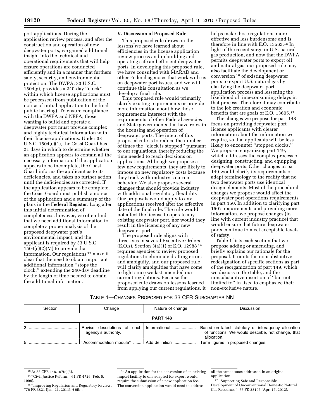port applications. During the application review process, and after the construction and operation of new deepwater ports, we gained additional insight into the technical and operational requirements that will help ensure operations are conducted efficiently and in a manner that furthers safety, security, and environmental protection. The DWPA, 33 U.S.C. 1504(g), provides a 240-day ''clock'' within which license applications must be processed (from publication of the notice of initial application to the final public hearing). To ensure compliance with the DWPA and NEPA, those wanting to build and operate a deepwater port must provide complex and highly technical information with their license applications. Under 33 U.S.C. 1504(c)(1), the Coast Guard has 21 days in which to determine whether an application appears to contain all the necessary information. If the application appears to be incomplete, the Coast Guard informs the applicant as to its deficiencies, and takes no further action until the deficiencies are corrected. If the application appears to be complete, the Coast Guard must publish a notice of the application and a summary of the plans in the **Federal Register**. Long after this initial determination of completeness, however, we often find that we need additional information to complete a proper analysis of the proposed deepwater port's environmental impact, and the applicant is required by 33 U.S.C  $1504(c)(2)(M)$  to provide that information. Our regulations 13 make it clear that the need to obtain important additional information ''stops the clock,'' extending the 240-day deadline by the length of time needed to obtain the additional information.

#### **V. Discussion of Proposed Rule**

This proposed rule draws on the lessons we have learned about efficiencies in the license application review process and in building and operating safe and efficient deepwater ports. In developing this proposed rule, we have consulted with MARAD and other Federal agencies that work with us on deepwater port issues, and we will continue this consultation as we develop a final rule.

This proposed rule would primarily clarify existing requirements or provide more information about how those requirements intersect with the requirements of other Federal agencies and State governments that have roles in the licensing and operation of deepwater ports. The intent of this proposed rule is to reduce the number of times the ''clock is stopped'' pursuant to our regulations, thereby reducing the time needed to reach decisions on applications. Although we propose a few new requirements, they are likely to impose no new regulatory costs because they track with industry's current behavior. We also propose several changes that should provide industry with additional regulatory flexibility. Our proposals would apply to any applications received after the effective date of the final rule. The rule would not affect the license to operate any existing deepwater port, nor would they result in the licensing of any new deepwater port.

The proposed rule aligns with directives in several Executive Orders (E.O.s). Section 3(a)(1) of E.O. 12988 14 requires agencies to review proposed regulations to eliminate drafting errors and ambiguity, and our proposed rule will clarify ambiguities that have come to light since we last amended our current regulations. Because the proposed rule draws on lessons learned from applying our current regulations, it

helps make those regulations more effective and less burdensome and is therefore in line with E.O. 13563.15 In light of the recent surge in U.S. natural gas production, and now that the DWPA permits deepwater ports to export oil and natural gas, our proposed rule may also facilitate the development or conversion 16 of existing deepwater ports to export U.S. natural gas by clarifying the deepwater port application process and lessening the likelihood of time-consuming delays in that process. Therefore it may contribute to the job creation and economic benefits that are goals of E.O. 13605.<sup>17</sup>

The changes we propose for part 148 focus on providing deepwater port license applicants with clearer information about the information we require, so that applicants will be less likely to encounter ''stopped clocks.'' We propose reorganizing part 149, which addresses the complex process of designing, constructing, and equipping deepwater ports. Other changes in part 149 would clarify its requirements or adapt terminology to the reality that no two deepwater ports use identical design elements. Most of the procedural changes we propose would affect the deepwater port operations requirements in part 150. In addition to clarifying part 150's requirements and providing more information, we propose changes (in line with current industry practice) that would ensure that future deepwater ports continue to meet acceptable levels of safety.

Table 1 lists each section that we propose adding or amending, and briefly explains our rationale for the proposal. It omits the nonsubstantive redesignation of specific sections as part of the reorganization of part 149, which we discuss in the table, and the nonsubstantive insertion of ''but not limited to'' in lists, to emphasize their non-exclusive nature.

## TABLE 1—CHANGES PROPOSED FOR 33 CFR SUBCHAPTER NN

| Section         | Change                                   | Nature of change | <b>Discussion</b>                                                                                                       |
|-----------------|------------------------------------------|------------------|-------------------------------------------------------------------------------------------------------------------------|
| <b>PART 148</b> |                                          |                  |                                                                                                                         |
|                 | agency's authority.                      |                  | Based on latest statutory or interagency allocation<br>of functions. We would describe, not change, that<br>allocation. |
|                 | "Accommodation module"    Add definition |                  | Term figures in proposed changes.                                                                                       |

<sup>13</sup>At 33 CFR 148.107(c)(3).

<sup>14</sup> ''Civil Justice Reform,'' 61 FR 4729 (Feb. 5, 1996).

<sup>15</sup> ''Improving Regulation and Regulatory Review, ''76 FR 3821 (Jan. 21, 2011), § 6(b).

<sup>16</sup>An application for the conversion of an existing import facility to one adapted for export would require the submission of a new application fee. The conversion application would need to address

all the same issues addressed in an original application.

<sup>17</sup> ''Supporting Safe and Responsible Development of Unconventional Domestic Natural Gas Resources,'' 77 FR 23107 (Apr. 17, 2012).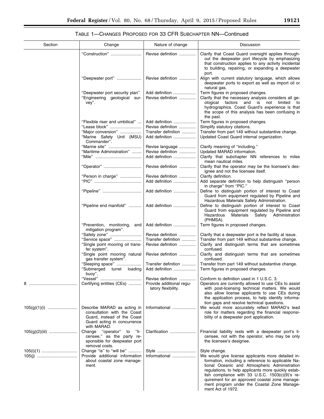▀

# TABLE 1—CHANGES PROPOSED FOR 33 CFR SUBCHAPTER NN—Continued

| Section | Change                                                                                                                                  | Nature of change                                                     | Discussion                                                                                                                                                                                                                                                                                                                                                                                                    |
|---------|-----------------------------------------------------------------------------------------------------------------------------------------|----------------------------------------------------------------------|---------------------------------------------------------------------------------------------------------------------------------------------------------------------------------------------------------------------------------------------------------------------------------------------------------------------------------------------------------------------------------------------------------------|
|         | "Construction"                                                                                                                          | Revise definition                                                    | Clarify that Coast Guard oversight applies through-<br>out the deepwater port lifecycle by emphasizing<br>that construction applies to any activity incidental<br>to building, repairing, or expanding a deepwater<br>port.                                                                                                                                                                                   |
|         | "Deepwater port"                                                                                                                        | Revise definition                                                    | Align with current statutory language, which allows<br>deepwater ports to export as well as import oil or<br>natural gas.                                                                                                                                                                                                                                                                                     |
|         | "Deepwater port security plan"<br>"Engineering geological sur-<br>vey".                                                                 | Add definition<br>Revise definition                                  | Term figures in proposed changes.<br>Clarify that the necessary analysis considers all ge-<br>ological factors and is not<br>limited to<br>hydrographics. Coast Guard's experience is that<br>the scope of this analysis has been confusing in<br>the past.                                                                                                                                                   |
|         | "Flexible riser and umbilical"                                                                                                          | Add definition                                                       | Term figures in proposed changes.                                                                                                                                                                                                                                                                                                                                                                             |
|         | "Lease block"                                                                                                                           | Revise definition                                                    | Simplify statutory citations.                                                                                                                                                                                                                                                                                                                                                                                 |
|         | "Major conversion"<br>"Marine Safety Unit (MSU)<br>Commander".                                                                          | Transfer definition<br>Add definition                                | Transfer from part 149 without substantive change.<br>Updated Coast Guard internal organization.                                                                                                                                                                                                                                                                                                              |
|         | "Marine site"                                                                                                                           | Revise language                                                      | Clarify meaning of "including."                                                                                                                                                                                                                                                                                                                                                                               |
|         | "Maritime Administration"                                                                                                               | Revise definition<br>Add definition                                  | Updated MARAD information.<br>Clarify that subchapter NN references to miles<br>mean nautical miles.                                                                                                                                                                                                                                                                                                          |
|         | "Operator"                                                                                                                              | Revise definition                                                    | Clarify that the operator may be the licensee's des-<br>ignee and not the licensee itself.                                                                                                                                                                                                                                                                                                                    |
|         | "Person in charge"                                                                                                                      | Revise definition<br>Add definition                                  | Clarify definition.<br>Add separate definition to help distinguish "person<br>in charge" from "PIC."                                                                                                                                                                                                                                                                                                          |
|         | "Pipeline"                                                                                                                              | Add definition                                                       | Define to distinguish portion of interest to Coast<br>Guard from equipment regulated by Pipeline and<br>Hazardous Materials Safety Administration.                                                                                                                                                                                                                                                            |
|         | "Pipeline end manifold"                                                                                                                 | Add definition                                                       | Define to distinguish portion of interest to Coast<br>Guard from equipment regulated by Pipeline and<br>Hazardous<br>Materials Safety Administration<br>(PHMSA).                                                                                                                                                                                                                                              |
|         | "Prevention, monitoring,<br>and<br>mitigation program".                                                                                 | Add definition                                                       | Term figures in proposed changes.                                                                                                                                                                                                                                                                                                                                                                             |
|         | "Safety zone"                                                                                                                           | Revise definition                                                    | Clarify that a deepwater port is the facility at issue.                                                                                                                                                                                                                                                                                                                                                       |
|         | "Service space"<br>"Single point mooring oil trans-<br>fer system".                                                                     | Transfer definition<br>Revise definition                             | Transfer from part 149 without substantive change.<br>Clarify and distinguish terms that are sometimes<br>confused.                                                                                                                                                                                                                                                                                           |
|         | "Single point mooring natural<br>gas transfer system".                                                                                  | Revise definition                                                    | Clarify and distinguish terms that are sometimes<br>confused.                                                                                                                                                                                                                                                                                                                                                 |
|         | "Sleeping space"<br>"Submerged<br>turret loading<br>buoy".                                                                              | Transfer definition<br>Add definition                                | Transfer from part 149 without substantive change.<br>Term figures in proposed changes.                                                                                                                                                                                                                                                                                                                       |
|         | Certifying entities (CEs)                                                                                                               | Revise definition<br>Provide additional regu-<br>latory flexibility. | Conform to definition used in 1 U.S.C. 3.<br>Operators are currently allowed to use CEs to assist<br>with post-licensing technical matters. We would<br>also allow license applicants to use CEs during<br>the application process, to help identify informa-<br>tion gaps and resolve technical questions.                                                                                                   |
|         | Describe MARAD as acting in<br>consultation with the Coast<br>Guard, instead of the Coast<br>Guard acting in concurrence<br>with MARAD. | Informational                                                        | We would more accurately reflect MARAD's lead<br>role for matters regarding the financial responsi-<br>bility of a deepwater port application.                                                                                                                                                                                                                                                                |
|         | Change "operator" to "li-<br>censee," as the party re-<br>sponsible for deepwater port<br>removal costs.                                | Clarification                                                        | Financial liability rests with a deepwater port's li-<br>censee, not with the operator, who may be only<br>the licensee's designee.                                                                                                                                                                                                                                                                           |
|         | Change "is" to "will be"<br>Provide additional information<br>about coastal zone manage-<br>ment.                                       | Style<br>Informational                                               | Style change.<br>We would give license applicants more detailed in-<br>formation, including a reference to applicable Na-<br>tional Oceanic and Atmospheric Administration<br>regulations, to help applicants more quickly estab-<br>lish compliance with 33 U.S.C. $1503(c)(9)$ 's re-<br>quirement for an approved coastal zone manage-<br>ment program under the Coastal Zone Manage-<br>ment Act of 1972. |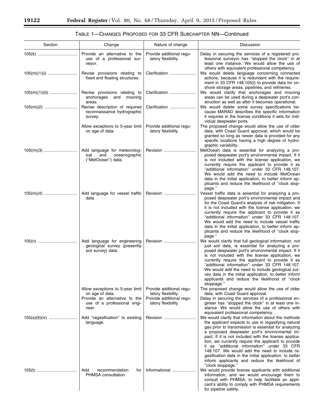-

٠

# TABLE 1—CHANGES PROPOSED FOR 33 CFR SUBCHAPTER NN—Continued

| Section | Change                                                                                                                       | Nature of change                                                                                   | Discussion                                                                                                                                                                                                                                                                                                                                                                                                                                                                                                                                                            |
|---------|------------------------------------------------------------------------------------------------------------------------------|----------------------------------------------------------------------------------------------------|-----------------------------------------------------------------------------------------------------------------------------------------------------------------------------------------------------------------------------------------------------------------------------------------------------------------------------------------------------------------------------------------------------------------------------------------------------------------------------------------------------------------------------------------------------------------------|
|         | Provide an alternative to the<br>use of a professional sur-<br>veyor.                                                        | Provide additional regu-<br>latory flexibility.                                                    | Delay in securing the services of a registered pro-<br>fessional surveyor has "stopped the clock" in at<br>least one instance. We would allow the use of<br>others with equivalent professional competency.                                                                                                                                                                                                                                                                                                                                                           |
|         | Revise provisions relating to<br>fixed and floating structures.                                                              | Clarification                                                                                      | We would delete language concerning connected<br>actions, because it is redundant with the require-<br>ment in 33 CFR 148.105(I) to provide data for on-<br>shore storage areas, pipelines, and refineries.                                                                                                                                                                                                                                                                                                                                                           |
|         | Revise provisions relating to<br>mooring<br>anchorages and<br>areas.                                                         | Clarification                                                                                      | We would clarify that anchorages and mooring<br>areas can be used during a deepwater port's con-<br>struction as well as after it becomes operational.                                                                                                                                                                                                                                                                                                                                                                                                                |
|         | Revise description of required<br>reconnaissance hydrographic<br>survey.                                                     | Clarification                                                                                      | We would delete some survey specifications be-<br>cause MARAD describes the specific information<br>it requires in the license conditions it sets for indi-                                                                                                                                                                                                                                                                                                                                                                                                           |
|         | Allow exceptions to 5-year limit<br>on age of data.                                                                          | Provide additional regu-<br>latory flexibility.                                                    | vidual deepwater ports.<br>The proposed change would allow the use of older<br>data, with Coast Guard approval, which would be<br>granted so long as newer data is provided for any<br>specific locations having a high degree of hydro-<br>graphic variability.                                                                                                                                                                                                                                                                                                      |
|         | Add language for meteorolog-<br>and<br>oceanographic<br>ical<br>("MetOcean") data.                                           | Revision                                                                                           | MetOcean data is essential for analyzing a pro-<br>posed deepwater port's environmental impact. If it<br>is not included with the license application, we<br>currently require the applicant to provide it as<br>"additional information" under 33 CFR 148.107.<br>We would add the need to include MetOcean<br>data in the initial application, to better inform ap-<br>plicants and reduce the likelihood of "clock stop-<br>page."                                                                                                                                 |
|         | Add language for vessel traffic<br>data.                                                                                     | Revision                                                                                           | Vessel traffic data is essential for analyzing a pro-<br>posed deepwater port's environmental impact and<br>for the Coast Guard's analysis of risk mitigation. If<br>it is not included with the license application, we<br>currently require the applicant to provide it as<br>"additional information" under 33 CFR 148.107.<br>We would add the need to include vessel traffic<br>data in the initial application, to better inform ap-<br>plicants and reduce the likelihood of "clock stop-<br>page."                                                            |
|         | Add language for engineering<br>geological survey (presently<br>soil survey) data.                                           | Revision                                                                                           | We would clarify that full geological information, not<br>just soil data, is essential for analyzing a pro-<br>posed deepwater port's environmental impact. If it<br>is not included with the license application, we<br>currently require the applicant to provide it as<br>"additional information" under 33 CFR 148.107.<br>We would add the need to include geological sur-<br>vey data in the initial application, to better inform<br>applicants and reduce the likelihood of "clock<br>stoppage."                                                              |
|         | Allow exceptions to 5-year limit<br>on age of data.<br>Provide an alternative to the<br>use of a professional engi-<br>neer. | Provide additional regu-<br>latory flexibility.<br>Provide additional regu-<br>latory flexibility. | The proposed change would allow the use of older<br>data, with Coast Guard approval.<br>Delay in securing the services of a professional en-<br>gineer has "stopped the clock" in at least one in-<br>stance. We would allow the use of others with<br>equivalent professional competency.                                                                                                                                                                                                                                                                            |
|         | Add "regasification" to existing<br>language.                                                                                | Revision                                                                                           | We would clarify that information about the methods<br>the applicant expects to use in regasifying natural<br>gas prior to transmission is essential for analyzing<br>a proposed deepwater port's environmental im-<br>pact. If it is not included with the license applica-<br>tion, we currently require the applicant to provide<br>it as "additional information" under 33 CFR<br>148.107. We would add the need to include re-<br>gasification data in the initial application, to better<br>inform applicants and reduce the likelihood of<br>"clock stoppage." |
|         | Add<br>recommendation<br>for<br>PHMSA consultation.                                                                          | Informational                                                                                      | We would provide license applicants with additional<br>information, and we would encourage them to<br>consult with PHMSA, to help facilitate an appli-<br>cant's ability to comply with PHMSA requirements<br>for pipeline safety.                                                                                                                                                                                                                                                                                                                                    |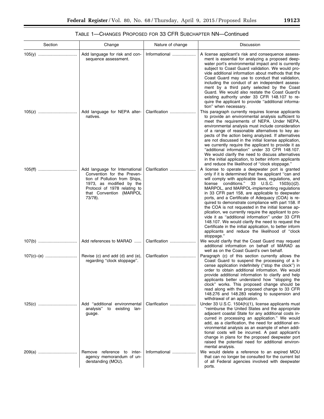# TABLE 1—CHANGES PROPOSED FOR 33 CFR SUBCHAPTER NN—Continued

| Section | Change                                                                                                                                                                                          | Nature of change | Discussion                                                                                                                                                                                                                                                                                                                                                                                                                                                                                                                                                                                                                                                                                                                                                                       |
|---------|-------------------------------------------------------------------------------------------------------------------------------------------------------------------------------------------------|------------------|----------------------------------------------------------------------------------------------------------------------------------------------------------------------------------------------------------------------------------------------------------------------------------------------------------------------------------------------------------------------------------------------------------------------------------------------------------------------------------------------------------------------------------------------------------------------------------------------------------------------------------------------------------------------------------------------------------------------------------------------------------------------------------|
|         | Add language for risk and con-<br>sequence assessment.                                                                                                                                          | Informational    | A license applicant's risk and consequence assess-<br>ment is essential for analyzing a proposed deep-<br>water port's environmental impact and is currently<br>subject to Coast Guard validation. We would pro-<br>vide additional information about methods that the<br>Coast Guard may use to conduct that validation,<br>including the conduct of an independent assess-<br>ment by a third party selected by the Coast<br>Guard. We would also restate the Coast Guard's<br>existing authority under 33 CFR 148.107 to re-<br>quire the applicant to provide "additional informa-<br>tion" when necessary.                                                                                                                                                                  |
|         | Add language for NEPA alter-<br>natives.                                                                                                                                                        | Clarification    | This paragraph currently requires license applicants<br>to provide an environmental analysis sufficient to<br>meet the requirements of NEPA. Under NEPA,<br>environmental analysis must include consideration<br>of a range of reasonable alternatives to key as-<br>pects of the action being analyzed. If alternatives<br>are not discussed in the initial license application,<br>we currently require the applicant to provide it as<br>"additional information" under 33 CFR 148.107.<br>We would clarify the need to discuss alternatives<br>in the initial application, to better inform applicants<br>and reduce the likelihood of "clock stoppage."                                                                                                                     |
|         | Add language for International<br>Convention for the Preven-<br>tion of Pollution from Ships,<br>1973, as modified by the<br>Protocol of 1978 relating to<br>that Convention (MARPOL<br>73/78). | Clarification    | A license to operate a deepwater port is granted<br>only if it is determined that the applicant "can and<br>will comply with applicable laws, regulations, and<br>license conditions." 33 $U.S.C.$ 1503(c)(2).<br>MARPOL, and MARPOL-implementing regulations<br>in 33 CFR part 158, are applicable to deepwater<br>ports, and a Certificate of Adequacy (COA) is re-<br>quired to demonstrate compliance with part 158. If<br>the COA is not requested in the initial license ap-<br>plication, we currently require the applicant to pro-<br>vide it as "additional information" under 33 CFR<br>148.107. We would clarify the need to request the<br>Certificate in the initial application, to better inform<br>applicants and reduce the likelihood of "clock<br>stoppage." |
|         | Add references to MARAD                                                                                                                                                                         | Clarification    | We would clarify that the Coast Guard may request<br>additional information on behalf of MARAD as<br>well as on the Coast Guard's own behalf.                                                                                                                                                                                                                                                                                                                                                                                                                                                                                                                                                                                                                                    |
|         | Revise (c) and add (d) and (e),<br>regarding "clock stoppage".                                                                                                                                  | Clarification    | Paragraph (c) of this section currently allows the<br>Coast Guard to suspend the processing of a li-<br>cense application indefinitely ("stop the clock") in<br>order to obtain additional information. We would<br>provide additional information to clarify and help<br>applicants better understand how "stopping the<br>clock" works. This proposed change should be<br>read along with the proposed change to 33 CFR<br>148.276 and 148.283 relating to suspension and<br>withdrawal of an application.                                                                                                                                                                                                                                                                     |
|         | Add "additional environmental<br>analysis" to<br>existing lan-<br>guage.                                                                                                                        | Clarification    | Under 33 U.S.C. 1504(h)(1), license applicants must<br>"reimburse the United States and the appropriate<br>adjacent coastal State for any additional costs in-<br>curred in processing an application." We would<br>add, as a clarification, the need for additional en-<br>vironmental analysis as an example of when addi-<br>tional costs will be incurred. A past applicant's<br>change in plans for the proposed deepwater port<br>raised the potential need for additional environ-<br>mental analysis.                                                                                                                                                                                                                                                                    |
| 209(a)  | Remove reference to inter-<br>agency memorandum of un-<br>derstanding (MOU).                                                                                                                    | Informational    | We would delete a reference to an expired MOU<br>that can no longer be consulted for the current list<br>of all Federal agencies involved with deepwater<br>ports.                                                                                                                                                                                                                                                                                                                                                                                                                                                                                                                                                                                                               |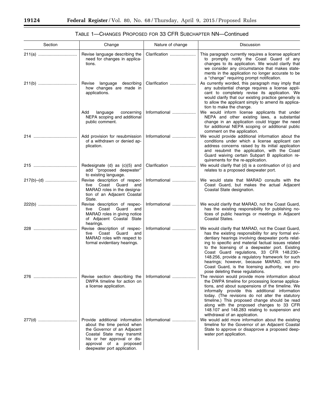| Section | Change                                                                                                                                                                                                            | Nature of change | Discussion                                                                                                                                                                                                                                                                                                                                                                                                                                                                                                   |
|---------|-------------------------------------------------------------------------------------------------------------------------------------------------------------------------------------------------------------------|------------------|--------------------------------------------------------------------------------------------------------------------------------------------------------------------------------------------------------------------------------------------------------------------------------------------------------------------------------------------------------------------------------------------------------------------------------------------------------------------------------------------------------------|
| 211(a)  | Revise language describing the<br>need for changes in applica-<br>tions.                                                                                                                                          | Clarification    | This paragraph currently requires a license applicant<br>to promptly notify the Coast Guard of any<br>changes to its application. We would clarify that<br>we consider any circumstance that makes state-<br>ments in the application no longer accurate to be<br>a "change" requiring prompt notification.                                                                                                                                                                                                  |
|         | Revise language describing<br>how changes are made in<br>applications.                                                                                                                                            | Clarification    | As currently worded, this paragraph may imply that<br>any substantial change requires a license appli-<br>cant to completely revise its application. We<br>would clarify that our existing practice generally is<br>to allow the applicant simply to amend its applica-<br>tion to make the change.                                                                                                                                                                                                          |
|         | Add<br>language<br>concerning<br>NEPA scoping and additional<br>public comment.                                                                                                                                   | Informational    | We would inform license applicants that under<br>NEPA and other existing laws, a substantial<br>change in an application could trigger the need<br>for additional NEPA scoping or additional public<br>comment on the application.                                                                                                                                                                                                                                                                           |
|         | Add provision for resubmission<br>of a withdrawn or denied ap-<br>plication.                                                                                                                                      | Informational    | We would provide additional information about the<br>conditions under which a license applicant can<br>address concerns raised by its initial application<br>and resubmit the application, with the Coast<br>Guard waiving certain Subpart B application re-<br>quirements for the re-application.                                                                                                                                                                                                           |
|         | Redesignate (d) as (c)(5) and<br>add "proposed deepwater"<br>to existing language.                                                                                                                                | Clarification    | We would clarify that (d) is a continuation of (c) and<br>relates to a proposed deepwater port.                                                                                                                                                                                                                                                                                                                                                                                                              |
|         | Revise description of respec-<br>tive<br>Coast Guard<br>and<br>MARAD roles in the designa-<br>tion of an Adjacent Coastal<br>State.                                                                               | Informational    | We would state that MARAD consults with the<br>Coast Guard, but makes the actual Adjacent<br>Coastal State designation.                                                                                                                                                                                                                                                                                                                                                                                      |
|         | Revise description of respec-<br>Coast<br>Guard<br>tive<br>and<br>MARAD roles in giving notice<br>of Adjacent Coastal State<br>hearings.                                                                          | Informational    | We would clarify that MARAD, not the Coast Guard,<br>has the existing responsibility for publishing no-<br>tices of public hearings or meetings in Adjacent<br>Coastal States.                                                                                                                                                                                                                                                                                                                               |
|         | Revise description of respec-<br>Coast Guard<br>and<br>tive<br>MARAD roles with respect to<br>formal evidentiary hearings.                                                                                        | Informational    | We would clarify that MARAD, not the Coast Guard,<br>has the existing responsibility for any formal evi-<br>dentiary hearings involving deepwater ports relat-<br>ing to specific and material factual issues related<br>to the licensing of a deepwater port. Existing<br>Coast Guard regulations, 33 CFR 148.230-<br>148.256, provide a regulatory framework for such<br>hearings; however, because MARAD, not the<br>Coast Guard, is the licensing authority, we pro-<br>pose deleting these regulations. |
| 276     | Revise section describing the   Informational<br>DWPA timeline for action on<br>a license application.                                                                                                            |                  | The revision would provide more information about<br>the DWPA timeline for processing license applica-<br>tions, and about suspensions of the timeline. We<br>informally provide this additional information<br>today. (The revisions do not alter the statutory<br>timeline.) This proposed change should be read<br>along with the proposed changes to 33 CFR<br>148.107 and 148.283 relating to suspension and<br>withdrawal of an application.                                                           |
|         | Provide additional information<br>about the time period when<br>the Governor of an Adjacent<br>Coastal State may transmit<br>his or her approval or dis-<br>approval of a proposed<br>deepwater port application. | Informational    | We would add more information about the existing<br>timeline for the Governor of an Adjacent Coastal<br>State to approve or disapprove a proposed deep-<br>water port application.                                                                                                                                                                                                                                                                                                                           |

# TABLE 1—CHANGES PROPOSED FOR 33 CFR SUBCHAPTER NN—Continued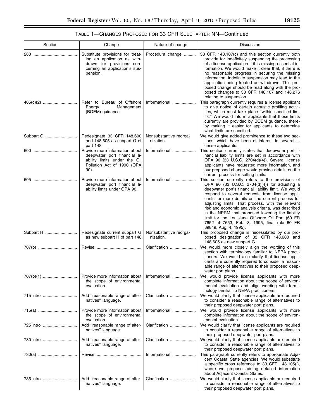$\equiv$ 

# TABLE 1—CHANGES PROPOSED FOR 33 CFR SUBCHAPTER NN—Continued

| Section   | Change                                                                                                                                    | Nature of change                    | Discussion                                                                                                                                                                                                                                                                                                                                                                                                                                                                                                                                                      |
|-----------|-------------------------------------------------------------------------------------------------------------------------------------------|-------------------------------------|-----------------------------------------------------------------------------------------------------------------------------------------------------------------------------------------------------------------------------------------------------------------------------------------------------------------------------------------------------------------------------------------------------------------------------------------------------------------------------------------------------------------------------------------------------------------|
|           | Substitute provisions for treat-<br>ing an application as with-<br>drawn for provisions con-<br>cerning an application's sus-<br>pension. | Procedural change                   | 33 CFR 148.107(c) and this section currently both<br>provide for indefinitely suspending the processing<br>of a license application if it is missing essential in-<br>formation. We would make it clear that, if there is<br>no reasonable progress in securing the missing<br>information, indefinite suspension may lead to the<br>application being treated as withdrawn. This pro-<br>posed change should be read along with the pro-<br>posed changes to 33 CFR 148.107 and 148.276<br>relating to suspension.                                             |
|           | Refer to Bureau of Offshore<br>Management<br>Energy<br>(BOEM) guidance.                                                                   | Informational                       | This paragraph currently requires a license applicant<br>to give notice of certain acoustic profiling activi-<br>ties, which must take place "within specified lim-<br>its." We would inform applicants that those limits<br>currently are provided by BOEM guidance, there-<br>by making it easier for applicants to determine<br>what limits are specified.                                                                                                                                                                                                   |
|           | Redesignate 33 CFR 148.600<br>and 148.605 as subpart G of<br>part 148.                                                                    | Nonsubstantive reorga-<br>nization. | We would give added prominence to these two sec-<br>tions, which have been of interest to several li-<br>cense applicants.                                                                                                                                                                                                                                                                                                                                                                                                                                      |
|           | Provide more information about<br>deepwater port financial li-<br>ability limits under the Oil<br>Pollution Act of 1990 (OPA<br>90).      | Informational                       | This section currently states that deepwater port fi-<br>nancial liability limits are set in accordance with<br>OPA 90 (33 U.S.C. 2704(d)(4)). Several license<br>applicants have requested more information, and<br>our proposed change would provide details on the<br>current process for setting limits.                                                                                                                                                                                                                                                    |
|           | Provide more information about<br>deepwater port financial li-<br>ability limits under OPA 90.                                            | Informational                       | This section currently refers to the provisions of<br>OPA 90 (33 U.S.C. 2704(d)(4)) for adjusting a<br>deepwater port's financial liability limit. We would<br>respond to several requests from license appli-<br>cants for more details on the current process for<br>adjusting limits. That process, with the relevant<br>risk and economic analysis criteria, was described<br>in the NPRM that proposed lowering the liability<br>limit for the Louisiana Offshore Oil Port (60 FR<br>7652 at 7653, Feb. 8, 1995; final rule 60 FR<br>39849, Aug. 4, 1995). |
| Subpart H | Redesignate current subpart G<br>as new subpart H of part 148.                                                                            | Nonsubstantive reorga-<br>nization. | This proposed change is necessitated by our pro-<br>posed designation of 33 CFR 148.600 and<br>148.605 as new subpart G.                                                                                                                                                                                                                                                                                                                                                                                                                                        |
|           |                                                                                                                                           | Clarification                       | We would more closely align the wording of this<br>section with terminology familiar to NEPA practi-<br>tioners. We would also clarify that license appli-<br>cants are currently required to consider a reason-<br>able range of alternatives to their proposed deep-<br>water port plans.                                                                                                                                                                                                                                                                     |
|           | Provide more information about   Informational<br>the scope of environmental<br>evaluation.                                               |                                     | We would provide license applicants with more<br>complete information about the scope of environ-<br>mental evaluation and align wording with termi-<br>nology familiar to NEPA practitioners.                                                                                                                                                                                                                                                                                                                                                                  |
| 715 intro | Add "reasonable range of alter-<br>natives" language.                                                                                     | Clarification                       | We would clarify that license applicants are required<br>to consider a reasonable range of alternatives to<br>their proposed deepwater port plans.                                                                                                                                                                                                                                                                                                                                                                                                              |
| 715(a)    | Provide more information about<br>the scope of environmental                                                                              | Informational                       | We would provide license applicants with more<br>complete information about the scope of environ-                                                                                                                                                                                                                                                                                                                                                                                                                                                               |
| 725 intro | evaluation.<br>Add "reasonable range of alter-<br>natives" language.                                                                      | Clarification                       | mental evaluation.<br>We would clarify that license applicants are required<br>to consider a reasonable range of alternatives to                                                                                                                                                                                                                                                                                                                                                                                                                                |
| 730 intro | Add "reasonable range of alter-<br>natives" language.                                                                                     | Clarification                       | their proposed deepwater port plans.<br>We would clarify that license applicants are required<br>to consider a reasonable range of alternatives to                                                                                                                                                                                                                                                                                                                                                                                                              |
| 730(a)    |                                                                                                                                           | Informational                       | their proposed deepwater port plans.<br>This paragraph currently refers to appropriate Adja-<br>cent Coastal State agencies. We would substitute<br>a specific cross reference to 33 CFR 148.105(j),<br>where we propose adding detailed information<br>about Adjacent Coastal States.                                                                                                                                                                                                                                                                          |
| 735 intro | Add "reasonable range of alter-<br>natives" language.                                                                                     | Clarification                       | We would clarify that license applicants are required<br>to consider a reasonable range of alternatives to<br>their proposed deepwater port plans.                                                                                                                                                                                                                                                                                                                                                                                                              |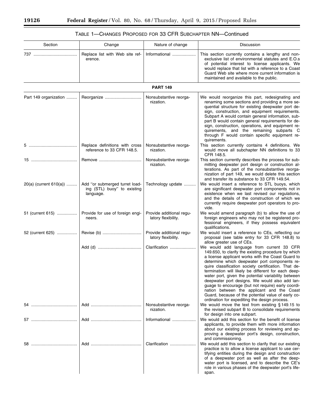▀

# TABLE 1—CHANGES PROPOSED FOR 33 CFR SUBCHAPTER NN—Continued

| Section                | Change                                                                     | Nature of change                                | Discussion                                                                                                                                                                                                                                                                                                                                                                                                                                                                                                                                                                                                                                |
|------------------------|----------------------------------------------------------------------------|-------------------------------------------------|-------------------------------------------------------------------------------------------------------------------------------------------------------------------------------------------------------------------------------------------------------------------------------------------------------------------------------------------------------------------------------------------------------------------------------------------------------------------------------------------------------------------------------------------------------------------------------------------------------------------------------------------|
|                        | Replace list with Web site ref-<br>erence.                                 | Informational                                   | This section currently contains a lengthy and non-<br>exclusive list of environmental statutes and E.O.s<br>of potential interest to license applicants. We<br>would replace that list with a reference to a Coast<br>Guard Web site where more current information is<br>maintained and available to the public.                                                                                                                                                                                                                                                                                                                         |
|                        |                                                                            | <b>PART 149</b>                                 |                                                                                                                                                                                                                                                                                                                                                                                                                                                                                                                                                                                                                                           |
| Part 149 organization  |                                                                            | Nonsubstantive reorga-<br>nization.             | We would reorganize this part, redesignating and<br>renaming some sections and providing a more se-<br>quential structure for existing deepwater port de-<br>sign, construction, and equipment requirements.<br>Subpart A would contain general information, sub-<br>part B would contain general requirements for de-<br>sign, construction, operations, and equipment re-<br>quirements, and the remaining subparts C<br>through F would contain specific equipment re-<br>quirements.                                                                                                                                                  |
| 5.                     | Replace definitions with cross<br>reference to 33 CFR 148.5.               | Nonsubstantive reorga-<br>nization.             | This section currently contains 4 definitions. We<br>would move all subchapter NN definitions to 33<br>CFR 148.5.                                                                                                                                                                                                                                                                                                                                                                                                                                                                                                                         |
|                        |                                                                            | Nonsubstantive reorga-<br>nization.             | This section currently describes the process for sub-<br>mitting deepwater port design or construction al-<br>terations. As part of the nonsubstantive reorga-<br>nization of part 149, we would delete this section<br>and transfer its substance to 33 CFR 149.54.                                                                                                                                                                                                                                                                                                                                                                      |
| 20(a) (current 610(a)) | Add "or submerged turret load-<br>ing (STL) buoy" to existing<br>language. | Technology update                               | We would insert a reference to STL buoys, which<br>are significant deepwater port components not in<br>existence when we last revised our regulations,<br>and the details of the construction of which we<br>currently require deepwater port operators to pro-<br>vide.                                                                                                                                                                                                                                                                                                                                                                  |
| 51 (current 615)       | Provide for use of foreign engi-<br>neers.                                 | Provide additional regu-<br>latory flexibility. | We would amend paragraph (b) to allow the use of<br>foreign engineers who may not be registered pro-<br>fessional engineers, if they possess equivalent<br>qualifications.                                                                                                                                                                                                                                                                                                                                                                                                                                                                |
| 52 (current 625)       |                                                                            | Provide additional regu-<br>latory flexibility. | We would insert a reference to CEs, reflecting our<br>proposal (see table entry for 33 CFR 148.8) to<br>allow greater use of CEs.                                                                                                                                                                                                                                                                                                                                                                                                                                                                                                         |
|                        |                                                                            | Clarification                                   | We would add language from current 33 CFR<br>149.650, to clarify the existing procedure by which<br>a license applicant works with the Coast Guard to<br>determine which deepwater port components re-<br>quire classification society certification. That de-<br>termination will likely be different for each deep-<br>water port, given the potential variability between<br>deepwater port designs. We would also add lan-<br>guage to encourage (but not require) early coordi-<br>nation between the applicant and the Coast<br>Guard, because of the potential value of early co-<br>ordination for expediting the design process. |
|                        |                                                                            | Nonsubstantive reorga-<br>nization.             | We would move the text from existing $§149.15$ to<br>the revised subpart B to consolidate requirements<br>for design into one subpart.                                                                                                                                                                                                                                                                                                                                                                                                                                                                                                    |
|                        |                                                                            | Informational                                   | We would add this section for the benefit of license<br>applicants, to provide them with more information<br>about our existing process for reviewing and ap-<br>proving a deepwater port's design, construction,<br>and commissioning.                                                                                                                                                                                                                                                                                                                                                                                                   |
|                        |                                                                            | Clarification                                   | We would add this section to clarify that our existing<br>practice is to allow a license applicant to use cer-<br>tifying entities during the design and construction<br>of a deepwater port as well as after the deep-<br>water port is licensed, and to describe the CE's<br>role in various phases of the deepwater port's life-<br>span.                                                                                                                                                                                                                                                                                              |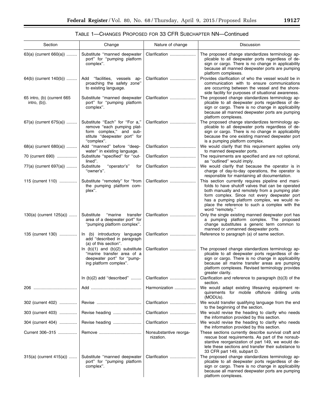# TABLE 1—CHANGES PROPOSED FOR 33 CFR SUBCHAPTER NN—Continued

| Section                                       | Change                                                                                                                                | Nature of change                    | Discussion                                                                                                                                                                                                                                                                                                                       |
|-----------------------------------------------|---------------------------------------------------------------------------------------------------------------------------------------|-------------------------------------|----------------------------------------------------------------------------------------------------------------------------------------------------------------------------------------------------------------------------------------------------------------------------------------------------------------------------------|
| 63(a) (current 660(a))                        | Substitute "manned deepwater<br>port" for "pumping platform<br>complex".                                                              | Clarification                       | The proposed change standardizes terminology ap-<br>plicable to all deepwater ports regardless of de-<br>sign or cargo. There is no change in applicability<br>because all manned deepwater ports are pumping<br>platform complexes.                                                                                             |
| 64(b) (current 140(b))                        | Add "facilities, vessels<br>ap-<br>proaching the safety zone"<br>to existing language.                                                | Clarification                       | Provides clarification of who the vessel would be in<br>communication with to ensure communications<br>are occurring between the vessel and the shore-<br>side facility for purposes of situational awareness.                                                                                                                   |
| 65 intro, (b) (current 665<br>$intro, (b)$ ). | Substitute "manned deepwater<br>port" for "pumping platform<br>complex".                                                              | Clarification                       | The proposed change standardizes terminology ap-<br>plicable to all deepwater ports regardless of de-<br>sign or cargo. There is no change in applicability<br>because all manned deepwater ports are pumping<br>platform complexes.                                                                                             |
| 67(a) (current 675(a))                        | Substitute "Each" for "For a,"<br>remove "each pumping plat-<br>form complex," and sub-<br>stitute "deepwater port" for<br>"complex". | Clarification                       | The proposed change standardizes terminology ap-<br>plicable to all deepwater ports regardless of de-<br>sign or cargo. There is no change in applicability<br>because the one existing manned deepwater port<br>is a pumping platform complex.                                                                                  |
| 68(a) (current 680(a))                        | Add "manned" before "deep-<br>water" in existing language.                                                                            | Clarification                       | We would clarify that this requirement applies only<br>to manned deepwater ports.                                                                                                                                                                                                                                                |
| 70 (current 690)                              | Substitute "specified" for "out-<br>lined".                                                                                           | Clarification                       | The requirements are specified and are not optional,<br>as "outlined" would imply.                                                                                                                                                                                                                                               |
| 77(a) (current 697(a))                        | Substitute<br>"operator's"<br>for<br>"owner's".                                                                                       | Clarification                       | We would clarify that because the operator is in<br>charge of day-to-day operations, the operator is<br>responsible for maintaining all documentation.                                                                                                                                                                           |
| 115 (current 110)                             | Substitute "remotely" for "from<br>the pumping platform com-<br>plex".                                                                | Clarification                       | This section currently requires pipeline end mani-<br>folds to have shutoff valves that can be operated<br>both manually and remotely from a pumping plat-<br>form complex. Since not every deepwater port<br>has a pumping platform complex, we would re-<br>place the reference to such a complex with the<br>word "remotely." |
| $130(a)$ (current $125(a)$ )                  | Substitute<br>"marine<br>transfer<br>area of a deepwater port" for<br>"pumping platform complex".                                     | Clarification                       | Only the single existing manned deepwater port has<br>a pumping platform complex. The proposed<br>change substitutes a generic term common to<br>manned or unmanned deepwater ports.                                                                                                                                             |
| 135 (current 130)                             | In (b) introductory language<br>add "described in paragraph<br>(a) of this section".                                                  | Clarification                       | Reference to paragraph (a) of same section.                                                                                                                                                                                                                                                                                      |
|                                               | In $(b)(1)$ and $(b)(2)$ substitute<br>"marine transfer area of a<br>deepwater port" for "pump-<br>ing platform complex".             | Clarification                       | The proposed change standardizes terminology ap-<br>plicable to all deepwater ports regardless of de-<br>sign or cargo. There is no change in applicability<br>because all marine transfer areas are pumping<br>platform complexes. Revised terminology provides<br>greater clarity.                                             |
|                                               | In $(b)(2)$ add "described"                                                                                                           | Clarification                       | Clarification and reference to paragraph (b)(3) of the<br>section.                                                                                                                                                                                                                                                               |
|                                               |                                                                                                                                       | Harmonization                       | We would adapt existing lifesaving equipment re-<br>quirements for mobile offshore drilling units<br>(MODUs).                                                                                                                                                                                                                    |
| 302 (current 402)                             |                                                                                                                                       | Clarification                       | We would transfer qualifying language from the end<br>to the beginning of the section.                                                                                                                                                                                                                                           |
| 303 (current 403)                             | Revise heading                                                                                                                        | Clarification                       | We would revise the heading to clarify who needs<br>the information provided by this section.                                                                                                                                                                                                                                    |
| 304 (current 404)                             |                                                                                                                                       | Clarification                       | We would revise the heading to clarify who needs<br>the information provided by this section.                                                                                                                                                                                                                                    |
| Current 306-315                               |                                                                                                                                       | Nonsubstantive reorga-<br>nization. | These sections currently describe survival craft and<br>rescue boat requirements. As part of the nonsub-<br>stantive reorganization of part 149, we would de-<br>lete these sections and transfer their substance to<br>33 CFR part 149, subpart D.                                                                              |
| 315(a) (current 415(a))                       | Substitute "manned deepwater<br>port" for "pumping platform<br>complex".                                                              | Clarification                       | The proposed change standardizes terminology ap-<br>plicable to all deepwater ports regardless of de-<br>sign or cargo. There is no change in applicability<br>because all manned deepwater ports are pumping<br>platform complexes.                                                                                             |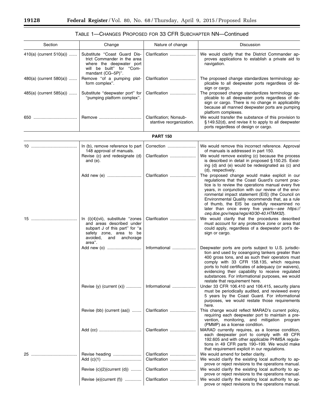#### Section **Nature of change** Nature of change Nature All Change Nature of change Nature 1 and Discussion 410(a) (current 510(a)) ....... Substitute ''Coast Guard District Commander in the area where the deepwater port will be built'' for ''Commandant (CG–5P)''. Clarification ...................... We would clarify that the District Commander approves applications to establish a private aid to navigation. 480(a) (current 580(a)) ....... Remove "of a pumping platform complex''. Clarification ...................... The proposed change standardizes terminology applicable to all deepwater ports regardless of design or cargo. 485(a) (current 585(a))  $\ldots$ ..... Substitute "deepwater port" for ''pumping platform complex''. Clarification ...................... The proposed change standardizes terminology applicable to all deepwater ports regardless of design or cargo. There is no change in applicability because all manned deepwater ports are pumping platform complexes. 650 ..................................... Remove .................................... Clarification; Nonsubstantive reorganization. We would transfer the substance of this provision to § 149.52(d), and revise it to apply to all deepwater ports regardless of design or cargo. **PART 150**  10 ....................................... In (b), remove reference to part 148 approval of manuals. Correction ........................ We would remove this incorrect reference. Approval of manuals is addressed in part 150. Revise (c) and redesignate (d) and (e). Clarification ...................... We would remove existing (c) because the process is described in detail in proposed § 150.25. Existing (d) and (e) would be redesignated as (c) and (d), respectively. Add new (e) ............................. Clarification ...................... The proposed change would make explicit in our regulations that the Coast Guard's current practice is to review the operations manual every five years, in conjunction with our review of the environmental impact statement (EIS) (the Council on Environmental Quality recommends that, as a rule of thumb, the EIS be carefully reexamined no later than once every five years—*see [https://](https://ceq.doe.gov/nepa/regs/40/30-40.HTM#32) [ceq.doe.gov/nepa/regs/40/30-40.HTM#32](https://ceq.doe.gov/nepa/regs/40/30-40.HTM#32)*). 15 ....................................... In (i)(4)(vii), substitute ''zones and areas described under subpart J of this part" for "a safety zone, area to be<br>avoided, and anchorage and anchorage area''. Clarification ...................... We would clarify that the procedures described must account for any protective zone or area that could apply, regardless of a deepwater port's design or cargo. Add new (o) ............................. Informational .................... Deepwater ports are ports subject to U.S. jurisdiction and used by oceangoing tankers greater than 400 gross tons, and as such their operators must comply with 33 CFR 158.135, which requires ports to hold certificates of adequacy (or waivers), evidencing their capability to receive regulated substances. For informational purposes, we would restate that requirement here. Revise (y) (current (x)) ............. Informational .................... Under 33 CFR 106.410 and 106.415, security plans must be periodically audited, and reviewed every 5 years by the Coast Guard. For informational purposes, we would restate those requirements here. Revise (bb) (current (aa)) ........ Clarification ............................. This change would reflect MARAD's current policy, requiring each deepwater port to maintain a prevention, monitoring, and mitigation program (PMMP) as a license condition. Add (cc) .................................... Clarification ...................... MARAD currently requires, as a license condition, each deepwater port to comply with 49 CFR 192.605 and with other applicable PHMSA regulations in 49 CFR parts 190–199. We would make that requirement explicit in our regulations. 25 ....................................... Revise heading ........................ Clarification ...................... We would amend for better clarity. Clarification  $\ldots$  $\ldots$  $\ldots$  $\ldots$  $\ldots$  We would clarify the existing local authority to approve or reject revisions to the operations manual. Revise (c)(2)(current (d)) ......... Clarification ........................ We would clarify the existing local authority to approve or reject revisions to the operations manual. Revise (e)(current (f)) ............... | Clarification ....................... | We would clarify the existing local authority to approve or reject revisions to the operations manual.

# TABLE 1—CHANGES PROPOSED FOR 33 CFR SUBCHAPTER NN—Continued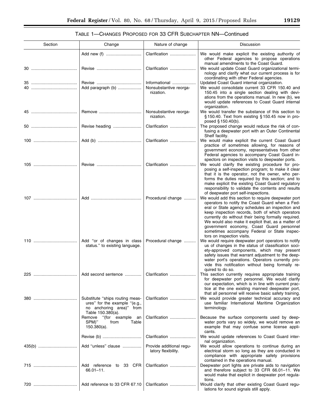# TABLE 1—CHANGES PROPOSED FOR 33 CFR SUBCHAPTER NN—Continued

| Section | Change                                                                                                            | Nature of change                                     | Discussion                                                                                                                                                                                                                                                                                                                                                                                                                                              |
|---------|-------------------------------------------------------------------------------------------------------------------|------------------------------------------------------|---------------------------------------------------------------------------------------------------------------------------------------------------------------------------------------------------------------------------------------------------------------------------------------------------------------------------------------------------------------------------------------------------------------------------------------------------------|
|         |                                                                                                                   | Clarification                                        | We would make explicit the existing authority of<br>other Federal agencies to propose operations                                                                                                                                                                                                                                                                                                                                                        |
|         |                                                                                                                   | Clarification                                        | manual amendments to the Coast Guard.<br>We would update Coast Guard organizational termi-<br>nology and clarify what our current process is for                                                                                                                                                                                                                                                                                                        |
|         | Add paragraph (b)                                                                                                 | Informational<br>Nonsubstantive reorga-<br>nization. | coordinating with other Federal agencies.<br>Updated Coast Guard internal organization.<br>We would consolidate current 33 CFR 150.40 and<br>150.45 into a single section dealing with devi-<br>ations from the operations manual. In new (b), we<br>would update references to Coast Guard internal<br>organization.                                                                                                                                   |
|         |                                                                                                                   | Nonsubstantive reorga-<br>nization.                  | We would transfer the substance of this section to<br>§150.40. Text from existing §150.45 now in pro-<br>posed $§ 150.40(b)$ .                                                                                                                                                                                                                                                                                                                          |
|         | Revise heading                                                                                                    | Clarification                                        | The proposed change would reduce the risk of con-<br>fusing a deepwater port with an Outer Continental<br>Shelf facility.                                                                                                                                                                                                                                                                                                                               |
|         |                                                                                                                   | Clarification                                        | We would make explicit the current Coast Guard<br>practice of sometimes allowing, for reasons of<br>government economy, representatives from other<br>Federal agencies to accompany Coast Guard in-                                                                                                                                                                                                                                                     |
|         |                                                                                                                   | Clarification                                        | spectors on inspection visits to deepwater ports.<br>We would clarify the existing procedure for pro-<br>posing a self-inspection program; to make it clear<br>that it is the operator, not the owner, who per-<br>forms the duties required by this section; and to<br>make explicit the existing Coast Guard regulatory<br>responsibility to validate the contents and results<br>of deepwater port self-inspections.                                 |
|         |                                                                                                                   | Procedural change                                    | We would add this section to require deepwater port<br>operators to notify the Coast Guard when a Fed-<br>eral or State agency schedules an inspection and<br>keep inspection records, both of which operators<br>currently do without their being formally required.<br>We would also make it explicit that, as a matter of<br>government economy, Coast Guard personnel<br>sometimes accompany Federal or State inspec-<br>tors on inspection visits. |
|         | Add "or of changes in class<br>status." to existing language.                                                     | Procedural change                                    | We would require deepwater port operators to notify<br>us of changes in the status of classification soci-<br>ety-approved components, which may present<br>safety issues that warrant adjustment to the deep-<br>water port's operations. Operators currently pro-<br>vide this notification without being formally re-<br>quired to do so.                                                                                                            |
|         |                                                                                                                   |                                                      | This section currently requires appropriate training<br>for deepwater port personnel. We would clarify<br>our expectation, which is in line with current prac-<br>tice at the one existing manned deepwater port,<br>that all personnel will receive basic safety training.                                                                                                                                                                             |
|         | Substitute "ships routing meas-<br>ures" for the example "(e.g.,<br>no anchoring area)" from<br>Table 150.380(a). | Clarification                                        | We would provide greater technical accuracy and<br>use familiar International Maritime Organization<br>terminology.                                                                                                                                                                                                                                                                                                                                     |
|         | "(for example an<br>Remove<br>SPM)"<br>from<br>Table<br>$150.380(a)$ .                                            | Clarification                                        | Because the surface components used by deep-<br>water ports vary so widely, we would remove an<br>example that may confuse some license appli-<br>cants.                                                                                                                                                                                                                                                                                                |
|         |                                                                                                                   | Clarification                                        | We would update references to Coast Guard inter-<br>nal organization.                                                                                                                                                                                                                                                                                                                                                                                   |
|         | Add "unless" clause                                                                                               | Provide additional regu-<br>latory flexibility.      | We would allow operations to continue during an<br>electrical storm so long as they are conducted in<br>compliance with appropriate safety provisions<br>contained in the operations manual.                                                                                                                                                                                                                                                            |
|         | Add reference to 33 CFR<br>66.01-11.                                                                              | Clarification                                        | Deepwater port lights are private aids to navigation<br>and therefore subject to 33 CFR 66.01-11. We<br>would make that explicit in deepwater port regula-<br>tions.                                                                                                                                                                                                                                                                                    |
|         | Add reference to 33 CFR 67.10                                                                                     | Clarification                                        | Would clarify that other existing Coast Guard regu-<br>lations for sound signals still apply.                                                                                                                                                                                                                                                                                                                                                           |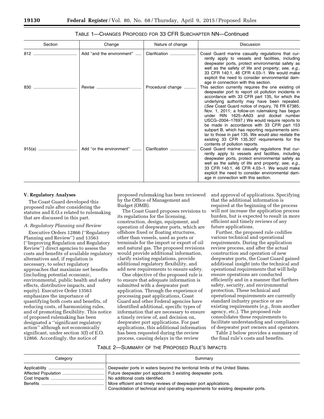| Section | Change                    | Nature of change  | <b>Discussion</b>                                                                                                                                                                                                                                                                                                                                                                                                                                                                                                                                                                                                                                        |
|---------|---------------------------|-------------------|----------------------------------------------------------------------------------------------------------------------------------------------------------------------------------------------------------------------------------------------------------------------------------------------------------------------------------------------------------------------------------------------------------------------------------------------------------------------------------------------------------------------------------------------------------------------------------------------------------------------------------------------------------|
| 812     | Add "and the environment" | Clarification     | Coast Guard marine casualty regulations that cur-<br>rently apply to vessels and facilities, including<br>deepwater ports, protect environmental safety as<br>well as the safety of life and property; see, e.g.,<br>33 CFR 140.1, 46 CFR 4.03-1. We would make<br>explicit the need to consider environmental dam-<br>age in connection with this section.                                                                                                                                                                                                                                                                                              |
| 830     | Revise                    | Procedural change | This section currently requires the one existing oil<br>deepwater port to report oil pollution incidents in<br>accordance with 33 CFR part 135, for which the<br>underlying authority may have been repealed.<br>(See Coast Guard notice of inquiry, 76 FR 67385;<br>Nov. 1, 2011; a follow-on rulemaking has begun<br>under RIN 1625-AA03 and docket number                                                                                                                                                                                                                                                                                             |
| 915(a)  | Add "or the environment"  | Clarification     | USCG-2004-17697.) We would require reports to<br>be made in accordance with 33 CFR part 153<br>subpart B, which has reporting requirements simi-<br>lar to those in part 135. We would also restate the<br>existing 33 CFR 135.307 requirements for the<br>contents of pollution reports.<br>Coast Guard marine casualty regulations that cur-<br>rently apply to vessels and facilities, including<br>deepwater ports, protect environmental safety as<br>well as the safety of life and property; see, e.g.,<br>33 CFR 140.1, 46 CFR 4.03-1. We would make<br>explicit the need to consider environmental dam-<br>age in connection with this section. |

## **V. Regulatory Analyses**

The Coast Guard developed this proposed rule after considering the statutes and E.O.s related to rulemaking that are discussed in this part.

#### *A. Regulatory Planning and Review*

Executive Orders 12866 (''Regulatory Planning and Review'') and 13563 (''Improving Regulation and Regulatory Review'') direct agencies to assess the costs and benefits of available regulatory alternatives and, if regulation is necessary, to select regulatory approaches that maximize net benefits (including potential economic, environmental, public health and safety effects, distributive impacts, and equity). Executive Order 13563 emphasizes the importance of quantifying both costs and benefits, of reducing costs, of harmonizing rules, and of promoting flexibility. This notice of proposed rulemaking has been designated a ''significant regulatory action'' although not economically significant, under section 3(f) of E.O. 12866. Accordingly, the notice of

proposed rulemaking has been reviewed by the Office of Management and Budget (OMB).

The Coast Guard proposes revisions to its regulations for the licensing, construction, design, equipment, and operation of deepwater ports, which are offshore fixed or floating structures, other than vessels, used as ports or terminals for the import or export of oil and natural gas. The proposed revisions would provide additional information, clarify existing regulations, provide additional regulatory flexibility, and add new requirements to ensure safety.

One objective of the proposed rule is to ensure that adequate information is submitted with a deepwater port application. Through the experience of processing past applications, Coast Guard and other Federal agencies have identified additional, specific types of information that are necessary to ensure a timely review of, and decision on, deepwater port applications. For past applications, this additional information has been requested during the review process, causing delays in the review

and approval of applications. Specifying that the additional information is required at the beginning of the process will not increase the application process burden, but is expected to result in more efficient and timely reviews of any future applications.

Further, the proposed rule codifies various technical and operational requirements. During the application review process, and after the actual construction and operation of new deepwater ports, the Coast Guard gained additional insight into the technical and operational requirements that will help ensure operations are conducted efficiently and in a manner that furthers safety, security, and environmental protection. These technical and operational requirements are currently standard industry practice or are existing requirements (*e.g.,* from another agency, etc.). The proposed rule consolidates these requirements to facilitate understanding and compliance of deepwater port owners and operators.

Table 2 below provides a summary of the final rule's costs and benefits.

#### TABLE 2—SUMMARY OF THE PROPOSED RULE'S IMPACTS

| Category | Summary                                                                                                                                                                                                                                                                                                                                      |
|----------|----------------------------------------------------------------------------------------------------------------------------------------------------------------------------------------------------------------------------------------------------------------------------------------------------------------------------------------------|
|          | Deepwater ports in waters beyond the territorial limits of the United States.<br>Future deepwater port applicants 3 existing deepwater ports.<br>No additional costs identified.<br>More efficient and timely reviews of deepwater port applications.<br>Consolidation of technical and operating requirements for existing deepwater ports. |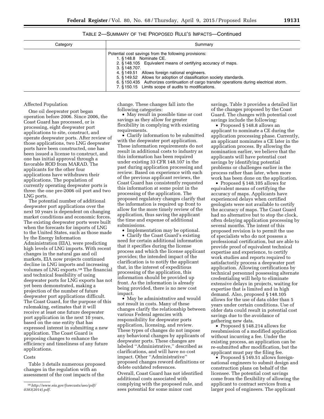## TABLE 2—SUMMARY OF THE PROPOSED RULE'S IMPACTS—Continued

| Category | Summary                                                                                                                                                                                                                                                                                                                                                                                                                                           |
|----------|---------------------------------------------------------------------------------------------------------------------------------------------------------------------------------------------------------------------------------------------------------------------------------------------------------------------------------------------------------------------------------------------------------------------------------------------------|
|          | Potential cost savings from the following provisions:<br>1. § 148.8 Nominate CE.<br>2. §148.105 Equivalent means of certifying accuracy of maps.<br>$3.$ § 148.707.<br>4. § 149.51 Allows foreign national engineers.<br>5. § 149.52 Allows for adoption of classification society standards.<br>6. §150.435 Authorizes continuation of cargo transfer operations during electrical storm.<br>7. §150.15 Limits scope of audits to modifications. |

#### Affected Population

One oil deepwater port began operation before 2006. Since 2006, the Coast Guard has processed, or is processing, eight deepwater port applications to site, construct, and operate deepwater ports. After review of those applications, two LNG deepwater ports have been constructed, one has been issued a license to construct, and one has initial approval through a favorable ROD from MARAD. The applicants for the other four applications have withdrawn their applications. The population of currently operating deepwater ports is three: the one pre-2006 oil port and two LNG ports.

The potential number of additional deepwater port applications over the next 10 years is dependent on changing market conditions and economic forces. The existing deepwater ports were built when the forecasts for imports of LNG to the United States, such as those made by the Energy Information Administration (EIA), were predicting high levels of LNG imports. With recent changes in the natural gas and oil markets, EIA now projects continued decline in LNG imports and increasing volumes of LNG exports.18 The financial and technical feasibility of using deepwater ports for LNG exports has not yet been demonstrated, making a projection of the number of future deepwater port applications difficult. The Coast Guard, for the purpose of this rulemaking, estimates that it will receive at least one future deepwater port application in the next 10 years, based on the one entity that has expressed interest in submitting a new application. The Coast Guard is proposing changes to enhance the efficiency and timeliness of any future applications.

## **Costs**

Table 3 details numerous proposed changes in the regulation with an assessment of the cost impacts of the

change. These changes fall into the following categories:

• May result in possible time or cost savings as they allow for greater flexibility in complying with existing requirements.

• Clarify information to be submitted with the deepwater port application. These information requirements do not result in additional costs to industry as this information has been required under existing 33 CFR 148.107 in the past during application processing and review. Based on experience with each of the previous applicant reviews, the Coast Guard has consistently requested this information at some point in the processing of the application. The proposed regulatory changes clarify that the information is required up front to allow for the more timely review of the application, thus saving the applicant the time and expense of additional submissions.

• Implementation may be optional.

• Clarify the Coast Guard's existing need for certain additional information that it specifies during the license process and which the license applicant provides; the intended impact of the clarification is to notify the applicant that, in the interest of expeditious processing of the application, this information should be provided up front. As the information is already being provided, there is no new cost impact.

• May be administrative and would not result in costs. Many of these changes clarify the relationship between various Federal agencies with responsibility for deepwater ports application, licensing, and review. These types of changes do not impose any behavioral changes by applicants of deepwater ports. These changes are labeled ''Administrative,'' described as clarifications, and will have no cost impact. Other ''Administrative'' proposed changes reword definitions or delete outdated references. Overall, Coast Guard has not identified additional costs associated with complying with the proposed rule, and sees potential for some minor cost

savings. Table 3 provides a detailed list of the changes proposed by the Coast Guard. The changes with potential cost savings include the following:

• Proposed § 148.8 allows an applicant to nominate a CE during the application processing phase. Currently, an applicant nominates a CE later in the application process. By allowing the nomination earlier, we believe that the applicants will have potential cost savings by identifying potential problems or challenges earlier in the process rather than later, when more work has been done on the application.

• Proposed § 148.105 allows for equivalent means of certifying the accuracy of maps. Applicants have experienced delays when certified geologists were not available to certify the accuracy of maps. The Coast Guard had no alternative but to stop the clock, often delaying application processing by several months. The intent of this proposed revision is to permit the use of specialists who do not possess a professional certification, but are able to provide proof of equivalent technical expertise and experience, to certify work studies and reports required to satisfactorily process a deepwater port application. Allowing certifications by technical personnel possessing alternate credentialing will help to eliminate extensive delays in projects, waiting for expertise that is limited and in high demand. Also, proposed § 148.105 allows for the use of data older than 5 years under certain conditions. Use of older data could result in potential cost savings due to the avoidance of gathering new data.

• Proposed § 148.214 allows for resubmission of a modified application without incurring a fee. Under the existing process, an application can be re-submitted after modification, but the applicant must pay the filing fee.

• Proposed § 149.51 allows foreignnational engineers to submit design and construction plans on behalf of the licensee. The potential cost savings come from the flexibility of allowing the applicant to contract services from a larger pool of engineers. The applicant

<sup>18</sup>*[http://www.eia.gov/forecasts/aeo/pdf/](http://www.eia.gov/forecasts/aeo/pdf/0383(2014).pdf) [0383\(2014\).pdf.](http://www.eia.gov/forecasts/aeo/pdf/0383(2014).pdf)*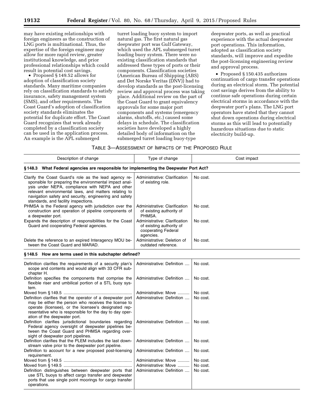may have existing relationships with foreign engineers as the construction of LNG ports is multinational. Thus, the expertise of the foreign engineer may allow for more rapid review, greater institutional knowledge, and prior professional relationships which could result in potential cost savings.

• Proposed § 149.52 allows for adoption of classification society standards. Many maritime companies rely on classification standards to satisfy insurance, safety management system (SMS), and other requirements. The Coast Guard's adoption of classification society standards eliminates the potential for duplicate effort. The Coast Guard recognizes that work already completed by a classification society can be used in the application process. An example is the APL submerged

turret loading buoy system to import natural gas. The first natural gas deepwater port was Gulf Gateway, which used the APL submerged turret loading buoy system. There were no existing classification standards that addressed these types of ports or their components. Classification societies (American Bureau of Shipping (ABS) and Det Norske Veritas (DNV)) had to develop standards as the post-licensing review and approval process was taking place. Additional review on the part of the Coast Guard to grant equivalency approvals for some major port components and systems (emergency alarms, shutoffs, etc.) caused some delays in schedule. The classification societies have developed a highly detailed body of information on the submerged turret loading buoy-type

deepwater ports, as well as practical experience with the actual deepwater port operations. This information, adopted as classification society standards, will improve and expedite the post-licensing engineering review and approval process.

• Proposed § 150.435 authorizes continuation of cargo transfer operations during an electrical storm. The potential cost savings derives from the ability to continue safe operations during certain electrical storms in accordance with the deepwater port's plans. The LNG port operators have stated that they cannot shut down operations during electrical storms as this will lead to potentially hazardous situations due to static electricity build-up.

| TABLE 3—ASSESSMENT OF IMPACTS OF THE PROPOSED RULE |  |
|----------------------------------------------------|--|
|----------------------------------------------------|--|

| Description of change                                                                                                                                                                                                                                                                                                        | Type of change                                                                                | Cost impact                      |  |
|------------------------------------------------------------------------------------------------------------------------------------------------------------------------------------------------------------------------------------------------------------------------------------------------------------------------------|-----------------------------------------------------------------------------------------------|----------------------------------|--|
| §148.3 What Federal agencies are responsible for implementing the Deepwater Port Act?                                                                                                                                                                                                                                        |                                                                                               |                                  |  |
| Clarify the Coast Guard's role as the lead agency re-<br>sponsible for preparing the environmental impact anal-<br>ysis under NEPA, compliance with NEPA and other<br>relevant environmental laws, and matters relating to<br>navigation safety and security, engineering and safety<br>standards, and facility inspections. | Administrative: Clarification<br>of existing role.                                            | No cost.                         |  |
| PHMSA is the Federal agency with jurisdiction over the<br>construction and operation of pipeline components of<br>a deepwater port.                                                                                                                                                                                          | Administrative: Clarification<br>of existing authority of<br>PHMSA.                           | No cost.                         |  |
| Expands the description of responsibilities for the Coast<br>Guard and cooperating Federal agencies.                                                                                                                                                                                                                         | Administrative: Clarification<br>of existing authority of<br>cooperating Federal<br>agencies. | No cost.                         |  |
| Delete the reference to an expired Interagency MOU be-<br>tween the Coast Guard and MARAD.                                                                                                                                                                                                                                   | Administrative: Deletion of<br>outdated reference.                                            | No cost.                         |  |
| §148.5 How are terms used in this subchapter defined?                                                                                                                                                                                                                                                                        |                                                                                               |                                  |  |
| Definition clarifies the requirements of a security plan's<br>scope and contents and would align with 33 CFR sub-<br>chapter H.                                                                                                                                                                                              | Administrative: Definition                                                                    | No cost.                         |  |
| Definition specifies the components that comprise the<br>flexible riser and umbilical portion of a STL buoy sys-<br>tem.                                                                                                                                                                                                     | Administrative: Definition                                                                    | No cost.                         |  |
| Definition clarifies that the operator of a deepwater port<br>may be either the person who receives the license to<br>operate (licensee), or the licensee's designated rep-<br>resentative who is responsible for the day to day oper-<br>ation of the deepwater port.                                                       | Administrative: Move<br>Administrative: Definition                                            | No cost.<br>No cost.             |  |
| Definition clarifies jurisdictional boundaries regarding<br>Federal agency oversight of deepwater pipelines be-<br>tween the Coast Guard and PHMSA regarding over-<br>sight of deepwater port pipelines.                                                                                                                     | Administrative: Definition                                                                    | No cost.                         |  |
| Definition clarifies that the PLEM includes the last down-<br>stream valve prior to the deepwater port pipeline.                                                                                                                                                                                                             | Administrative: Definition                                                                    | No cost.                         |  |
| Definition to account for a new proposed post-licensing<br>requirement.                                                                                                                                                                                                                                                      | Administrative: Definition                                                                    | No cost.                         |  |
| Definition distinguishes between deepwater ports that<br>use STL buoys to affect cargo transfer and deepwater<br>ports that use single point moorings for cargo transfer<br>operations.                                                                                                                                      | Administrative: Move<br>Administrative: Move<br>Administrative: Definition                    | No cost.<br>No cost.<br>No cost. |  |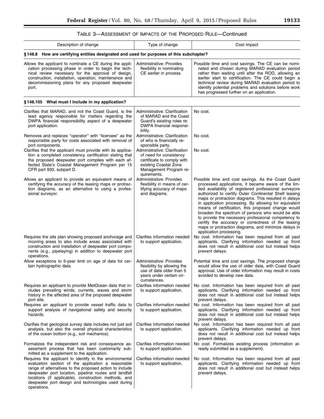▀

# TABLE 3—ASSESSMENT OF IMPACTS OF THE PROPOSED RULE—Continued

| Description of change                                                                                                                                                                                                                                                                       | Type of change                                                                  | Cost impact                                                                                                                                                                                                                                                                                                                                                                        |  |
|---------------------------------------------------------------------------------------------------------------------------------------------------------------------------------------------------------------------------------------------------------------------------------------------|---------------------------------------------------------------------------------|------------------------------------------------------------------------------------------------------------------------------------------------------------------------------------------------------------------------------------------------------------------------------------------------------------------------------------------------------------------------------------|--|
| §148.8 How are certifying entities designated and used for purposes of this subchapter?                                                                                                                                                                                                     |                                                                                 |                                                                                                                                                                                                                                                                                                                                                                                    |  |
| Allows the applicant to nominate a CE during the appli-<br>cation processing phase in order to begin the tech-<br>nical review necessary for the approval of design,<br>construction, installation, operation, maintenance and<br>decommissioning plans for any proposed deepwater<br>port. | Administrative: Provides<br>flexibility in nominating<br>CE earlier in process. | Possible time and cost savings. The CE can be nomi-<br>nated and chosen during MARAD evaluation period<br>rather than waiting until after the ROD, allowing an<br>earlier start to certification. The CE could begin a<br>technical review during MARAD evaluation period to<br>identify potential problems and solutions before work<br>has progressed further on an application. |  |

# **§ 148.105 What must I include in my application?**

| Clarifies that MARAD, and not the Coast Guard, is the<br>lead agency responsible for matters regarding the<br>DWPA financial responsibility aspect of a deepwater<br>port application.                                                                                                                                                                         | Administrative: Clarification<br>of MARAD and the Coast<br>Guard's existing roles re:<br>DWPA financial responsi-<br>bility.                             | No cost.                                                                                                                                                                                                                                                                                                                                                                                                                                                                                                                                                                                                                                                  |
|----------------------------------------------------------------------------------------------------------------------------------------------------------------------------------------------------------------------------------------------------------------------------------------------------------------------------------------------------------------|----------------------------------------------------------------------------------------------------------------------------------------------------------|-----------------------------------------------------------------------------------------------------------------------------------------------------------------------------------------------------------------------------------------------------------------------------------------------------------------------------------------------------------------------------------------------------------------------------------------------------------------------------------------------------------------------------------------------------------------------------------------------------------------------------------------------------------|
| Removes and replaces "operator" with "licensee" as the<br>responsible party for costs associated with removal of<br>port components.                                                                                                                                                                                                                           | Administrative: Clarification<br>of who is financially re-<br>sponsible party.                                                                           | No cost.                                                                                                                                                                                                                                                                                                                                                                                                                                                                                                                                                                                                                                                  |
| Clarifies that the applicant must provide with its applica-<br>tion a completed consistency certification stating that<br>the proposed deepwater port complies with each af-<br>fected State's Coastal Management Program per 15<br>CFR part 930, subpart D.                                                                                                   | Administrative: Clarification<br>of need for consistency<br>certificate to comply with<br>existing Coastal Zone<br>Management Program re-<br>quirements. | No cost.                                                                                                                                                                                                                                                                                                                                                                                                                                                                                                                                                                                                                                                  |
| Allows an applicant to provide an equivalent means of<br>certifying the accuracy of the leasing maps or protrac-<br>tion diagrams, as an alternative to using a profes-<br>sional surveyor.                                                                                                                                                                    | Administrative: Provides<br>flexibility in means of cer-<br>tifying accuracy of maps<br>and diagrams.                                                    | Possible time and cost savings. As the Coast Guard<br>processed applications, it became aware of the lim-<br>ited availability of registered professional surveyors<br>authorized to certify Outer Continental Shelf leasing<br>maps or protraction diagrams. This resulted in delays<br>in application processing. By allowing for equivalent<br>means of certification, this proposed change would<br>broaden the spectrum of persons who would be able<br>to provide the necessary professional competency to<br>certify the accuracy or correctness of the leasing<br>maps or protraction diagrams, and minimize delays in<br>application processing. |
| Requires the site plan showing proposed anchorage and<br>mooring areas to also include areas associated with<br>construction and installation of deepwater port compo-<br>nents (e.g., pipelaying) in addition to deepwater port<br>operations.                                                                                                                | Clarifies information needed<br>to support application.                                                                                                  | No cost. Information has been required from all past<br>applicants. Clarifying information needed up front<br>does not result in additional cost but instead helps<br>prevent delays.                                                                                                                                                                                                                                                                                                                                                                                                                                                                     |
| Allow exceptions to 5-year limit on age of data for cer-<br>tain hydrographic data.                                                                                                                                                                                                                                                                            | Administrative: Provides<br>flexibility by allowing the<br>use of data older than 5<br>years under certain cir-<br>cumstances.                           | Potential time and cost savings. The proposed change<br>would allow the use of older data, with Coast Guard<br>approval. Use of older information may result in costs<br>avoided to develop new data.                                                                                                                                                                                                                                                                                                                                                                                                                                                     |
| Requires an applicant to provide MetOcean data that in-<br>cludes prevailing winds, currents, waves and storm<br>history in the affected area of the proposed deepwater<br>port site.                                                                                                                                                                          | Clarifies information needed<br>to support application.                                                                                                  | No cost. Information has been required from all past<br>applicants. Clarifying information needed up front<br>does not result in additional cost but instead helps<br>prevent delays.                                                                                                                                                                                                                                                                                                                                                                                                                                                                     |
| Requires an applicant to provide vessel traffic data to<br>support analysis of navigational safety and security<br>hazards.                                                                                                                                                                                                                                    | Clarifies information needed<br>to support application.                                                                                                  | No cost. Information has been required from all past<br>applicants. Clarifying information needed up front<br>does not result in additional cost but instead helps<br>prevent delays.                                                                                                                                                                                                                                                                                                                                                                                                                                                                     |
| Clarifies that geological survey data includes not just soil<br>analysis, but also the overall physical characteristics<br>of the ocean bottom (e.g., soil mechanics).                                                                                                                                                                                         | Clarifies information needed<br>to support application.                                                                                                  | No cost. Information has been required from all past<br>applicants. Clarifying information needed up front<br>does not result in additional cost but instead helps<br>prevent delays.                                                                                                                                                                                                                                                                                                                                                                                                                                                                     |
| Formalizes the independent risk and consequence as-<br>sessment process that has been customarily sub-<br>mitted as a supplement to the application.                                                                                                                                                                                                           | Clarifies information needed  <br>to support application.                                                                                                | No cost. Formalizes existing process (information al-<br>ready submitted as a supplement).                                                                                                                                                                                                                                                                                                                                                                                                                                                                                                                                                                |
| Requires the applicant to identify in the environmental<br>evaluation section of the application a reasonable<br>range of alternatives to the proposed action to include<br>deepwater port location, pipeline routes and landfall<br>locations (if applicable), construction methods, and<br>deepwater port design and technologies used during<br>operations. | Clarifies information needed<br>to support application.                                                                                                  | No cost. Information has been required from all past<br>applicants. Clarifying information needed up front<br>does not result in additional cost but instead helps<br>prevent delays.                                                                                                                                                                                                                                                                                                                                                                                                                                                                     |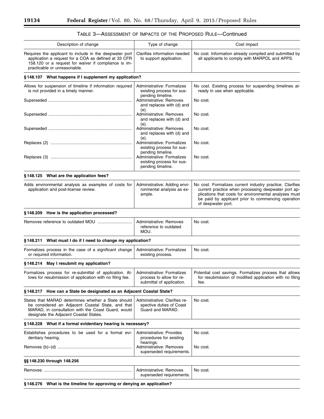| Description of change                                                                                                                                                                                    | Type of change                                                                      | Cost impact                                                                                                                                                                                                                                          |
|----------------------------------------------------------------------------------------------------------------------------------------------------------------------------------------------------------|-------------------------------------------------------------------------------------|------------------------------------------------------------------------------------------------------------------------------------------------------------------------------------------------------------------------------------------------------|
| Requires the applicant to include in the deepwater port<br>application a request for a COA as defined at 33 CFR<br>158.120 or a request for waiver if compliance is im-<br>practicable or unreasonable.  | Clarifies information needed<br>to support application.                             | No cost. Information already compiled and submitted by<br>all applicants to comply with MARPOL and APPS.                                                                                                                                             |
| §148.107 What happens if I supplement my application?                                                                                                                                                    |                                                                                     |                                                                                                                                                                                                                                                      |
| Allows for suspension of timeline if information required<br>is not provided in a timely manner.                                                                                                         | Administrative: Formalizes<br>existing process for sus-<br>pending timeline.        | No cost. Existing process for suspending timelines al-<br>ready in use when applicable.                                                                                                                                                              |
|                                                                                                                                                                                                          | Administrative: Removes<br>and replaces with (d) and<br>(e).                        | No cost.                                                                                                                                                                                                                                             |
|                                                                                                                                                                                                          | Administrative: Removes<br>and replaces with (d) and<br>(e).                        | No cost.                                                                                                                                                                                                                                             |
|                                                                                                                                                                                                          | Administrative: Removes<br>and replaces with (d) and<br>(e).                        | No cost.                                                                                                                                                                                                                                             |
|                                                                                                                                                                                                          | Administrative: Formalizes<br>existing process for sus-<br>pending timeline.        | No cost.                                                                                                                                                                                                                                             |
|                                                                                                                                                                                                          | Administrative: Formalizes<br>existing process for sus-<br>pending timeline.        | No cost.                                                                                                                                                                                                                                             |
| §148.125 What are the application fees?                                                                                                                                                                  |                                                                                     |                                                                                                                                                                                                                                                      |
| Adds environmental analysis as examples of costs for<br>application and post-license review.                                                                                                             | Administrative: Adding envi-<br>ronmental analysis as ex-<br>ample.                 | No cost. Formalizes current industry practice. Clarifies<br>current practice when processing deepwater port ap-<br>plications that costs for environmental analyses must<br>be paid by applicant prior to commencing operation<br>of deepwater port. |
| §148.209 How is the application processed?                                                                                                                                                               |                                                                                     |                                                                                                                                                                                                                                                      |
|                                                                                                                                                                                                          | Administrative: Removes<br>reference to outdated<br>MOU.                            | No cost.                                                                                                                                                                                                                                             |
| §148.211 What must I do if I need to change my application?                                                                                                                                              |                                                                                     |                                                                                                                                                                                                                                                      |
| Formalizes process in the case of a significant change<br>or required information.                                                                                                                       | Administrative: Formalizes<br>existing process.                                     | No cost.                                                                                                                                                                                                                                             |
| §148.214 May I resubmit my application?                                                                                                                                                                  |                                                                                     |                                                                                                                                                                                                                                                      |
| Formalizes process for re-submittal of application. Al-<br>lows for resubmission of application with no filing fee.                                                                                      | Administrative: Formalizes<br>process to allow for re-<br>submittal of application. | Potential cost savings. Formalizes process that allows<br>for resubmission of modified application with no filing<br>fee.                                                                                                                            |
| §148.217 How can a State be designated as an Adjacent Coastal State?                                                                                                                                     |                                                                                     |                                                                                                                                                                                                                                                      |
| States that MARAD determines whether a State should<br>be considered an Adjacent Coastal State, and that<br>MARAD, in consultation with the Coast Guard, would<br>designate the Adjacent Coastal States. | Administrative: Clarifies re-<br>spective duties of Coast<br>Guard and MARAD.       | No cost.                                                                                                                                                                                                                                             |
| §148.228 What if a formal evidentiary hearing is necessary?                                                                                                                                              |                                                                                     |                                                                                                                                                                                                                                                      |
| Establishes procedures to be used for a formal evi-<br>dentiary hearing.                                                                                                                                 | Administrative: Provides<br>procedures for existing                                 | No cost.                                                                                                                                                                                                                                             |
|                                                                                                                                                                                                          | hearings.<br>Administrative: Removes<br>superseded requirements.                    | No cost.                                                                                                                                                                                                                                             |
| §§ 148.230 through 148.256                                                                                                                                                                               |                                                                                     |                                                                                                                                                                                                                                                      |
|                                                                                                                                                                                                          | Administrative: Removes<br>superseded requirements.                                 | No cost.                                                                                                                                                                                                                                             |
| §148.276 What is the timeline for approving or denying an application?                                                                                                                                   |                                                                                     |                                                                                                                                                                                                                                                      |

# TABLE 3—ASSESSMENT OF IMPACTS OF THE PROPOSED RULE—Continued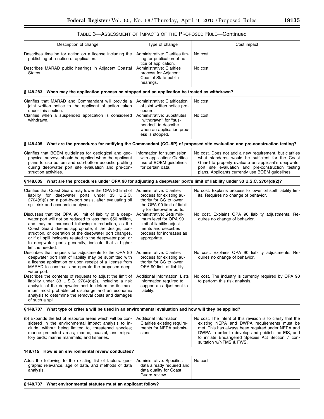| TABLE 3—ASSESSMENT OF IMPACTS OF THE PROPOSED RULE—Continued |  |  |
|--------------------------------------------------------------|--|--|
|                                                              |  |  |

| Description of change                                                                                                                                                                                                                                                                                                                                                                                                                 | Type of change                                                                                                                                                                                          | Cost impact                                                                                                                                                                                                                                                                                          |
|---------------------------------------------------------------------------------------------------------------------------------------------------------------------------------------------------------------------------------------------------------------------------------------------------------------------------------------------------------------------------------------------------------------------------------------|---------------------------------------------------------------------------------------------------------------------------------------------------------------------------------------------------------|------------------------------------------------------------------------------------------------------------------------------------------------------------------------------------------------------------------------------------------------------------------------------------------------------|
| Describes timeline for action on a license including the<br>publishing of a notice of application.<br>Describes MARAD public hearings in Adjacent Coastal<br>States.                                                                                                                                                                                                                                                                  | Administrative: Clarifies tim-<br>ing for publication of no-<br>tice of application.<br>Administrative: Clarifies<br>process for Adjacent<br>Coastal State public<br>hearings.                          | No cost.<br>No cost.                                                                                                                                                                                                                                                                                 |
| §148.283 When may the application process be stopped and an application be treated as withdrawn?                                                                                                                                                                                                                                                                                                                                      |                                                                                                                                                                                                         |                                                                                                                                                                                                                                                                                                      |
| Clarifies that MARAD and Commandant will provide a<br>joint written notice to the applicant of action taken<br>under this section.<br>Clarifies when a suspended application is considered<br>withdrawn.                                                                                                                                                                                                                              | Administrative: Clarification<br>of joint written notice pro-<br>cedure.<br>Administrative: Substitutes<br>"withdrawn" for "sus-<br>pended" to describe<br>when an application proc-<br>ess is stopped. | No cost.<br>No cost.                                                                                                                                                                                                                                                                                 |
| §148.405 What are the procedures for notifying the Commandant (CG-5P) of proposed site evaluation and pre-construction testing?                                                                                                                                                                                                                                                                                                       |                                                                                                                                                                                                         |                                                                                                                                                                                                                                                                                                      |
| Clarifies that BOEM quidelines for geological and geo-<br>physical surveys should be applied when the applicant<br>plans to use bottom and sub-bottom acoustic profiling<br>during deepwater port site evaluation and pre-con-<br>struction activities.                                                                                                                                                                               | Information for submission<br>with application: Clarifies<br>use of BOEM guidelines<br>for certain data.                                                                                                | No cost. Does not add a new requirement, but clarifies<br>what standards would be sufficient for the Coast<br>Guard to properly evaluate an applicant's deepwater<br>port site evaluation and pre-construction testing<br>plans. Applicants currently use BOEM guidelines.                           |
| §148.605 What are the procedures under OPA 90 for adjusting a deepwater port's limit of liability under 33 U.S.C. 2704(d)(2)?                                                                                                                                                                                                                                                                                                         |                                                                                                                                                                                                         |                                                                                                                                                                                                                                                                                                      |
| Clarifies that Coast Guard may lower the OPA 90 limit of<br>liability for deepwater ports under 33 U.S.C.<br>2704(d)(2) on a port-by-port basis, after evaluating oil<br>spill risk and economic analyses.                                                                                                                                                                                                                            | Administrative: Clarifies<br>process for existing au-<br>thority for CG to lower<br>the OPA 90 limit of liabil-<br>ity for deepwater ports.                                                             | No cost. Explains process to lower oil spill liability lim-<br>its. Requires no change of behavior.                                                                                                                                                                                                  |
| Discusses that the OPA 90 limit of liability of a deep-<br>water port will not be reduced to less than \$50 million,<br>and may be increased following a reduction, as the<br>Coast Guard deems appropriate, if the design, con-<br>struction, or operation of the deepwater port changes,<br>or if oil spill incidents related to the deepwater port, or<br>to deepwater ports generally, indicate that a higher<br>limit is needed. | Administrative: Sets min-<br>imum level for OPA 90<br>limit of liability adjust-<br>ments and describes<br>process for increases as<br>appropriate.                                                     | No cost. Explains OPA 90 liability adjustments. Re-<br>quires no change of behavior.                                                                                                                                                                                                                 |
| Describes that requests for adjustments to the OPA 90<br>deepwater port limit of liability may be submitted with<br>a license application or upon receipt of a license from<br>MARAD to construct and operate the proposed deep-                                                                                                                                                                                                      | Administrative: Clarifies<br>process for existing au-<br>thority for CG to lower<br>OPA 90 limit of liability.                                                                                          | No cost. Explains OPA 90 liability adjustments. Re-<br>quires no change of behavior.                                                                                                                                                                                                                 |
| water port.<br>Describes the contents of requests to adjust the limit of<br>liability under 33 U.S.C. 2704(d)(2), including a risk<br>analysis of the deepwater port to determine its max-<br>imum most probable oil discharge and an economic<br>analysis to determine the removal costs and damages<br>of such a spill.                                                                                                             | Additional Information: Lists<br>information required to<br>support an adjustment to<br>liability.                                                                                                      | No cost. The industry is currently required by OPA 90<br>to perform this risk analysis.                                                                                                                                                                                                              |
| §148.707 What type of criteria will be used in an environmental evaluation and how will they be applied?                                                                                                                                                                                                                                                                                                                              |                                                                                                                                                                                                         |                                                                                                                                                                                                                                                                                                      |
| (b) Expands the list of resource areas which will be con-<br>sidered in the environmental impact analysis to in-<br>clude, without being limited to, threatened species;<br>marine protected areas; marine, coastal, and migra-<br>tory birds; marine mammals; and fisheries.                                                                                                                                                         | Additional Information:<br>Clarifies existing require-<br>ments for NEPA submis-<br>sions.                                                                                                              | No cost. The intent of this revision is to clarify that the<br>existing NEPA and DWPA requirements must be<br>met. This has always been required under NEPA and<br>DWPA in order to develop and publish the EIS, and<br>to initiate Endangered Species Act Section 7 con-<br>sultation w/NFMS & FWS. |
| 148.715 How is an environmental review conducted?                                                                                                                                                                                                                                                                                                                                                                                     |                                                                                                                                                                                                         |                                                                                                                                                                                                                                                                                                      |
| Adds the following to the existing list of factors: geo-<br>graphic relevance, age of data, and methods of data<br>analysis.                                                                                                                                                                                                                                                                                                          | Administrative: Specifies<br>data already required and<br>data quality for Coast<br>Guard review.                                                                                                       | No cost.                                                                                                                                                                                                                                                                                             |
| §148.737 What environmental statutes must an applicant follow?                                                                                                                                                                                                                                                                                                                                                                        |                                                                                                                                                                                                         |                                                                                                                                                                                                                                                                                                      |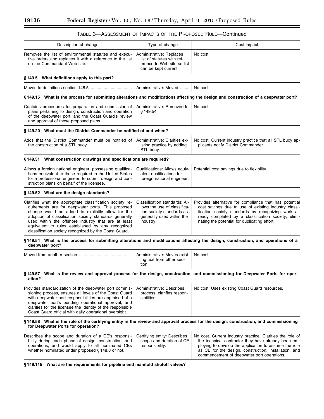| TABLE 3—ASSESSMENT OF IMPACTS OF THE PROPOSED RULE—Continued |  |  |
|--------------------------------------------------------------|--|--|
|--------------------------------------------------------------|--|--|

| Description of change                                                                                                                                                                                                                                                                                                                                                                              | Type of change                                                                                                                      | Cost impact                                                                                                                                                                                                                                                                      |
|----------------------------------------------------------------------------------------------------------------------------------------------------------------------------------------------------------------------------------------------------------------------------------------------------------------------------------------------------------------------------------------------------|-------------------------------------------------------------------------------------------------------------------------------------|----------------------------------------------------------------------------------------------------------------------------------------------------------------------------------------------------------------------------------------------------------------------------------|
| Removes the list of environmental statutes and execu-<br>tive orders and replaces it with a reference to the list<br>on the Commandant Web site.                                                                                                                                                                                                                                                   | Administrative: Replaces<br>list of statutes with ref-<br>erence to Web site so list<br>can be kept current.                        | No cost.                                                                                                                                                                                                                                                                         |
| §149.5 What definitions apply to this part?                                                                                                                                                                                                                                                                                                                                                        |                                                                                                                                     |                                                                                                                                                                                                                                                                                  |
|                                                                                                                                                                                                                                                                                                                                                                                                    | Administrative: Moved                                                                                                               | No cost.                                                                                                                                                                                                                                                                         |
| §149.15 What is the process for submitting alterations and modifications affecting the design and construction of a deepwater port?                                                                                                                                                                                                                                                                |                                                                                                                                     |                                                                                                                                                                                                                                                                                  |
| Contains procedures for preparation and submission of<br>plans pertaining to design, construction and operation<br>of the deepwater port, and the Coast Guard's review<br>and approval of these proposed plans.                                                                                                                                                                                    | Administrative: Removed to<br>§149.54.                                                                                              | No cost.                                                                                                                                                                                                                                                                         |
| §149.20 What must the District Commander be notified of and when?                                                                                                                                                                                                                                                                                                                                  |                                                                                                                                     |                                                                                                                                                                                                                                                                                  |
| Adds that the District Commander must be notified of<br>the construction of a STL buoy.                                                                                                                                                                                                                                                                                                            | Administrative: Clarifies ex-<br>isting practice by adding<br>STL buoy.                                                             | No cost. Current industry practice that all STL buoy ap-<br>plicants notify District Commander.                                                                                                                                                                                  |
| §149.51 What construction drawings and specifications are required?                                                                                                                                                                                                                                                                                                                                |                                                                                                                                     |                                                                                                                                                                                                                                                                                  |
| Allows a foreign national engineer, possessing qualifica-<br>tions equivalent to those required in the United States<br>for a professional engineer, to submit design and con-<br>struction plans on behalf of the licensee.                                                                                                                                                                       | Qualifications: Allows equiv-<br>alent qualifications for<br>foreign national engineer.                                             | Potential cost savings due to flexibility.                                                                                                                                                                                                                                       |
| §149.52 What are the design standards?                                                                                                                                                                                                                                                                                                                                                             |                                                                                                                                     |                                                                                                                                                                                                                                                                                  |
| Clarifies what the appropriate classification society re-<br>quirements are for deepwater ports. This proposed<br>change would be added to explicitly allow for the<br>adoption of classification society standards generally<br>used within the offshore industry that are at least<br>equivalent to rules established by any recognized<br>classification society recognized by the Coast Guard. | Classification standards: Al-<br>lows the use of classifica-<br>tion society standards as<br>generally used within the<br>industry. | Provides alternative for compliance that has potential<br>cost savings due to use of existing industry classi-<br>fication society standards by recognizing work al-<br>ready completed by a classification society, elimi-<br>nating the potential for duplicating effort.      |
| §149.54 What is the process for submitting alterations and modifications affecting the design, construction, and operations of a<br>deepwater port?                                                                                                                                                                                                                                                |                                                                                                                                     |                                                                                                                                                                                                                                                                                  |
|                                                                                                                                                                                                                                                                                                                                                                                                    | Administrative: Moves exist-<br>ing text from other sec-<br>tion.                                                                   | No cost.                                                                                                                                                                                                                                                                         |
| §149.57 What is the review and approval process for the design, construction, and commissioning for Deepwater Ports for oper-<br>ation?                                                                                                                                                                                                                                                            |                                                                                                                                     |                                                                                                                                                                                                                                                                                  |
| Provides standardization of the deepwater port commis-<br>sioning process, ensures all levels of the Coast Guard<br>with deepwater port responsibilities are appraised of a<br>deepwater port's pending operational approval, and<br>clarifies for the licensee the identity of the responsible<br>Coast Guard official with daily operational oversight.                                          | Administrative: Describes<br>process, clarifies respon-<br>sibilities.                                                              | No cost. Uses existing Coast Guard resources.                                                                                                                                                                                                                                    |
| §149.58 What is the role of the certifying entity in the review and approval process for the design, construction, and commissioning<br>for Deepwater Ports for operation?                                                                                                                                                                                                                         |                                                                                                                                     |                                                                                                                                                                                                                                                                                  |
| Describes the scope and duration of a CE's responsi-<br>bility during each phase of design, construction, and<br>operations, and would apply to all nominated CEs<br>whether nominated under proposed § 148.8 or not.                                                                                                                                                                              | Certifying entity: Describes<br>scope and duration of CE<br>responsibility.                                                         | No cost. Current industry practice. Clarifies the role of<br>the technical contractor they have already been em-<br>ploying to develop the application to assume the role<br>as CE for the design, construction, installation, and<br>commencement of deepwater port operations. |

**§ 149.115 What are the requirements for pipeline end manifold shutoff valves?**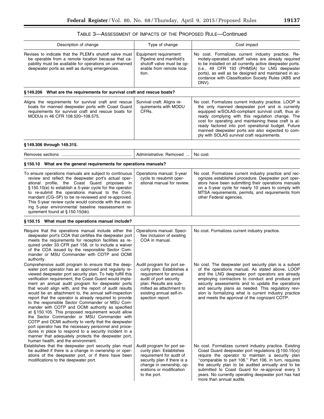# TABLE 3—ASSESSMENT OF IMPACTS OF THE PROPOSED RULE—Continued

| Type of change                                                                                                                                                                                                                                                                                                                                                     | Cost impact                                                                                                                                                                                                                                                                                                                                                                                                                                                                                                                                                                                                                                                                                                                                                                          |
|--------------------------------------------------------------------------------------------------------------------------------------------------------------------------------------------------------------------------------------------------------------------------------------------------------------------------------------------------------------------|--------------------------------------------------------------------------------------------------------------------------------------------------------------------------------------------------------------------------------------------------------------------------------------------------------------------------------------------------------------------------------------------------------------------------------------------------------------------------------------------------------------------------------------------------------------------------------------------------------------------------------------------------------------------------------------------------------------------------------------------------------------------------------------|
| Equipment requirement:<br>Pipeline end manifold's<br>shutoff valve must be op-<br>erable from remote loca-<br>tion.                                                                                                                                                                                                                                                | No cost. Formalizes current industry practice. Re-<br>motely-operated shutoff valves are already required<br>to be installed on all currently active deepwater ports.<br>(i.e., 49 CFR 193 (PHMSA) for LNG deepwater<br>ports), as well as be designed and maintained in ac-<br>cordance with Classification Society Rules (ABS and<br>DNV).                                                                                                                                                                                                                                                                                                                                                                                                                                         |
|                                                                                                                                                                                                                                                                                                                                                                    |                                                                                                                                                                                                                                                                                                                                                                                                                                                                                                                                                                                                                                                                                                                                                                                      |
| Survival craft: Aligns re-<br>quirements with MODU<br>CFRs.                                                                                                                                                                                                                                                                                                        | No cost. Formalizes current industry practice. LOOP is<br>the only manned deepwater port and is currently<br>equipped w/SOLAS-compliant survival craft, thus al-<br>ready complying with this regulation change. The<br>cost for operating and maintaining these craft is al-<br>ready factored into port operational budget. Future<br>manned deepwater ports are also expected to com-<br>ply with SOLAS survival craft requirements.                                                                                                                                                                                                                                                                                                                                              |
|                                                                                                                                                                                                                                                                                                                                                                    |                                                                                                                                                                                                                                                                                                                                                                                                                                                                                                                                                                                                                                                                                                                                                                                      |
| Administrative: Removed                                                                                                                                                                                                                                                                                                                                            | No cost.                                                                                                                                                                                                                                                                                                                                                                                                                                                                                                                                                                                                                                                                                                                                                                             |
|                                                                                                                                                                                                                                                                                                                                                                    |                                                                                                                                                                                                                                                                                                                                                                                                                                                                                                                                                                                                                                                                                                                                                                                      |
| Operations manual: 5-year<br>cycle to resubmit oper-<br>ational manual for review.                                                                                                                                                                                                                                                                                 | No cost. Formalizes current industry practice and rec-<br>ognizes established procedure. Deepwater port oper-<br>ators have been submitting their operations manuals<br>on a 5-year cycle for nearly 10 years to comply with<br>MTSA requirements, permits, and requirements from<br>other Federal agencies.                                                                                                                                                                                                                                                                                                                                                                                                                                                                         |
|                                                                                                                                                                                                                                                                                                                                                                    |                                                                                                                                                                                                                                                                                                                                                                                                                                                                                                                                                                                                                                                                                                                                                                                      |
| Operations manual: Speci-<br>fies inclusion of existing<br>COA in manual.                                                                                                                                                                                                                                                                                          | No cost. Formalizes current industry practice.                                                                                                                                                                                                                                                                                                                                                                                                                                                                                                                                                                                                                                                                                                                                       |
| Audit program for port se-<br>curity plan: Establishes a<br>requirement for annual<br>audit of port security<br>plan. Results are sub-<br>mitted as attachment to<br>existing annual self-in-<br>spection report.<br>Audit program for port se-<br>curity plan: Establishes<br>requirement for audit of<br>security plan if there is a<br>change in ownership, op- | No cost. The deepwater port security plan is a subset<br>of the operations manual. As stated above, LOOP<br>and the LNG deepwater port operators are already<br>employing contractors to conduct and produce port<br>security assessments and to update the operations<br>and security plans as needed. This regulatory revi-<br>sion is formalizing what is current industry practice<br>and meets the approval of the cognizant COTP.<br>No cost. Formalizes current industry practice. Existing<br>Coast Guard deepwater port regulations $(\S 150.15(x))$<br>require the operator to maintain a security plan<br>"comparable to part 106." Part 106, in turn, requires<br>the security plan to be audited annually and to be<br>submitted to Coast Guard for re-approval every 5 |
|                                                                                                                                                                                                                                                                                                                                                                    | §149.206 What are the requirements for survival craft and rescue boats?<br>§150.10 What are the general requirements for operations manuals?<br>erations or modification                                                                                                                                                                                                                                                                                                                                                                                                                                                                                                                                                                                                             |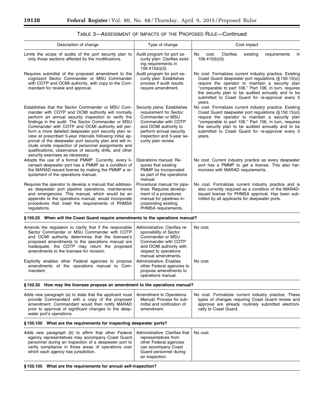$\equiv$ 

|                                                                                                                                                                                                                                                                                                                                                                                                                                                                                                                                                                                                                  |                                                                                                                                                                                                                                                               | TABLE 3—ASSESSMENT OF IMPACTS OF THE PROPOSED RULE—CONTINUED                                                                                                                                                                                                                                                                                    |  |
|------------------------------------------------------------------------------------------------------------------------------------------------------------------------------------------------------------------------------------------------------------------------------------------------------------------------------------------------------------------------------------------------------------------------------------------------------------------------------------------------------------------------------------------------------------------------------------------------------------------|---------------------------------------------------------------------------------------------------------------------------------------------------------------------------------------------------------------------------------------------------------------|-------------------------------------------------------------------------------------------------------------------------------------------------------------------------------------------------------------------------------------------------------------------------------------------------------------------------------------------------|--|
| Description of change                                                                                                                                                                                                                                                                                                                                                                                                                                                                                                                                                                                            | Type of change                                                                                                                                                                                                                                                | Cost impact                                                                                                                                                                                                                                                                                                                                     |  |
| Limits the scope of audits of the port security plan to<br>only those sections affected by the modifications.                                                                                                                                                                                                                                                                                                                                                                                                                                                                                                    | Audit program for port se-<br>curity plan: Clarifies exist-<br>ing requirements in<br>$106.415(b)(3)$ .                                                                                                                                                       | Clarifies<br>No<br>cost.<br>existing<br>requirements<br>in<br>$106.415(b)(3)$ .                                                                                                                                                                                                                                                                 |  |
| Requires submittal of the proposed amendment to the<br>cognizant Sector Commander or MSU Commander<br>with COTP and OCMI authority, with copy to the Com-<br>mandant for review and approval.                                                                                                                                                                                                                                                                                                                                                                                                                    | Audit program for port se-<br>curity plan: Establishes<br>process if audit results<br>require amendment.                                                                                                                                                      | No cost. Formalizes current industry practice. Existing<br>Coast Guard deepwater port regulations (§150.15(x))<br>require the operator to maintain a security plan<br>"comparable to part 106." Part 106, in turn, requires<br>the security plan to be audited annually and to be<br>submitted to Coast Guard for re-approval every 5<br>years. |  |
| Establishes that the Sector Commander or MSU Com-<br>mander with COTP and OCMI authority will normally<br>perform an annual security inspection to verify the<br>findings in the audit. The Sector Commander or MSU<br>Commander with COTP and OCMI authority will per-<br>form a more detailed deepwater port security plan re-<br>view at prescribed 5-year intervals following initial ap-<br>proval of the deepwater port security plan and will in-<br>clude onsite inspection of personnel assignments and<br>qualifications, observance of security drills, and other<br>security exercises as necessary. | Security plans: Establishes<br>requirement for Sector<br>Commander or MSU<br>Commander with COTP<br>and OCMI authority to<br>perform annual security<br>inspection and 5-year se-<br>curity plan review.                                                      | No cost. Formalizes current industry practice. Existing<br>Coast Guard deepwater port regulations (§150.15(x))<br>require the operator to maintain a security plan<br>"comparable to part 106." Part 106, in turn, requires<br>the security plan to be audited annually and to be<br>submitted to Coast Guard for re-approval every 5<br>years. |  |
| Adopts the use of a formal PMMP. Currently, every li-<br>censed deepwater port has a PMMP as a condition of<br>the MARAD-issued license by making the PMMP a re-<br>quirement of the operations manual.                                                                                                                                                                                                                                                                                                                                                                                                          | Operations manual: Re-<br>quires that existing<br>PMMP be incorporated<br>as part of the operations<br>manual.                                                                                                                                                | No cost. Current industry practice as every deepwater<br>port has a PMMP to get a license. This also har-<br>monizes with MARAD requirements.                                                                                                                                                                                                   |  |
| Requires the operator to develop a manual that address-<br>es deepwater port pipeline operations, maintenance<br>and emergencies. This manual, which would be an<br>appendix to the operations manual, would incorporate<br>procedures that meet the requirements of PHMSA<br>regulations.                                                                                                                                                                                                                                                                                                                       | Procedural manual for pipe-<br>lines: Requires develop-<br>ment of a procedures<br>manual for pipelines in-<br>corporating existing<br>PHMSA requirements.                                                                                                    | No cost. Formalizes current industry practice and is<br>also currently required as a condition of the MARAD-<br>issued license for PHMSA approval. Has been sub-<br>mitted by all applicants for deepwater ports.                                                                                                                               |  |
| §150.25 When will the Coast Guard require amendments to the operations manual?                                                                                                                                                                                                                                                                                                                                                                                                                                                                                                                                   |                                                                                                                                                                                                                                                               |                                                                                                                                                                                                                                                                                                                                                 |  |
| Amends the regulation to clarify that if the responsible<br>Sector Commander or MSU Commander with COTP<br>and OCMI authority determines that the licensee's<br>proposed amendments to the operations manual are<br>inadequate, the COTP may return the proposed<br>amendments to the licensee for revision.<br>Explicitly enables other Federal agencies to propose<br>amendments of the operations manual to Com-<br>mandant.                                                                                                                                                                                  | Administrative: Clarifies re-<br>sponsibility of Sector<br>Commander or MSU<br>Commander with COTP<br>and OCMI authority with<br>respect to operations<br>manual amendments.<br>Administrative: Enables<br>other Federal agencies to<br>propose amendments to | No cost.<br>No cost.                                                                                                                                                                                                                                                                                                                            |  |
|                                                                                                                                                                                                                                                                                                                                                                                                                                                                                                                                                                                                                  | operations manual.                                                                                                                                                                                                                                            |                                                                                                                                                                                                                                                                                                                                                 |  |
| §150.30 How may the licensee propose an amendment to the operations manual?                                                                                                                                                                                                                                                                                                                                                                                                                                                                                                                                      |                                                                                                                                                                                                                                                               |                                                                                                                                                                                                                                                                                                                                                 |  |
| Adds new paragraph (a) to state that the applicant must<br>provide Commandant with a copy of the proposed<br>amendment. Commandant would then notify MARAD<br>prior to approval of significant changes to the deep-<br>water port's operations.                                                                                                                                                                                                                                                                                                                                                                  | Amendment to Operations<br>Manual: Process for sub-<br>mittal and notification of<br>amendment.                                                                                                                                                               | No cost. Formalizes current industry practice. These<br>types of changes requiring Coast Guard review and<br>approval are already routinely submitted electroni-<br>cally to Coast Guard.                                                                                                                                                       |  |
| §150.100 What are the requirements for inspecting deepwater ports?                                                                                                                                                                                                                                                                                                                                                                                                                                                                                                                                               |                                                                                                                                                                                                                                                               |                                                                                                                                                                                                                                                                                                                                                 |  |
| Adds new paragraph (b) to affirm that other Federal<br>agency representatives may accompany Coast Guard<br>personnel during an inspection of a deepwater port to<br>verify compliance in those areas of operations over<br>which each agency has jurisdiction.                                                                                                                                                                                                                                                                                                                                                   | Administrative: Clarifies that<br>representatives from<br>other Federal agencies<br>can accompany Coast<br>Guard personnel during<br>an inspection.                                                                                                           | No cost.                                                                                                                                                                                                                                                                                                                                        |  |
| §150.105 What are the requirements for annual self-inspection?                                                                                                                                                                                                                                                                                                                                                                                                                                                                                                                                                   |                                                                                                                                                                                                                                                               |                                                                                                                                                                                                                                                                                                                                                 |  |

| TABLE 3—ASSESSMENT OF IMPACTS OF THE PROPOSED RULE—Continued |  |
|--------------------------------------------------------------|--|
|--------------------------------------------------------------|--|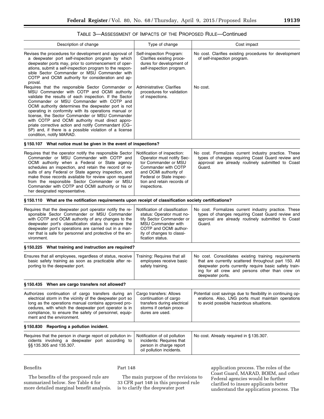## TABLE 3—ASSESSMENT OF IMPACTS OF THE PROPOSED RULE—Continued

| Description of change                                                                                                                                                                                                                                                                                                                                                                                                                                                                                                                                                   | Type of change                                                                                                                                                                                             | Cost impact                                                                                                                                                                                                                                   |
|-------------------------------------------------------------------------------------------------------------------------------------------------------------------------------------------------------------------------------------------------------------------------------------------------------------------------------------------------------------------------------------------------------------------------------------------------------------------------------------------------------------------------------------------------------------------------|------------------------------------------------------------------------------------------------------------------------------------------------------------------------------------------------------------|-----------------------------------------------------------------------------------------------------------------------------------------------------------------------------------------------------------------------------------------------|
| Revises the procedures for development and approval of<br>a deepwater port self-inspection program by which<br>deepwater ports may, prior to commencement of oper-<br>ations, submit a self-inspection program to the respon-<br>sible Sector Commander or MSU Commander with<br>COTP and OCMI authority for consideration and ap-<br>proval.                                                                                                                                                                                                                           | Self-inspection Program:<br>Clarifies existing proce-<br>dures for development of<br>self-inspection program.                                                                                              | No cost. Clarifies existing procedures for development<br>of self-inspection program.                                                                                                                                                         |
| Requires that the responsible Sector Commander or<br>MSU Commander with COTP and OCMI authority<br>validate the results of each inspection. If the Sector<br>Commander or MSU Commander with COTP and<br>OCMI authority determines the deepwater port is not<br>operating in conformity with its operations manual or<br>license, the Sector Commander or MSU Commander<br>with COTP and OCMI authority must direct appro-<br>priate corrective action and notify Commandant (CG-<br>5P) and, if there is a possible violation of a license<br>condition, notify MARAD. | <b>Administrative: Clarifies</b><br>procedures for validation<br>of inspections.                                                                                                                           | No cost.                                                                                                                                                                                                                                      |
| §150.107 What notice must be given in the event of inspections?                                                                                                                                                                                                                                                                                                                                                                                                                                                                                                         |                                                                                                                                                                                                            |                                                                                                                                                                                                                                               |
| Requires that the operator notify the responsible Sector<br>Commander or MSU Commander with COTP and<br>OCMI authority when a Federal or State agency<br>schedules an inspection, and retain the record of re-<br>sults of any Federal or State agency inspection, and<br>make those records available for review upon request<br>from the responsible Sector Commander or MSU<br>Commander with COTP and OCMI authority or his or<br>her designated representative.                                                                                                    | Notification of inspection:<br>Operator must notify Sec-<br>tor Commander or MSU<br>Commander with COTP<br>and OCMI authority of<br>Federal or State inspec-<br>tion and retain records of<br>inspections. | No cost. Formalizes current industry practice. These<br>types of changes requiring Coast Guard review and<br>approval are already routinely submitted to Coast<br>Guard.                                                                      |
| §150.110 What are the notification requirements upon receipt of classification society certifications?                                                                                                                                                                                                                                                                                                                                                                                                                                                                  |                                                                                                                                                                                                            |                                                                                                                                                                                                                                               |
| Requires that the deepwater port operator notify the re-<br>sponsible Sector Commander or MSU Commander<br>with COTP and OCMI authority of any changes to the<br>deepwater port's classification status to ensure the<br>deepwater port's operations are carried out in a man-<br>ner that is safe for personnel and protective of the en-<br>vironment.                                                                                                                                                                                                                | Notification of classification<br>status: Operator must no-<br>tify Sector Commander or<br><b>MSU Commander with</b><br>COTP and OCMI author-<br>ity of changes to classi-<br>fication status.             | No cost. Formalizes current industry practice. These<br>types of changes requiring Coast Guard review and<br>approval are already routinely submitted to Coast<br>Guard.                                                                      |
| §150.225 What training and instruction are required?                                                                                                                                                                                                                                                                                                                                                                                                                                                                                                                    |                                                                                                                                                                                                            |                                                                                                                                                                                                                                               |
| Ensures that all employees, regardless of status, receive<br>basic safety training as soon as practicable after re-<br>porting to the deepwater port.                                                                                                                                                                                                                                                                                                                                                                                                                   | Training: Requires that all<br>employees receive basic<br>safety training.                                                                                                                                 | No cost. Consolidates existing training requirements<br>that are currently scattered throughout part 150. All<br>deepwater ports currently require basic safety train-<br>ing for all crew and persons other than crew on<br>deepwater ports. |
| §150.435 When are cargo transfers not allowed?                                                                                                                                                                                                                                                                                                                                                                                                                                                                                                                          |                                                                                                                                                                                                            |                                                                                                                                                                                                                                               |
| Authorizes continuation of cargo transfers during an<br>electrical storm in the vicinity of the deepwater port so<br>long as the operations manual contains approved pro-<br>cedures, with which the deepwater port operator is in<br>compliance, to ensure the safety of personnel, equip-<br>ment and the environment.                                                                                                                                                                                                                                                | Cargo transfers: Allows<br>continuation of cargo<br>transfers during electrical<br>storms if certain proce-<br>dures are used.                                                                             | Potential cost savings due to flexibility in continuing op-<br>erations. Also, LNG ports must maintain operations<br>to avoid possible hazardous situations.                                                                                  |
| §150.830 Reporting a pollution incident.                                                                                                                                                                                                                                                                                                                                                                                                                                                                                                                                |                                                                                                                                                                                                            |                                                                                                                                                                                                                                               |
| Requires that the person in charge report oil pollution in-<br>cidents involving a deepwater port according to<br>§§ 135.305 and 135.307.                                                                                                                                                                                                                                                                                                                                                                                                                               | Notification of oil pollution<br>incidents: Requires that<br>person in charge report<br>oil pollution incidents.                                                                                           | No cost. Already required in §135.307.                                                                                                                                                                                                        |

Benefits

Part 148

The benefits of the proposed rule are summarized below. See Table 4 for more detailed marginal benefit analysis.

The main purpose of the revisions to 33 CFR part 148 in this proposed rule is to clarify the deepwater port

application process. The roles of the Coast Guard, MARAD, BOEM, and other Federal agencies would be further clarified to insure applicants better understand the application process. The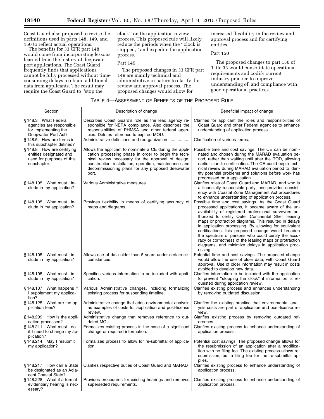Coast Guard also proposed to revise the definitions used in parts 148, 149, and 150 to reflect actual operations.

The benefits for 33 CFR part 148 would come from incorporating lessons learned from the history of deepwater port applications. The Coast Guard frequently finds that applications cannot be fully processed without timeconsuming delays to obtain additional data from applicants. The result may require the Coast Guard to ''stop the

clock'' on the application review process. This proposed rule will likely reduce the periods when the ''clock is stopped,'' and expedite the application process.

Part 149

The proposed changes in 33 CFR part 149 are mainly technical and administrative in nature to clarify the review and approval process. The proposed changes would allow for

increased flexibility in the review and approval process and for certifying entities.

Part 150

The proposed changes to part 150 of Title 33 would consolidate operational requirements and codify current industry practice to improve understanding of, and compliance with, good operational practices.

| Section                                                                                          | Description of change                                                                                                                                                                                                                                                                       | Beneficial impact of change                                                                                                                                                                                                                                                                                                                                                                                                                                                                                                                                                        |
|--------------------------------------------------------------------------------------------------|---------------------------------------------------------------------------------------------------------------------------------------------------------------------------------------------------------------------------------------------------------------------------------------------|------------------------------------------------------------------------------------------------------------------------------------------------------------------------------------------------------------------------------------------------------------------------------------------------------------------------------------------------------------------------------------------------------------------------------------------------------------------------------------------------------------------------------------------------------------------------------------|
| §148.3 What Federal<br>agencies are responsible<br>for implementing the<br>Deepwater Port Act?   | Describes Coast Guard's role as the lead agency re-<br>sponsible for NEPA compliance. Also describes the<br>responsibilities of PHMSA and other federal agen-<br>cies. Deletes reference to expired MOU.                                                                                    | Clarifies for applicant the roles and responsibilities of<br>Coast Guard and other Federal agencies to enhance<br>understanding of application process.                                                                                                                                                                                                                                                                                                                                                                                                                            |
| §148.5 How are terms in<br>this subchapter defined?                                              | Administrative definitions and reorganization                                                                                                                                                                                                                                               | Clarification of various terms.                                                                                                                                                                                                                                                                                                                                                                                                                                                                                                                                                    |
| §148.8 How are certifying<br>entities designated and<br>used for purposes of this<br>subchapter. | Allows the applicant to nominate a CE during the appli-<br>cation processing phase in order to begin the tech-<br>nical review necessary for the approval of design,<br>construction, installation, operation, maintenance and<br>decommissioning plans for any proposed deepwater<br>port. | Possible time and cost savings. The CE can be nomi-<br>nated and chosen during the MARAD evaluation pe-<br>riod, rather than waiting until after the ROD, allowing<br>earlier start to certification. The CE could begin tech-<br>nical review during MARAD evaluation period to iden-<br>tify potential problems and solutions before work has<br>progressed on a application.                                                                                                                                                                                                    |
| $§ 148.105$ What must I in-<br>clude in my application?                                          |                                                                                                                                                                                                                                                                                             | Clarifies roles of Coast Guard and MARAD, and who is<br>a financially responsible party, and provides consist-<br>ency with Coastal Zone Management Act procedures<br>to enhance understanding of application process.                                                                                                                                                                                                                                                                                                                                                             |
| $§ 148.105$ What must I in-<br>clude in my application?                                          | Provides flexibility in means of certifying accuracy of<br>maps and diagrams.                                                                                                                                                                                                               | Possible time and cost savings. As the Coast Guard<br>processed applications, it became aware of the un-<br>availability of registered professional surveyors au-<br>thorized to certify Outer Continental Shelf leasing<br>maps or protraction diagrams. This resulted in delays<br>in application processing. By allowing for equivalent<br>certifications, this proposed change would broaden<br>the spectrum of persons who could certify the accu-<br>racy or correctness of the leasing maps or protraction<br>diagrams, and minimize delays in application proc-<br>essing. |
| §148.105 What must I in-<br>clude in my application?                                             | Allows use of data older than 5 years under certain cir-<br>cumstances.                                                                                                                                                                                                                     | Potential time and cost savings. The proposed change<br>would allow the use of older data, with Coast Guard<br>approval. Use of older information may result in costs<br>avoided to develop new data.                                                                                                                                                                                                                                                                                                                                                                              |
| $§ 148.105$ What must I in-<br>clude in my application?                                          | Specifies various information to be included with appli-<br>cation.                                                                                                                                                                                                                         | Clarifies information to be included with the application<br>to prevent "stopping the clock" if information is re-<br>quested during application review.                                                                                                                                                                                                                                                                                                                                                                                                                           |
| §148.107 What happens if<br>I supplement my applica-<br>tion?                                    | Various Administrative changes, including formalizing<br>existing process for suspending timeline.                                                                                                                                                                                          | Clarifies existing process and enhances understanding<br>by removing outdated discussion.                                                                                                                                                                                                                                                                                                                                                                                                                                                                                          |
| §148.125 What are the ap-<br>plication fees?                                                     | Administrative change that adds environmental analysis<br>as examples of costs for application and post-license<br>review.                                                                                                                                                                  | Clarifies the existing practice that environmental anal-<br>ysis costs are part of application and post-license re-<br>view.                                                                                                                                                                                                                                                                                                                                                                                                                                                       |
| §148.209 How is the appli-<br>cation processed?                                                  | Administrative change that removes reference to out-<br>dated MOU.                                                                                                                                                                                                                          | Clarifies existing process by removing outdated ref-<br>erences.                                                                                                                                                                                                                                                                                                                                                                                                                                                                                                                   |
| §148.211 What must I do<br>if I need to change my ap-<br>plication?                              | Formalizes existing process in the case of a significant<br>change or required information.                                                                                                                                                                                                 | Clarifies existing process to enhance understanding of<br>application process.                                                                                                                                                                                                                                                                                                                                                                                                                                                                                                     |
| §148.214 May I resubmit<br>my application?                                                       | Formalizes process to allow for re-submittal of applica-<br>tion.                                                                                                                                                                                                                           | Potential cost savings. The proposed change allows for<br>the resubmission of an application after a modifica-<br>tion with no filing fee. The existing process allows re-<br>submission, but a filing fee for the re-submittal ap-<br>plies.                                                                                                                                                                                                                                                                                                                                      |
| §148.217 How can a State<br>be designated as an Adja-<br>cent Coastal State?                     | Clarifies respective duties of Coast Guard and MARAD                                                                                                                                                                                                                                        | Clarifies existing process to enhance understanding of<br>application process.                                                                                                                                                                                                                                                                                                                                                                                                                                                                                                     |
| §148.228 What if a formal<br>evidentiary hearing is nec-<br>essary?                              | Provides procedures for existing hearings and removes<br>superseded requirements.                                                                                                                                                                                                           | Clarifies existing process to enhance understanding of<br>application process.                                                                                                                                                                                                                                                                                                                                                                                                                                                                                                     |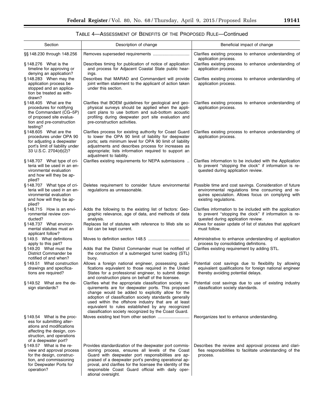| TABLE 4-ASSESSMENT OF BENEFITS OF THE PROPOSED RULE-Continued |  |
|---------------------------------------------------------------|--|
|---------------------------------------------------------------|--|

| Section                                                                                                                                                                  | Description of change                                                                                                                                                                                                                                                                                                                                                                              | Beneficial impact of change                                                                                                                                                                |
|--------------------------------------------------------------------------------------------------------------------------------------------------------------------------|----------------------------------------------------------------------------------------------------------------------------------------------------------------------------------------------------------------------------------------------------------------------------------------------------------------------------------------------------------------------------------------------------|--------------------------------------------------------------------------------------------------------------------------------------------------------------------------------------------|
| §§ 148.230 through 148.256                                                                                                                                               |                                                                                                                                                                                                                                                                                                                                                                                                    | Clarifies existing process to enhance understanding of                                                                                                                                     |
|                                                                                                                                                                          |                                                                                                                                                                                                                                                                                                                                                                                                    | application process.                                                                                                                                                                       |
| $§148.276$ What is the<br>timeline for approving or<br>denying an application?                                                                                           | Describes timing for publication of notice of application<br>and process for Adjacent Coastal State public hear-<br>ings.                                                                                                                                                                                                                                                                          | Clarifies existing process to enhance understanding of<br>application process.                                                                                                             |
| §148.283 When may the<br>application process be<br>stopped and an applica-<br>tion be treated as with-<br>drawn?                                                         | Describes that MARAD and Commandant will provide<br>joint written statement to the applicant of action taken<br>under this section.                                                                                                                                                                                                                                                                | Clarifies existing process to enhance understanding of<br>application process.                                                                                                             |
| §148.405 What are the<br>procedures for notifying<br>the Commandant (CG-5P)<br>of proposed site evalua-<br>tion and pre-construction<br>testing?                         | Clarifies that BOEM guidelines for geological and geo-<br>physical surveys should be applied when the appli-<br>cant plans to use bottom and sub-bottom acoustic<br>profiling during deepwater port site evaluation and<br>pre-construction activities.                                                                                                                                            | Clarifies existing process to enhance understanding of<br>application process.                                                                                                             |
| § 148.605 What are the<br>procedures under OPA 90<br>for adjusting a deepwater<br>port's limit of liability under<br>33 U.S.C. 2704(d)(2)?                               | Clarifies process for existing authority for Coast Guard<br>to lower the OPA 90 limit of liability for deepwater<br>ports; sets minimum level for OPA 90 limit of liability<br>adjustments and describes process for increases as<br>appropriate; lists information required to support an<br>adjustment to liability.                                                                             | Clarifies existing process to enhance understanding of<br>application process.                                                                                                             |
| §148.707 What type of cri-<br>teria will be used in an en-<br>vironmental evaluation<br>and how will they be ap-<br>plied?                                               | Clarifies existing requirements for NEPA submissions                                                                                                                                                                                                                                                                                                                                               | Clarifies information to be included with the Application<br>to prevent "stopping the clock" if information is re-<br>quested during application review.                                   |
| §148.707 What type of cri-<br>teria will be used in an en-<br>vironmental evaluation<br>and how will they be ap-<br>plied?                                               | Deletes requirement to consider future environmental<br>regulations as unreasonable.                                                                                                                                                                                                                                                                                                               | Possible time and cost savings. Consideration of future<br>environmental regulations time consuming and re-<br>quires speculation. Allows focus on complying with<br>existing regulations. |
| §148.715 How is an envi-<br>ronmental review con-<br>ducted?                                                                                                             | Adds the following to the existing list of factors: Geo-<br>graphic relevance, age of data, and methods of data<br>analysis.                                                                                                                                                                                                                                                                       | Clarifies information to be included with the application<br>to prevent "stopping the clock" if information is re-<br>quested during application review.                                   |
| $§ 148.737$ What environ-<br>mental statutes must an<br>applicant follow?                                                                                                | Replaces list of statutes with reference to Web site so<br>list can be kept current.                                                                                                                                                                                                                                                                                                               | Allows for easier update of list of statutes that applicant<br>must follow.                                                                                                                |
| §149.5 What definitions<br>apply to this part?<br>$§ 149.20$ What must the                                                                                               | Adds that the District Commander must be notified of                                                                                                                                                                                                                                                                                                                                               | Administrative to enhance understanding of application<br>process by consolidating definitions.<br>Clarifies existing requirement by adding STL.                                           |
| District Commander be<br>notified of and when?                                                                                                                           | the construction of a submerged turret loading (STL)<br>buoy.                                                                                                                                                                                                                                                                                                                                      |                                                                                                                                                                                            |
| §149.51 What construction<br>drawings and specifica-<br>tions are required?                                                                                              | Allows a foreign national engineer, possessing quali-<br>fications equivalent to those required in the United<br>States for a professional engineer, to submit design<br>and construction plans on behalf of the licensee.                                                                                                                                                                         | Potential cost savings due to flexibility by allowing<br>equivalent qualifications for foreign national engineer<br>thereby avoiding potential delays.                                     |
| $§ 149.52$ What are the de-<br>sign standards?                                                                                                                           | Clarifies what the appropriate classification society re-<br>quirements are for deepwater ports. This proposed<br>change would be added to explicitly allow for the<br>adoption of classification society standards generally<br>used within the offshore industry that are at least<br>equivalent to rules established by any recognized<br>classification society recognized by the Coast Guard. | Potential cost savings due to use of existing industry<br>classification society standards.                                                                                                |
| $§ 149.54$ What is the proc-<br>ess for submitting alter-<br>ations and modifications<br>affecting the design, con-<br>struction, and operations<br>of a deepwater port? |                                                                                                                                                                                                                                                                                                                                                                                                    | Reorganizes text to enhance understanding.                                                                                                                                                 |
| §149.57 What is the re-<br>view and approval process<br>for the design, construc-<br>tion, and commissioning<br>for Deepwater Ports for<br>operation?                    | Provides standardization of the deepwater port commis-<br>sioning process, ensures all levels of the Coast<br>Guard with deepwater port responsibilities are ap-<br>praised of a deepwater port's pending operational ap-<br>proval, and clarifies for the licensee the identity of the<br>responsible Coast Guard official with daily oper-<br>ational oversight.                                 | Describes the review and approval process and clari-<br>fies responsibilities to facilitate understanding of the<br>process.                                                               |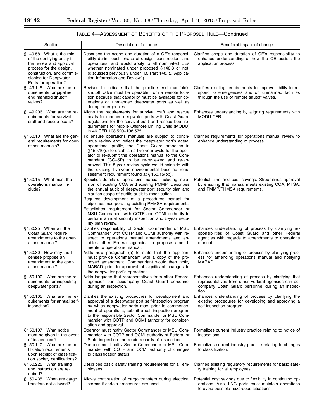| Section                                                                                                                                                                                     | Description of change                                                                                                                                                                                                                                                                                                                                                                                                                                                                                               | Beneficial impact of change                                                                                                                                             |
|---------------------------------------------------------------------------------------------------------------------------------------------------------------------------------------------|---------------------------------------------------------------------------------------------------------------------------------------------------------------------------------------------------------------------------------------------------------------------------------------------------------------------------------------------------------------------------------------------------------------------------------------------------------------------------------------------------------------------|-------------------------------------------------------------------------------------------------------------------------------------------------------------------------|
| §149.58 What is the role<br>of the certifying entity in<br>the review and approval<br>process for the design,<br>construction, and commis-<br>sioning for Deepwater<br>Ports for operation? | Describes the scope and duration of a CE's responsi-<br>bility during each phase of design, construction, and<br>operations, and would apply to all nominated CEs<br>whether nominated under proposed §148.8 or not.<br>(discussed previously under "B. Part 148, 2. Applica-<br>tion Information and Review").                                                                                                                                                                                                     | Clarifies scope and duration of CE's responsibility to<br>enhance understanding of how the CE assists the<br>application process.                                       |
| §149.115 What are the re-<br>quirements for pipeline<br>end manifold shutoff<br>valves?                                                                                                     | Revises to indicate that the pipeline end manifold's<br>shutoff valve must be operable from a remote loca-<br>tion because that capability must be available for op-<br>erations on unmanned deepwater ports as well as<br>during emergencies.                                                                                                                                                                                                                                                                      | Clarifies existing requirements to improve ability to re-<br>spond to emergencies and on unmanned facilities<br>through the use of remote shutoff valves.               |
| §149.206 What are the re-<br>quirements for survival<br>craft and rescue boats?                                                                                                             | Aligns the requirements for survival craft and rescue<br>boats for manned deepwater ports with Coast Guard<br>regulations for the survival craft and rescue boat re-<br>quirements for Mobile Offshore Drilling Units (MODU)<br>in 46 CFR 108.520-108.575.                                                                                                                                                                                                                                                          | Enhances understanding by aligning requirements with<br>MODU CFR.                                                                                                       |
| $§150.10$ What are the gen-<br>eral requirements for oper-<br>ations manuals?                                                                                                               | To ensure operations manuals are subject to contin-<br>uous review and reflect the deepwater port's actual<br>operational profile, the Coast Guard proposes in<br>§ 150.10(e) to establish a five-year cycle for the oper-<br>ator to re-submit the operations manual to the Com-<br>mandant (CG-5P) to be re-reviewed and re-ap-<br>proved. This 5-year review cycle would coincide with<br>the existing five-year environmental baseline reas-<br>sessment requirement found at §150.15(bb).                      | Clarifies requirements for operations manual review to<br>enhance understanding of process.                                                                             |
| $§ 150.15$ What must the<br>operations manual in-<br>clude?                                                                                                                                 | Specifies details of operations manual including inclu-<br>sion of existing COA and existing PMMP. Describes<br>the annual audit of deepwater port security plan and<br>clarifies scope of audits audit to modification.<br>Requires development of a procedures manual for<br>pipelines incorporating existing PHMSA requirements.<br>Establishes requirement for Sector Commander or<br>MSU Commander with COTP and OCMI authority to<br>perform annual security inspection and 5-year secu-<br>rity plan review. | Potential time and cost savings. Streamlines approval<br>by ensuring that manual meets existing COA, MTSA,<br>and PMMP/PHMSA requirements.                              |
| §150.25 When will the<br>Coast Guard require<br>amendments to the oper-<br>ations manual?                                                                                                   | Clarifies responsibility of Sector Commander or MSU<br>Commander with COTP and OCMI authority with re-<br>spect to operations manual amendments and en-<br>ables other Federal agencies to propose amend-<br>ments to operations manual.                                                                                                                                                                                                                                                                            | Enhances understanding of process by clarifying re-<br>sponsibilities of Coast Guard and other Federal<br>agencies with regards to amendments to operations<br>manual.  |
| §150.30 How may the li-<br>censee propose an<br>amendment to the oper-<br>ations manual?                                                                                                    | Adds new paragraph (a) to state that the applicant<br>must provide Commandant with a copy of the pro-<br>posed amendment. Commandant would then notify<br>MARAD prior to approval of significant changes to<br>the deepwater port's operations.                                                                                                                                                                                                                                                                     | Enhances understanding of process by clarifying proc-<br>ess for amending operations manual and notifying<br>MARAD.                                                     |
| §150.100 What are the re-<br>quirements for inspecting<br>deepwater ports?                                                                                                                  | Adds language that representatives from other Federal  <br>agencies can accompany Coast Guard personnel<br>during an inspection.                                                                                                                                                                                                                                                                                                                                                                                    | Enhances understanding of process by clarifying that<br>representatives from other Federal agencies can ac-<br>company Coast Guard personnel during an inspec-<br>tion. |
| $§150.105$ What are the re-<br>quirements for annual self-<br>inspection?                                                                                                                   | Clarifies the existing procedures for development and<br>approval of a deepwater port self-inspection program<br>by which deepwater ports may, prior to commence-<br>ment of operations, submit a self-inspection program<br>to the responsible Sector Commander or MSU Com-<br>mander with COTP and OCMI authority for consider-<br>ation and approval.                                                                                                                                                            | Enhances understanding of process by clarifying the<br>existing procedures for developing and approving a<br>self-inspection program.                                   |
| $§ 150.107$ What notice<br>must be given in the event<br>of inspections?                                                                                                                    | Operator must notify Sector Commander or MSU Com-<br>mander with COTP and OCMI authority of Federal or<br>State inspection and retain records of inspections.                                                                                                                                                                                                                                                                                                                                                       | Formalizes current industry practice relating to notice of<br>inspections.                                                                                              |
| $§ 150.110$ What are the no-<br>tification requirements<br>upon receipt of classifica-<br>tion society certifications?                                                                      | Operator must notify Sector Commander or MSU Com-<br>mander with COTP and OCMI authority of changes<br>to classification status.                                                                                                                                                                                                                                                                                                                                                                                    | Formalizes current industry practice relating to changes<br>to classification.                                                                                          |
| $§ 150.225$ What training<br>and instruction are re-<br>quired?                                                                                                                             | Describes basic safety training requirements for all em-<br>ployees.                                                                                                                                                                                                                                                                                                                                                                                                                                                | Clarifies existing regulatory requirements for basic safe-<br>ty training for all employees.                                                                            |
| §150.435 When are cargo<br>transfers not allowed?                                                                                                                                           | Allows continuation of cargo transfers during electrical<br>storms if certain procedures are used.                                                                                                                                                                                                                                                                                                                                                                                                                  | Potential cost savings due to flexibility in continuing op-<br>erations. Also, LNG ports must maintain operations<br>to avoid possible hazardous situations.            |

to avoid possible hazardous situations.

# TABLE 4—ASSESSMENT OF BENEFITS OF THE PROPOSED RULE—Continued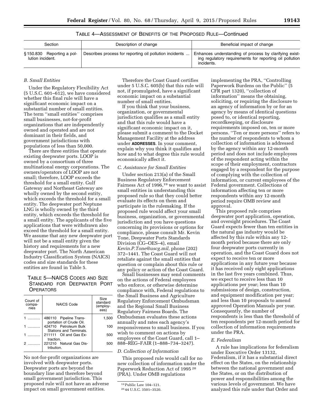## TABLE 4—ASSESSMENT OF BENEFITS OF THE PROPOSED RULE—Continued

| Section                                       | Description of change                                   | Beneficial impact of change                                                                                                     |
|-----------------------------------------------|---------------------------------------------------------|---------------------------------------------------------------------------------------------------------------------------------|
| §150.830 Reporting a pol-<br>lution incident. | Describes process for reporting oil pollution incidents | Enhances understanding of process by clarifying exist-<br>ing regulatory requirements for reporting oil pollution<br>incidents. |

## *B. Small Entities*

Under the Regulatory Flexibility Act (5 U.S.C. 601–612), we have considered whether this final rule will have a significant economic impact on a substantial number of small entities. The term ''small entities'' comprises small businesses, not-for-profit organizations that are independently owned and operated and are not dominant in their fields, and government jurisdictions with populations of less than 50,000.

There are three entities that operate existing deepwater ports. LOOP is owned by a consortium of three multinational energy corporations. The owners/operators of LOOP are not small; therefore, LOOP exceeds the threshold for a small entity. Gulf Gateway and Northeast Gateway are wholly owned by the second entity, which exceeds the threshold for a small entity. The deepwater port Neptune LNG is wholly owned by the third entity, which exceeds the threshold for a small entity. The applicants of the five applications that were withdrawn also exceed the threshold for a small entity. We assume that any new deepwater port will not be a small entity given the history and requirements for a new deepwater port. The North American Industry Classification System (NAICS) codes and size standards for these entities are found in Table 5.

## TABLE 5—NAICS CODES AND SIZE STANDARD FOR DEEPWATER PORT **OPERATORS**

| Count of<br>compa-<br>nies | NAICS Code                                        | Size<br>standard<br>(employ-<br>ees) |
|----------------------------|---------------------------------------------------|--------------------------------------|
|                            | 486110 Pipeline Trans-<br>portation of Crude Oil. | 1,500                                |
|                            | 424710 Petroleum Bulk<br>Stations and Terminals.  | 100                                  |
|                            | 211111 Oil and Gas Ex-<br>traction.               | 500                                  |
|                            | 221210 Natural Gas Dis-<br>tribution.             | 500                                  |

No not-for-profit organizations are involved with deepwater ports. Deepwater ports are beyond the boundary line and therefore beyond small government jurisdiction. This proposed rule will not have an adverse impact on small government entities.

Therefore the Coast Guard certifies under 5 U.S.C. 605(b) that this rule will not, if promulgated, have a significant economic impact on a substantial number of small entities.

If you think that your business, organization, or governmental jurisdiction qualifies as a small entity and that this rule would have a significant economic impact on it, please submit a comment to the Docket Management Facility at the address under **ADDRESSES**. In your comment, explain why you think it qualifies and how and to what degree this rule would economically affect it.

#### *C. Assistance for Small Entities*

Under section 213(a) of the Small Business Regulatory Enforcement Fairness Act of 1996,<sup>19</sup> we want to assist small entities in understanding this proposed rule so that they could better evaluate its effects on them and participate in the rulemaking. If the proposed rule would affect your small business, organization, or governmental jurisdiction and you have questions concerning its provisions or options for compliance, please consult Mr. Kevin Tone, Deepwater Ports Standards Division (CG–OES–4), email *[Kevin.P.Tone@uscg.mil,](mailto:Kevin.P.Tone@uscg.mil)* phone (202) 372–1441. The Coast Guard will not retaliate against the small entities that question or complain about this rule or any policy or action of the Coast Guard.

Small businesses may send comments on the actions of Federal employees who enforce, or otherwise determine compliance with, Federal regulations to the Small Business and Agriculture Regulatory Enforcement Ombudsman and the Regional Small Business Regulatory Fairness Boards. The Ombudsman evaluates these actions annually and rates each agency's responsiveness to small business. If you wish to comment on actions by employees of the Coast Guard, call 1– 888–REG–FAIR (1–888–734–3247).

## *D. Collection of Information*

This proposed rule would call for no new collection of information under the Paperwork Reduction Act of 1995 20 (PRA). Under OMB regulations

implementing the PRA, ''Controlling Paperwork Burdens on the Public'' (5 CFR part 1320), ''collection of information'' means the obtaining, soliciting, or requiring the disclosure to an agency of information by or for an agency by means of identical questions posed to, or identical reporting, recordkeeping, or disclosure requirements imposed on, ten or more persons. ''Ten or more persons'' refers to the number of respondents to whom a collection of information is addressed by the agency within any 12-month period and does not include employees of the respondent acting within the scope of their employment, contractors engaged by a respondent for the purpose of complying with the collection of information, or current employees of the Federal government. Collections of information affecting ten or more respondents within any 12-month period require OMB review and approval.

This proposed rule comprises deepwater port application, operation, and oversight procedures. The Coast Guard expects fewer than ten entities in the natural gas industry would be affected by this rule within any 12 month period because there are only four deepwater ports currently in operation, and the Coast Guard does not expect to receive ten or more applications in any future year because it has received only eight applications in the last five years combined. Thus, we expect to receive less than 10 applications per year; less than 10 submissions of design, construction, and equipment modification per year; and less than 10 proposals to amend approved Operation Manuals per year. Consequently, the number of respondents is less than the threshold of ten respondents per 12-month period for collection of information requirements under the PRA.

## *E. Federalism*

A rule has implications for federalism under Executive Order 13132, Federalism, if it has a substantial direct effect on the States, on the relationship between the national government and the States, or on the distribution of power and responsibilities among the various levels of government. We have analyzed this rule under that Order and

<sup>19</sup>Public Law 104–121.

<sup>20</sup> 44 U.S.C. 3501–3520.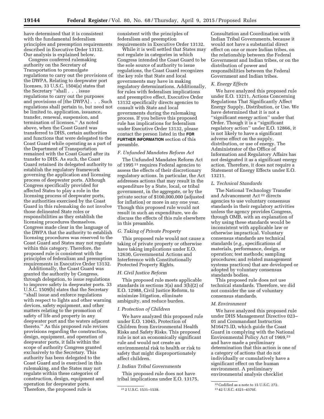have determined that it is consistent with the fundamental federalism principles and preemption requirements described in Executive Order 13132. Our analysis is explained below.

Congress conferred rulemaking authority on the Secretary of Transportation to promulgate regulations to carry out the provisions of the DWPA. Relating to deepwater port licenses, 33 U.S.C. 1504(a) states that the Secretary ''shall . . . issue regulations to carry out the purposes and provisions of [the DWPA] . . . Such regulations shall pertain to, but need not be limited to, application, issuance, transfer, renewal, suspension, and termination of licenses.'' As noted above, when the Coast Guard was transferred to DHS, certain authorities and functions that were delegated to the Coast Guard while operating as a part of the Department of Transportation remained with the Coast Guard after its transfer to DHS. As such, the Coast Guard retained its delegated authority to establish the regulatory framework governing the application and licensing process of deepwater ports. Although Congress specifically provided for affected States to play a role in the licensing process of deepwater ports, the authorities exercised by the Coast Guard in this rulemaking do not involve those delineated State roles or responsibilities as they establish the licensing procedures themselves. Congress made clear in the language of the DWPA that the authority to establish licensing procedures was reserved to the Coast Guard and States may not regulate within this category. Therefore, the proposed rule is consistent with the principles of federalism and preemption requirements in Executive Order 13132.

Additionally, the Coast Guard was granted the authority by Congress, through delegation, to issue regulations to improve safety in deepwater ports. 33 U.S.C. 1509(b) states that the Secretary ''shall issue and enforce regulations with respect to lights and other warning devices, safety equipment, and other matters relating to the promotion of safety of life and property in any deepwater port and the waters adjacent thereto.'' As this proposed rule revises provisions regarding the construction, design, equipment, and operation of deepwater ports, it falls within the scope of authority Congress granted exclusively to the Secretary. This authority has been delegated to the Coast Guard and is exercised in this rulemaking, and the States may not regulate within these categories of construction, design, equipment and operation for deepwater ports. Therefore, the proposed rule is

consistent with the principles of federalism and preemption requirements in Executive Order 13132.

While it is well settled that States may not regulate in categories in which Congress intended the Coast Guard to be the sole source of authority to issue regulations, the Coast Guard recognizes the key role that State and local governments may have in making regulatory determinations. Additionally, for rules with federalism implications and preemptive effect, Executive Order 13132 specifically directs agencies to consult with State and local governments during the rulemaking process. If you believe this proposed rule has implications for federalism under Executive Order 13132, please contact the person listed in the **FOR FURTHER INFORMATION** section of this preamble.

#### *F. Unfunded Mandates Reform Act*

The Unfunded Mandates Reform Act of 1995 21 requires Federal agencies to assess the effects of their discretionary regulatory actions. In particular, the Act addresses actions that may result in the expenditure by a State, local, or tribal government, in the aggregate, or by the private sector of \$100,000,000 (adjusted for inflation) or more in any one year. Though this proposed rule would not result in such an expenditure, we do discuss the effects of this rule elsewhere in this preamble.

#### *G. Taking of Private Property*

This proposed rule would not cause a taking of private property or otherwise have taking implications under E.O. 12630, Governmental Actions and Interference with Constitutionally Protected Property Rights.

#### *H. Civil Justice Reform*

This proposed rule meets applicable standards in sections 3(a) and 3(b)(2) of E.O. 12988, Civil Justice Reform, to minimize litigation, eliminate ambiguity, and reduce burden.

#### *I. Protection of Children*

We have analyzed this proposed rule under E.O. 13045, Protection of Children from Environmental Health Risks and Safety Risks. This proposed rule is not an economically significant rule and would not create an environmental risk to health or risk to safety that might disproportionately affect children.

#### *J. Indian Tribal Governments*

This proposed rule does not have tribal implications under E.O. 13175,

Consultation and Coordination with Indian Tribal Governments, because it would not have a substantial direct effect on one or more Indian tribes, on the relationship between the Federal Government and Indian tribes, or on the distribution of power and responsibilities between the Federal Government and Indian tribes.

#### *K. Energy Effects*

We have analyzed this proposed rule under E.O. 13211, Actions Concerning Regulations That Significantly Affect Energy Supply, Distribution, or Use. We have determined that it is not a ''significant energy action'' under that Order. Though it is a ''significant regulatory action'' under E.O. 12866, it is not likely to have a significant adverse effect on the supply, distribution, or use of energy. The Administrator of the Office of Information and Regulatory Affairs has not designated it as a significant energy action. Therefore, it does not require a Statement of Energy Effects under E.O. 13211.

## *L. Technical Standards*

The National Technology Transfer and Advancement Act 22 directs agencies to use voluntary consensus standards in their regulatory activities unless the agency provides Congress, through OMB, with an explanation of why using these standards would be inconsistent with applicable law or otherwise impractical. Voluntary consensus standards are technical standards (*e.g.,* specifications of materials, performance, design, or operation; test methods; sampling procedures; and related management systems practices) that are developed or adopted by voluntary consensus standards bodies.

This proposed rule does not use technical standards. Therefore, we did not consider the use of voluntary consensus standards.

#### *M. Environment*

We have analyzed this proposed rule under DHS Management Directive 023– 01 and Commandant Instruction M16475.lD, which guide the Coast Guard in complying with the National Environmental Policy Act of 1969,23 and have made a preliminary determination that this action is one of a category of actions that do not individually or cumulatively have a significant effect on the human environment. A preliminary environmental analysis checklist

<sup>21</sup> 2 U.S.C. 1531–1538.

<sup>22</sup>Codified as a note to 15 U.S.C. 272.

<sup>23</sup> 42 U.S.C. 4321–4370f.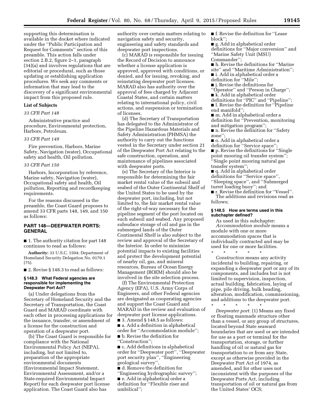supporting this determination is available in the docket where indicated under the ''Public Participation and Request for Comments'' section of this preamble. This action falls under section 2.B.2, figure 2–1, paragraph (34)(a) and involves regulations that are editorial or procedural, such as those updating or establishing application procedures. We seek any comments or information that may lead to the discovery of a significant environmental impact from this proposed rule.

## **List of Subjects**

#### *33 CFR Part 148*

Administrative practice and procedure, Environmental protection, Harbors, Petroleum.

#### *33 CFR Part 149*

Fire prevention, Harbors, Marine Safety, Navigation (water), Occupational safety and health, Oil pollution.

## *33 CFR Part 150*

Harbors, Incorporation by reference, Marine safety, Navigation (water), Occupational safety and health, Oil pollution, Reporting and recordkeeping requirements.

For the reasons discussed in the preamble, the Coast Guard proposes to amend 33 CFR parts 148, 149, and 150 as follows:

## **PART 148—DEEPWATER PORTS: GENERAL**

■ 1. The authority citation for part 148 continues to read as follows:

**Authority:** 33 U.S.C. 1504; Department of Homeland Security Delegation No. 0170.1 (75).

■ 2. Revise § 148.3 to read as follows:

#### **§ 148.3 What Federal agencies are responsible for implementing the Deepwater Port Act?**

(a) Under delegations from the Secretary of Homeland Security and the Secretary of Transportation, the Coast Guard and MARAD coordinate with each other in processing applications for the issuance, transfer, or amendment of a license for the construction and operation of a deepwater port.

(b) The Coast Guard is responsible for compliance with the National Environmental Policy Act (NEPA), including, but not limited to, preparation of the appropriate environmental documents (Environmental Impact Statement, Environmental Assessment, and/or a State-required Environmental Impact Report) for each deepwater port license application. The Coast Guard also has

authority over certain matters relating to navigation safety and security, engineering and safety standards and deepwater port inspections.

(c) MARAD is responsible for issuing the Record of Decision to announce whether a license application is approved, approved with conditions, or denied, and for issuing, revoking, and reinstating deepwater port licenses. MARAD also has authority over the approval of fees charged by Adjacent Coastal States, and certain matters relating to international policy, civil actions, and suspension or termination of licenses.

(d) The Secretary of Transportation has delegated to the Administrator of the Pipeline Hazardous Materials and Safety Administration (PHMSA) the authority to carry out the functions vested in the Secretary under section 21 of the Deepwater Port Act relating to the safe construction, operation, and maintenance of pipelines associated with deepwater ports.

(e) The Secretary of the Interior is responsible for determining the fair market rental value of the subsoil and seabed of the Outer Continental Shelf of the United States to be used by the deepwater port, including, but not limited to, the fair market rental value of the right-of-way necessary for the pipeline segment of the port located on such subsoil and seabed. Any proposed subsuface storage of oil and gas in the submerged lands of the Outer Continental Shelf is also subject to the review and approval of the Secretary of the Interior. In order to minimize potential impacts to existing facilities and protect the development potential of nearby oil, gas, and mineral resources, Bureau of Ocean Energy Management (BOEM) should also be involved in the site selection process.

(f) The Environmental Protection Agency (EPA), U.S. Army Corps of Engineers, and other Federal agencies are designated as cooperating agencies and support the Coast Guard and MARAD in the review and evaluation of deepwater port license applications. ■ 3. Amend § 148.5 as follows:

■ a. Add a definition in alphabetical order for ''Accommodation module''; ■ b. Revise the definition for ''Construction'';

■ c. Add definitions in alphabetical order for ''Deepwater port'', ''Deepwater port security plan'', ''Engineering geological survey'',

■ d. Remove the definition for ''Engineering hydrographic survey''; ■ e. Add in alphabetical order a definition for ''Flexible riser and umbilical'';

■ f. Revise the definition for "Lease block'';

■ g. Add in alphabetical order definitions for ''Major conversion'' and ''Marine Safety Unit (MSU) Commander'';

■ h. Revise the definitions for "Marine site'' and ''Maritime Administration'';

■ i. Add in alphabetical order a

definition for ''Mile'';

- j. Revise the definitions for
- ''Operator'' and ''Person in Charge'';
- k. Add in alphabetical order
- definitions for ''PIC'' and ''Pipeline'';
- l. Revise the definition for "Pipeline end manifold'';

■ m. Add in alphabetical order a definition for ''Prevention, monitoring and mitigation program'';

- n. Revise the definition for "Safety zone'';
- o. Add in alphabetical order a
- definition for ''Service space''; ■ p. Revise the definitions for "Single" point mooring oil transfer system''; ''Single point mooring natural gas transfer system'';

■ q. Add in alphabetical order definitions for ''Service space'', ''Sleeping space'', and ''Submerged turret loading buoy''; and

■ r. Revise the definition for ''Vessel''. The additions and revisions read as follows;

#### **§ 148.5 How are terms used in this subchapter defined?**

As used in this subchapter: *Accommodation module* means a module with one or more accommodation spaces that is individually contracted and may be used for one or more facilities.

\* \* \* \* \* *Construction* means any activity incidental to building, repairing, or expanding a deepwater port or any of its components, and includes but is not limited to supervision, inspection, actual building, fabrication, laying of pipe, pile driving, bulk heading, alteration, modification, commissioning, and additions to the deepwater port. \* \* \* \* \*

*Deepwater port.* (1) Means any fixed or floating manmade structure other than a vessel, or any group of structures, located beyond State seaward boundaries that are used or are intended for use as a port or terminal for the transportation, storage, or further handling of oil or natural gas for transportation to or from any State, except as otherwise provided in the Deepwater Port Act of 1974, as amended, and for other uses not inconsistent with the purposes of the Deepwater Ports Act, including transportation of oil or natural gas from the United States' OCS;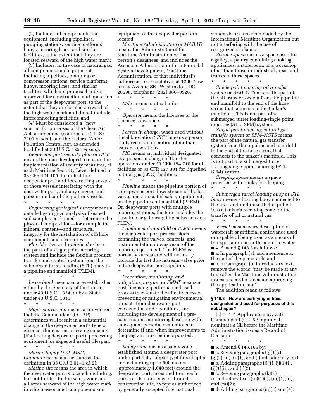(2) Includes all components and equipment, including pipelines, pumping stations, service platforms, buoys, mooring lines, and similar facilities, to the extent that they are located seaward of the high water mark;

(3) Includes, in the case of natural gas, all components and equipment, including pipelines, pumping or compressor stations, service platforms, buoys, mooring lines, and similar facilities which are proposed and/or approved for construction and operation as part of the deepwater port, to the extent that they are located seaward of the high water mark and do not include interconnecting facilities; and

(4) Must be considered a ''new source'' for purposes of the Clean Air Act, as amended (codified at 42 U.S.C. 7401 *et seq.*), and the Federal Water Pollution Control Act, as amended (codified at 33 U.S.C. 1251 *et seq.*).

*Deepwater port security plan* or *DPSP*  means the plan developed to ensure the implementation of security measures, at each Maritime Security Level defined in 33 CFR 101.105, to protect the deepwater port and its servicing vessels or those vessels interfacing with the deepwater port, and any cargoes and persons on board the port or vessels.

\* \* \* \* \* *Engineering geological survey* means a detailed geological analysis of seabed soil samples performed to determine the physical composition—for example the mineral content—and structural integrity for the installation of offshore components and structures.

*Flexible riser* and *umbilical* refer to the parts of a single point mooring system and include the flexible product transfer and control system from the submerged turret loading (STL) buoy to a pipeline end manifold (PLEM).

\* \* \* \* \* *Lease block* means an area established either by the Secretary of the Interior under 43 U.S.C. 1334, or by a State under 43 U.S.C. 1311.

\* \* \* \* \*

*Major conversion* means a conversion that the Commandant (CG–5P) determines will result in a substantial change to the deepwater port's type or essence, dimensions, carrying capacity (if a floating deepwater port), processing equipment, or expected useful lifespan.

\* \* \* \* \* *Marine Safety Unit (MSU) Commander* means the same as the definition in 33 CFR 3.01–1(d)(2).

*Marine site* means the area in which the deepwater port is located, including, but not limited to, the safety zone and all areas seaward of the high water mark in which associated components and

equipment of the deepwater port are located.

*Maritime Administration* or *MARAD*  means the Administrator of the Maritime Administration or that person's designees, and includes the Associate Administrator for Intermodal System Development, Maritime Administration, or that individual's authorized representative, at 1200 New Jersey Avenue SE., Washington, DC 20590, telephone (202) 366–0926. \* \* \* \* \*

*Mile* means nautical mile. \* \* \* \* \*

*Operator* means the licensee or the licensee's designee.

 $\star$   $\star$   $\star$ *Person in charge,* when used without the abbreviation ''*PIC,''* means a person in charge of an operation other than transfer operations.

*PIC* means an individual designated as a person in charge of transfer operations under 33 CFR 154.710 for oil facilities or 33 CFR 127.301 for liquefied natural gas (LNG) facilities.

\* \* \* \* \* *Pipeline* means the pipeline portion of a deepwater port downstream of the last valve, and associated safety equipment, on the pipeline end manifold (PLEM). On deepwater ports with multiple mooring stations, the term includes the flow line or gathering line between each PLEM.

*Pipeline end manifold* or *PLEM* means the deepwater port process skids containing the valves, controls, and instrumentation downstream of the mooring equipment. The PLEM is normally subsea and will normally include the last downstream valve prior to the deepwater port pipeline. \* \* \* \* \*

*Prevention, monitoring, and mitigation program* or *PMMP* means a post-licensing, performance-based process to evaluate the effectiveness of preventing or mitigating environmental impacts from deepwater port construction and operations, and including the development of a preconstruction monitoring baseline with subsequent periodic evaluations to determine if and when improvements to the program must be incorporated.

\* \* \* \* \* *Safety zone* means a safety zone established around a deepwater port under part 150, subpart J, of this chapter and extending up to 500 meters (approximately 1,640 feet) around the deepwater port, measured from each point on its outer edge or from its construction site, except as authorized by generally accepted international

standards or as recommended by the International Maritime Organization but not interfering with the use of recognized sea lanes.

*Service space* means a space used for a galley, a pantry containing cooking appliances, a storeroom, or a workshop other than those in industrial areas, and trunks to those spaces.

\* \* \* \* \*

*Single point mooring oil transfer system* or *SPM–OTS* means the part of the oil transfer system from the pipeline end manifold to the end of the hose string that connects to the tanker's manifold. This is not part of a submerged turret loading-single point mooring (STL–SPM) system.

*Single point mooring natural gas transfer system* or *SPM–NGTS* means the part of the natural gas transfer system from the pipeline end manifold to the end of the hose string that connects to the tanker's manifold. This is not part of a submerged turret loading-single point mooring (STL– SPM) system.

*Sleeping space* means a space provided with bunks for sleeping.

\* \* \* \* \* *Submerged turret loading buoy* or *STL buoy* means a loading buoy connected to the riser and umbilical that is pulled into a tanker's receiving cone for the transfer of oil or natural gas.

\* \* \* \* \* *Vessel* means every description of watercraft or artificial contrivance used or capable of being used as a means of transportation on or through the water.

 $\blacksquare$  4. Amend § 148.8 as follows:

■ a. In paragraph (a), add a sentence at the end of the paragraph; and

■ b. In paragraph (b) introductory text, remove the words ''may be made at any time after the Maritime Administration issues a record of decision approving the application, and''.

The addition reads as follows:

#### **§ 148.8 How are certifying entities designated and used for purposes of this subchapter?**

(a)  $*$   $*$   $*$  Applicants may, with Commandant (CG–5P) approval, nominate a CE before the Maritime Administration issues a Record of Decision.

\* \* \* \* \* ■ 5. Amend § 148.105 by:  $\blacksquare$  a. Revising paragraphs (g)(1)(i),  $(g)(2)(iii)$ ,  $(i)(1)$ , and  $(j)$  introductory text;  $\blacksquare$  b. Adding paragraphs (j)(1), (j)(1)(i),  $(j)(1)(ii)$ , and  $(j)(2)$ ;

 $\blacksquare$  c. Revising paragraphs  $(k)(1)$ introductory text,  $(m)(1)(i)$ ,  $(m)(1)(iii)$ , and  $(m)(2)$ ;

 $\blacksquare$  d. Adding paragraphs  $(m)(3)$  and  $(4)$ ;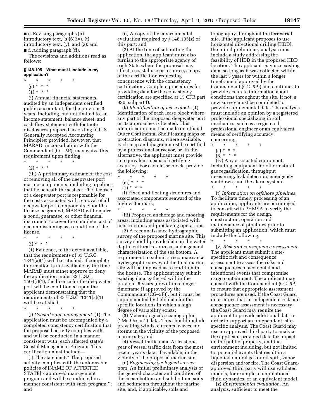$\blacksquare$  e. Revising paragraphs (n) introductory text, (s)(6)(iv), (t) introductory text, (y), and (z); and ■ f. Adding paragraph (ff).

The revisions and additions read as follows:

#### **§ 148.105 What must I include in my application?**

- $*$  \*
- (g) \* \* \*
- $(1) * * * *$

(i) Annual financial statements, audited by an independent certified public accountant, for the previous 3 years, including, but not limited to, an income statement, balance sheet, and cash flow statement with footnote disclosures prepared according to U.S. Generally Accepted Accounting Principles; provided, however, that MARAD, in consultation with the Commandant (CG–5P), may waive this requirement upon finding:

\* \* \* \* \*

 $(2) * * * *$ (iii) A preliminary estimate of the cost of removing all of the deepwater port marine components, including pipelines that lie beneath the seabed. The licensee of a deepwater port is responsible for the costs associated with removal of all deepwater port components. Should a license be granted, MARAD will require a bond, guarantee, or other financial instrument to cover the complete cost of decommissioning as a condition of the

- license. \* \* \* \* \*
	- (i) \* \* \*

(1) Evidence, to the extent available, that the requirements of 33 U.S.C. 1341(a)(1) will be satisfied. If complete information is not available by the time MARAD must either approve or deny the application under 33 U.S.C. 1504(i)(1), the license for the deepwater port will be conditioned upon the applicant demonstrating that the requirements of 33 U.S.C. 1341(a)(1) will be satisfied.

\* \* \* \* \*

(j) *Coastal zone management.* (1) The application must be accompanied by a completed consistency certification that the proposed activity complies with, and will be conducted in a manner consistent with, each affected state's Coastal Management Program. This certification must include—

(i) The statement: ''The proposed activity complies with the enforceable policies of [NAME OF AFFECTED STATE]'s approved management program and will be conducted in a manner consistent with such program.''; and

(ii) A copy of the environmental evaluation required by § 148.105(z) of this part; and

(2) At the time of submitting the application, the applicant must also furnish to the appropriate agency of each State where the proposal may affect a coastal use or resource, a copy of the certification requesting concurrence with the consistency certification. Complete procedures for providing data for the consistency certification are specified at 15 CFR part 930, subpart D.

(k) *Identification of lease block.* (1) Identification of each lease block where any part of the proposed deepwater port or its approaches is located. This identification must be made on official Outer Continental Shelf leasing maps or protraction diagrams, where available. Each map and diagram must be certified by a professional surveyor, or, in the alternative, the applicant must provide an equivalent means of certifying accuracy. For each lease block, provide the following:  $\ast\quad\ast\quad\ast$ 

- \* \* \* \* \*
	- (m) \* \* \*
	- $(1)$ <sup>\*</sup> \* \*

(i) Fixed and floating structures and associated components seaward of the high water mark; \* \* \* \* \*

(iii) Proposed anchorage and mooring areas, including areas associated with construction and pipelaying operations;

(2) A reconnaissance hydrographic survey of the proposed marine site. This survey should provide data on the water depth, cultural resources, and a general characterization of the sea bottom. A requirement to submit a reconnaissance hydrographic survey of the final marine site will be imposed as a condition in the license. The applicant may submit existing data, gathered within the previous 5 years (or within a longer timeframe if approved by the Commandant (CG–5P)), but it must be supplemented by field data for the specific locations in which a high degree of variability exists;

(3) Meteorological/oceanographic (''MetOcean'') data. This should include prevailing winds, currents, waves and storms in the vicinity of the proposed marine site; and

(4) Vessel traffic data. At least one year of vessel traffic data from the most recent year's data, if available, in the vicinity of the proposed marine site.

(n) *Engineering geological survey data.* An initial preliminary analysis of the general character and condition of the ocean bottom and sub-bottom, soils and sediments throughout the marine site, and, if applicable, soils and

topography throughout the terrestrial site. If the applicant proposes to use horizontal directional drilling (HDD), the initial preliminary analysis must include a study addressing the feasibility of HDD in the proposed HDD location. The applicant may use existing data, so long as it was collected within the last 5 years (or within a longer timeframe if approved by the Commandant (CG–5P)) and continues to provide accurate information about conditions throughout the site. If not, a new survey must be completed to provide supplemental data. The analysis must include an opinion by a registered professional specializing in soil mechanics, such as a registered professional engineer or an equivalent means of certifying accuracy, concerning:

- \* \* \* \* \*
- $(s) * * * *$
- $(6) * * * *$

(iv) Any associated equipment, including equipment for oil or natural gas regasification, throughput measuring, leak detection, emergency shutdown, and the alarm system.

\* \* \* \* \* (t) *Information on offshore pipelines.*  To facilitate timely processing of an application, applicants are encouraged to consult with PHMSA to verify the requirements for the design, construction, operation and maintenance of pipelines prior to submitting an application, which must include the following:

\* \* \* \* \*

(y) *Risk and consequence assessment.*  The applicant must submit a sitespecific risk and consequence assessment to assess the risks and consequences of accidental and intentional events that compromise cargo containment. The applicant may consult with the Commandant (CG–5P) to ensure that appropriate assessment procedures are used. If the Coast Guard determines that an independent risk and consequence assessment is necessary, the Coast Guard may require the applicant to provide additional data in order to support an independent, sitespecific analysis. The Coast Guard may use an approved third party to analyze the applicant provided data for impact on the public, property, and the environment including, but not limited to, potential events that result in a liquefied natural gas or oil spill, vapor dispersion and/or fire. The Coast Guardapproved third party will use validated models, for example, computational fluid dynamics, or an equivalent model.

(z) *Environmental evaluation.* An analysis, sufficient to meet the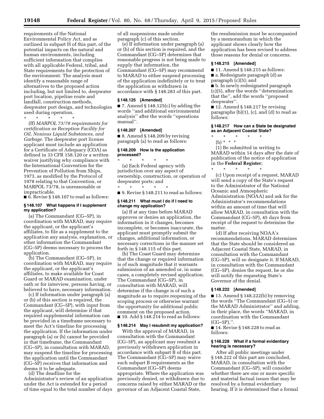requirements of the National Environmental Policy Act, and as outlined in subpart H of this part, of the potential impacts on the natural and human environments, including sufficient information that complies with all applicable Federal, tribal, and State requirements for the protection of the environment. The analysis must identify a reasonable range of alternatives to the proposed action including, but not limited to, deepwater port location, pipeline route and landfall, construction methods, deepwater port design, and technologies used during operation.

\* \* \* \* \*

(ff) *MARPOL 73/78 requirements for certification as Reception Facility for Oil, Noxious Liquid Substances, and Garbage.* The deepwater port license applicant must include an application for a Certificate of Adequacy (COA) as defined in 33 CFR 158.120 or a written waiver justifying why compliance with the International Convention for the Prevention of Pollution from Ships, 1973, as modified by the Protocol of 1978 relating to that Convention, or MARPOL 73/78, is unreasonable or impracticable.

■ 6. Revise § 148.107 to read as follows:

## **§ 148.107 What happens if I supplement my application?**

(a) The Commandant (CG–5P), in coordination with MARAD, may require the applicant, or the applicant's affiliates, to file as a supplement to the application any analysis, explanation, or other information the Commandant (CG–5P) deems necessary to process the application.

(b) The Commandant (CG–5P), in coordination with MARAD, may require the applicant, or the applicant's affiliates, to make available for Coast Guard or MARAD examination, under oath or for interview, persons having, or believed to have, necessary information.

(c) If information under paragraph (a) or (b) of this section is required, the Commandant (CG–5P), with input from the applicant, will determine if that required supplemental information can be provided in a timeframe necessary to meet the Act's timeline for processing the application. If the information under paragraph (a) or (b) cannot be provided in that timeframe, the Commandant (CG–5P), in consultation with MARAD, may suspend the timeline for processing the application until the Commandant (CG–5P) receives that information and deems it to be adequate.

(d) The deadline for the Administrator's review of an application under the Act is extended for a period of time equal to the total number of days

of all suspensions made under paragraph (c) of this section.

(e) If information under paragraph (a) or (b) of this section is required, and the Commandant (CG–5P) determines that reasonable progress is not being made to supply that information, the Commandant (CG–5P) may recommend to MARAD to either suspend processing of the application indefinitely or to treat the application as withdrawn in accordance with § 148.283 of this part.

#### **§ 148.125 [Amended]**

 $\blacksquare$  7. Amend § 148.125(c) by adding the words ''and additional environmental analysis'' after the words ''operations manual''.

## **§ 148.207 [Amended]**

 $\blacksquare$  8. Amend § 148.209 by revising paragraph (a) to read as follows:

## **§ 148.209 How is the application processed?**

\* \* \* \* \* (a) Each Federal agency with jurisdiction over any aspect of ownership, construction, or operation of deepwater ports; and  $\star$   $\star$   $\star$ 

■ 9. Revise § 148.211 to read as follows:

#### **§ 148.211 What must I do if I need to change my application?**

(a) If at any time before MARAD approves or denies an application, the information in it changes, becomes incomplete, or becomes inaccurate, the applicant must promptly submit the changes, additional information, or necessary corrections in the manner set forth in § 148.115 of this part.

(b) The Coast Guard may determine that the change or required information is of such magnitude that it warrants submission of an amended or, in some cases, a completely revised application. The Commandant (CG–5P), in consultation with MARAD, will determine if the change is of such a magnitude as to require reopening of the scoping process or otherwise warrant the opportunity for additional public comment on the proposed action.  $\blacksquare$  10. Add § 148.214 to read as follows:

#### **§ 148.214 May I resubmit my application?**

With the approval of MARAD, in consultation with the Commandant (CG–5P), an applicant may resubmit a previously withdrawn application in accordance with subpart B of this part. The Commandant (CG–5P) may waive such subpart B requirements as the Commandant (CG–5P) deems appropriate. Where the application was previously denied, or withdrawn due to concerns raised by either MARAD or the governor of an Adjacent Coastal State,

the resubmission must be accompanied by a memorandum in which the applicant shows clearly how the application has been revised to address those reasons for denial or concerns.

## **§ 148.215 [Amended]**

■ 11. Amend § 148.215 as follows:

■ a. Redesignate paragraph (d) as

paragraph (c)(5); and

■ b. In newly redesignated paragraph (c)(5), after the words ''determination that the'', add the words ''proposed deepwater''.

 $\blacksquare$  12. Amend § 148.217 by revising paragraphs (b)(1), (c), and (d) to read as follows:

#### **§ 148.217 How can a State be designated as an Adjacent Coastal State?**

\* \* \* \* \*

(b) \* \* \*

(1) Be submitted in writing to MARAD within 14 days after the date of publication of the notice of application in the **Federal Register**; \* \* \* \* \*

(c) Upon receipt of a request, MARAD will send a copy of the State's request to the Administrator of the National Oceanic and Atmospheric Administration (NOAA) and ask for the Administrator's recommendations within an amount of time that will allow MARAD, in consultation with the Commandant (CG–5P), 45 days from receipt of the request to determine the matter.

(d) If after receiving NOAA's recommendations, MARAD determines that the State should be considered an Adjacent Coastal State, MARAD, in consultation with the Commandant (CG–5P), will so designate it. If MARAD, in consultation with the Commandant (CG–5P), denies the request, he or she will notify the requesting State's Governor of the denial.

#### **§ 148.222 [Amended]**

■ 13. Amend § 148.222(b) by removing the words ''The Commandant (CG–5) or the MARAD Administrator'' and adding, in their place, the words ''MARAD, in coordination with the Commandant  $(CG-5P)$ ,".

■ 14. Revise § 148.228 to read as follows:

#### **§ 148.228 What if a formal evidentiary hearing is necessary?**

After all public meetings under § 148.222 of this part are concluded, MARAD, in consultation with the Commandant (CG–5P), will consider whether there are one or more specific and material factual issues that may be resolved by a formal evidentiary hearing. If it is determined that a formal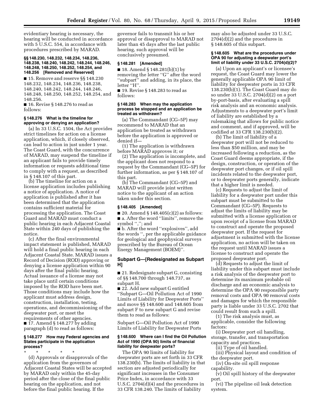evidentiary hearing is necessary, the hearing will be conducted in accordance with 5 U.S.C. 554, in accordance with procedures prescribed by MARAD.

#### **§§ 148.230, 148.232, 148.234, 148.236, 148.238, 148.240, 148.242, 148.244, 148.246, 148.248, 148.250, 148.252, 148.254, and 148.256 [Removed and Reserved]**

■ 15. Remove and reserve §§ 148.230 148.232, 148.234, 148.236, 148.238, 148.240, 148.242, 148.244, 148.246, 148.248, 148.250, 148.252, 148.254, and 148.256.

■ 16. Revise § 148.276 to read as follows:

## **§ 148.276 What is the timeline for approving or denying an application?**

(a) In 33 U.S.C. 1504, the Act provides strict timelines for action on a license application, which, if closely observed, can lead to action in just under 1 year. The Coast Guard, with the concurrence of MARAD, may suspend the timeline if an applicant fails to provide timely information or requests additional time to comply with a request, as described in § 148.107 of this part.

(b) The timeline for action on a license application includes publishing a notice of application. A notice of application is published after it has been determined that the application contains sufficient material for processing the application. The Coast Guard and MARAD must conduct a public hearing in each Adjacent Coastal State within 240 days of publishing the notice.

(c) After the final environmental impact statement is published, MARAD will hold a final public hearing in each Adjacent Coastal State. MARAD issues a Record of Decision (ROD) approving or denying a license application within 90 days after the final public hearing. Actual issuance of a license may not take place until certain conditions imposed by the ROD have been met. Those conditions may include how the applicant must address design, construction, installation, testing, operations, and decommissioning of the deepwater port, or meet the requirements of other agencies. ■ 17. Amend § 148.277 by adding paragraph (d) to read as follows:

#### **§ 148.277 How may Federal agencies and States participate in the application process?**

\* \* \* \* \* (d) Approvals or disapprovals of the application from the governors of Adjacent Coastal States will be accepted by MARAD only within the 45-day period after the close of the final public hearing on the application, and not before the final public hearing. If the

governor fails to transmit his or her approval or disapproval to MARAD not later than 45 days after the last public hearing, such approval will be conclusively presumed.

## **§ 148.281 [Amended]**

■ 18. Amend § 148.281(b)(1) by removing the letter ''G'' after the word ''subpart'' and adding, in its place, the letter "H".

■ 19. Revise § 148.283 to read as follows:

#### **§ 148.283 When may the application process be stopped and an application be treated as withdrawn?**

(a) The Commandant (CG–5P) may recommend to MARAD that an application be treated as withdrawn before the application is approved or denied if—

(1) The application is withdrawn before MARAD approves it; or

(2) The application is incomplete, and the applicant does not respond to a request by the Commandant (CG–5P) for further information, as per § 148.107 of this part.

(b) The Commandant (CG–5P) and MARAD will provide joint written notice to the applicant of an action taken under this section.

#### **§ 148.405 [Amended]**

■ 20. Amend § 148.405(c)(2) as follows: ■ a. After the word "limits", remove the symbol ","; and

■ b. After the word "explosives", add the words '', per the applicable guidance for geological and geophysical surveys prescribed by the Bureau of Ocean Energy Management (BOEM)''.

## **Subpart G—[Redesignated as Subpart H]**

■ 21. Redesignate subpart G, consisting of §§ 148.700 through 148.737, as subpart H.

■ 22. Add new subpart G entitled ''Subpart G—Oil Pollution Act of 1990 Limits of Liability for Deepwater Ports'' and move §§ 148.600 and 148.605 from subpart F to new subpart G and revise them to read as follows:

Subpart G—Oil Pollution Act of 1990 Limits of Liability for Deepwater Ports

#### **§ 148.600 Where can I find the Oil Pollution Act of 1990 (OPA 90) limits of financial liability for deepwater ports?**

The OPA 90 limits of liability for deepwater ports are set forth in 33 CFR 138.230(b). The limits of liability in that section are adjusted periodically for significant increases in the Consumer Price Index, in accordance with 33 U.S.C. 2704(d)(4) and the procedures in 33 CFR 138.240. The limits of liability

may also be adjusted under 33 U.S.C. 2704(d)(2) and the procedures in § 148.605 of this subpart.

#### **§ 148.605 What are the procedures under OPA 90 for adjusting a deepwater port's limit of liability under 33 U.S.C. 2704(d)(2)?**

(a) Upon an applicant's or licensee's request, the Coast Guard may lower the generally applicable OPA 90 limit of liability for deepwater ports in 33 CFR 138.230(b)(1). The Coast Guard may do so under 33 U.S.C. 2704(d)(2) on a port by-port-basis, after evaluating a spill risk analysis and an economic analysis. Adjustments to a deepwater port's limit of liability are established by a rulemaking that allows for public notice and comment, and if approved, will be codified at 33 CFR 138.230(b)(2).

(b) The limit of liability of a deepwater port will not be reduced to less than \$50 million, and may be increased following a reduction, as the Coast Guard deems appropriate, if the design, construction, or operation of the deepwater port changes, or if oil spill incidents related to the deepwater port, or to deepwater ports generally, indicate that a higher limit is needed.

(c) Requests to adjust the limit of liability for a deepwater port under this subpart must be submitted to the Commandant (CG–5P). Requests to adjust the limits of liability may be submitted with a license application or upon receipt of a license from MARAD to construct and operate the proposed deepwater port. If the request for adjustment is submitted with the license application, no action will be taken on the request until MARAD issues a license to construct and operate the proposed deepwater port.

(d) Requests to adjust the limit of liability under this subpart must include a risk analysis of the deepwater port to determine its maximum probable oil discharge and an economic analysis to determine the OPA 90 responsible party removal costs and OPA 90 removal costs and damages for which the responsible party is liable under 33 U.S.C. 2702 that could result from such a spill.

(1) The risk analysis must, as applicable, consider the following factors:

(i) Deepwater port oil handling, storage, transfer, and transportation capacity and practices.

(ii) Type of oil handled.

(iii) Physical layout and condition of the deepwater port.

(iv) On-site oil spill response capability.

(v) Oil spill history of the deepwater port.

(vi) The pipeline oil leak detection system.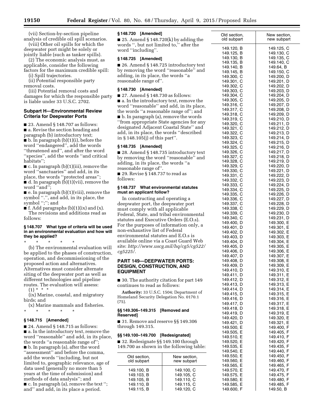(vii) Section-by-section pipeline analysis of credible oil spill scenarios.

(viii) Other oil spills for which the deepwater port might be solely or jointly liable (such as tanker spills).

(2) The economic analysis must, as applicable, consider the following factors for the maximum credible spill:

(i) Spill trajectories.

(ii) Potential responsible party removal costs.

(iii) Potential removal costs and damages for which the responsible party is liable under 33 U.S.C. 2702.

## **Subpart H—Environmental Review Criteria for Deepwater Ports**

■ 23. Amend § 148.707 as follows: ■ a. Revise the section heading and paragraph (b) introductory text; ■ b. In paragraph (b)(1)(i), before the word ''endangered'', add the words ''threatened and'', and after the word ''species'', add the words ''and critical habitats'';

■ c. In paragraph (b)(1)(iii), remove the word ''sanctuaries'' and add, in its place, the words ''protected areas''; ■ d. In paragraph (b)(1)(vii), remove the word ''and'';

 $\blacksquare$  e. In paragraph (b)(1)(viii), remove the symbol ".", and add, in its place, the symbol ";"; and

 $\blacksquare$  f. Add paragraphs (b)(1)(ix) and (x).

The revisions and additions read as follows:

#### **§ 148.707 What type of criteria will be used in an environmental evaluation and how will they be applied?**

\* \* \* \* \*

(b) The environmental evaluation will be applied to the phases of construction, operation, and decommissioning of the proposed action and alternatives. Alternatives must consider alternate siting of the deepwater port as well as different technologies and pipeline routes. The evaluation will assess:

 $(1) * * * *$ 

(ix) Marine, coastal, and migratory birds; and

(x) Marine mammals and fisheries. \* \* \* \* \*

## **§ 148.715 [Amended]**

 $\blacksquare$  24. Amend § 148.715 as follows: ■ a. In the introductory text, remove the word ''reasonable'' and add, in its place, the words ''a reasonable range of''; ■ b. In paragraph (a), after the word "assessment" and before the comma, add the words ''including, but not limited to, geographic relevance, age of data used (generally no more than 5 years at the time of submission) and methods of data analysis''; and ■ c. In paragraph (a), remove the text "; and'' and add, in its place a period.

## **§ 148.720 [Amended]**

■ 25. Amend § 148.720 $(k)$  by adding the words '', but not limited to,'' after the word ''including''.

## **§ 148.725 [Amended]**

■ 26. Amend § 148.725 introductory text by removing the word ''reasonable'' and adding, in its place, the words ''a reasonable range of''.

## **§ 148.730 [Amended]**

■ 27. Amend § 148.730 as follows:

■ a. In the introductory text, remove the word ''reasonable'' and add, in its place, the words ''a reasonable range of''; and ■ b. In paragraph (a), remove the words ''from appropriate State agencies for any designated Adjacent Coastal State'' and add, in its place, the words ''described in § 148.105(j) of this part''.

## **§ 148.735 [Amended]**

■ 28. Amend § 148.735 introductory text by removing the word ''reasonable'' and adding, in its place, the words ''a reasonable range of''.

■ 29. Revise § 148.737 to read as follows:

## **§ 148.737 What environmental statutes must an applicant follow?**

In constructing and operating a deepwater port, the deepwater port must comply with all applicable Federal, State, and tribal environmental statutes and Executive Orders (E.O.s). For the purposes of information only, a non-exhaustive list of Federal environmental statutes and E.O.s is available online via a Coast Guard Web site: *[http://www.uscg.mil/hq/cg5/cg522/](http://www.uscg.mil/hq/cg5/cg522/cg5225/) [cg5225/.](http://www.uscg.mil/hq/cg5/cg522/cg5225/)* 

## **PART 149—DEEPWATER PORTS: DESIGN, CONSTRUCTION, AND EQUIPMENT**

■ 30. The authority citation for part 149 continues to read as follows:

**Authority:** 33 U.S.C. 1504; Department of Homeland Security Delegation No. 0170.1 (75).

## **§§ 149.306–149.315 [Removed and Reserved]**

■ 31. Remove and reserve §§ 149.306 through 149.315.

## **§§ 149.100–149.700 [Redesignated]**

■ 32. Redesignate §§ 149.100 through 149.700 as shown in the following table:

| Old section, | New section, |
|--------------|--------------|
| old subpart  | new subpart  |
| 149.100, B   | 149.100, C   |
| 149.103, B   | 149.105, C   |
| 149.105, B   | 149.110, C   |
| 149.110, B   | 149.115, C   |
| 149.115. B   | 149.120. C   |

| 149.120, B<br>149.125, C<br>149.125, B<br>149.130, C<br>149.130, B<br>149.135, C<br>149.135, B<br>149.140, C<br>149.140, B<br>149.64, B<br>149.145, B<br>149.150, C<br>149.300, C<br>149.200, D<br>149.301, C<br>149.201, D<br>149.302, C<br>149.202, D<br>149.303, C<br>149.203, D<br>149.304, C<br>149.204, D<br>149.305, C<br>149.205, D<br>149.316, C<br>149.207, D<br>149.317, C<br>149.208, D<br>149.318, C<br>149.209, D<br>149.319, C<br>149.210, D<br>149.320, C<br>149.211, D<br>149.321, C<br>149.212, D<br>149.322, C<br>149.213, D<br>149.323, C<br>149.214, D<br>149.324, C<br>149.215, D<br>149.325, C<br>149.216, D<br>149.326, C<br>149.217, D<br>149.327, C<br>149.218, D<br>149.328, C<br>149.219, D<br>149.329, C<br>149.220, D<br>149.330, C<br>149.221, D<br>149.331, C<br>149.222, D<br>149.332, C<br>149.223, D<br>149.224, D<br>149.333, C<br>149.334, C<br>149.225, D<br>149.335, C<br>149.226, D<br>149.336, C<br>149.227, D<br>149.337, C<br>149.228, D<br>149.338, C<br>149.229, D<br>149.339, C<br>149.230, D<br>149.340, C<br>149.231, D |
|-------------------------------------------------------------------------------------------------------------------------------------------------------------------------------------------------------------------------------------------------------------------------------------------------------------------------------------------------------------------------------------------------------------------------------------------------------------------------------------------------------------------------------------------------------------------------------------------------------------------------------------------------------------------------------------------------------------------------------------------------------------------------------------------------------------------------------------------------------------------------------------------------------------------------------------------------------------------------------------------------------------------------------------------------------------------------|
| 149.400, D<br>149.300, E<br>149.401, D<br>149.301, E<br>149.402, D<br>149.302,<br>E<br>149.403, D<br>149.303, E<br>149.404, D<br>149.304, E<br>149.405, D<br>149.305, E<br>149.406, D<br>149.306, E<br>149.407, D<br>149.307, E<br>149.408, D<br>149.308, E<br>149.309, E<br>149.409, D<br>149.310, E<br>149.410, D<br>149.411, D<br>149.311, E<br>149.312,<br>149.412, D<br>E<br>149.413, D<br>149.313, E<br>149.414, D<br>149.314,<br>E<br>149.415, D<br>149.315,<br>E<br>149.416, D<br>149.316,<br>E<br>149.417, D<br>149.317, E<br>149.418, D<br>149.318,<br>E<br>149.319,<br>149.419, D<br>Е<br>149.420, D<br>149.320, E<br>149.421, D<br>149.321,<br>Е<br>149.500, E<br>149.400,<br>F<br>149.405, F<br>149.505, E<br>149.410, F<br>149.510,<br>E<br>149.420, F<br>149.520, E                                                                                                                                                                                                                                                                                      |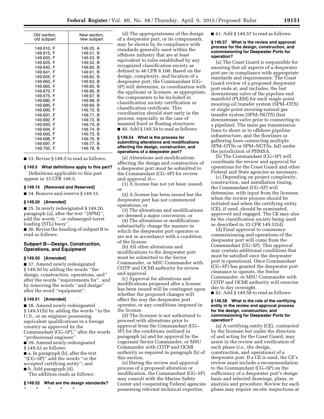| Old section, | New section, |
|--------------|--------------|
| old subpart  | new subpart  |
| 149.610, F   | 149.20, A    |
| 149.615, F   | 149.51, B    |
| 149.620, F   | 149.53. B    |
| 149.625, F   | 149.52, B    |
| 149.640. F   | 149.60, B    |
| 149.641, F   | 149.61, B    |
| 149.655, F   | 149.62, B    |
| 149.660, F   | 149.63. B    |
| 149.665, F   | 149.65, B    |
| 149.670, F   | 149.66, B    |
| 149.675, F   | 149.67, B    |
| 149.680, F   | 149.68. B    |
| 149.685. F   | 149.69. B    |
| 149.690, F   | 149.70, B    |
| 149.691, F   | 149.71, B    |
| 149.692, F   | 149.72, B    |
| 149.693, F   | 149.73, B    |
| 149.694. F   | 149.74. B    |
| 149.695, F   | 149.75, B    |
| 149.696, F   | 149.76, B    |
| 149.697, F   | 149.77, B    |
| 149.700, F   | 149.78. B    |

■ 33. Revise § 149.5 to read as follows:

#### **§ 149.5 What definitions apply to this part?**

Definitions applicable to this part appear in 33 CFR 148.5.

## **§ 149.15 [Removed and Reserved]**

■ 34. Remove and reserve § 149.15.

#### **§ 149.20 [Amended]**

■ 35. In newly redesignated § 149.20, paragraph (a), after the text ''(SPM)'', add the words '', or submerged turret loading (STL) buoy''.

■ 36. Revise the heading of subpart B to read as follows:

## **Subpart B—Design, Construction, Operations, and Equipment**

## **§ 149.50 [Amended]**

■ 37. Amend newly redesignated § 149.50 by adding the words ''the design, construction, operations, and'' after the words ''requirements for'', and by removing the words ''and design'' after the word ''equipment''.

#### **§ 149.51 [Amended]**

■ 38. Amend newly redesignated § 149.51(b) by adding the words ''in the U.S., or an engineer possessing equivalent qualifications in a foreign country as approved by the Commandant (CG–5P),'' after the words ''professional engineer''.

■ 39. Amend newly redesignated § 149.52 as follows:

■ a. In paragraph (b), after the text ''(CG–5P)'' add the words ''or the accepted certifying entity''; and ■ b. Add paragraph (d).

The addition reads as follows:

## **§ 149.52 What are the design standards?**

\* \* \* \* \*

(d) The appropriateness of the design of a deepwater port, or its components, may be shown by its compliance with standards generally used within the offshore industry that are at least equivalent to rules established by any recognized classification society as defined in 46 CFR 8.100. Based on the design, complexity, and location of a deepwater port, the Commandant (CG– 5P) will determine, in coordination with the applicant or licensee, as appropriate, the components to be included in classification society certification or classification certificate. This coordination should start early in the process, especially in the case of manned fixed or floating structures.  $\blacksquare$  40. Add § 149.54 to read as follows:

#### **§ 149.54 What is the process for submitting alterations and modifications affecting the design, construction, and operations of a deepwater port?**

(a) Alterations and modifications affecting the design and construction of a deepwater port must be submitted to the Commandant (CG–5P) for review and approval if—

(1) A license has not yet been issued; or

(2) A license has been issued but the deepwater port has not commenced operations; or

(3) The alterations and modifications are deemed a major conversion; or

(4) The alterations or modifications substantially change the manner in which the deepwater port operates or are not in accordance with a condition of the license.

(b) All other alterations and modifications to the deepwater port must be submitted to the Sector Commander, or MSU Commander with COTP and OCMI authority for review and approval.

(c) Approval for alterations and modifications proposed after a license has been issued will be contingent upon whether the proposed changes will affect the way the deepwater port operates, or any conditions imposed in the license.

(d) The licensee is not authorized to proceed with alterations prior to approval from the Commandant (CG– 5P) for the conditions outlined in paragraph (a) and for approval by the cognizant Sector Commander, or MSU Commander with COTP and OCMI authority as required in paragraph (b) of this section.

(e) During the review and approval process of a proposed alteration or modification, the Commandant (CG–5P) may consult with the Marine Safety Center and cooperating Federal agencies possessing relevant technical expertise.

■ 41. Add § 149.57 to read as follows:

#### **§ 149.57 What is the review and approval process for the design, construction, and commissioning for Deepwater Ports for operation?**

(a) The Coast Guard is responsible for ensuring that all aspects of a deepwater port are in compliance with appropriate standards and requirements. The Coast Guard review of a proposed deepwater port ends at, and includes, the last downstream valve of the pipeline end manifold (PLEM) for each single point mooring-oil transfer system (SPM–OTS) or single point mooring-natural gas transfer system (SPM–NGTS) (last downstream valve prior to connecting to a pipeline). The main gas transmission lines to shore or to offshore pipeline infrastructure, and the flowlines or gathering lines connecting multiple SPM–OTSs or SPM–NGTSs, fall under the jurisdiction of PHMSA.

(b) The Commandant (CG–5P) will coordinate the review and approval for operations for the Coast Guard and other Federal and State agencies as necessary.

(c) Depending on project complexity, construction, and installation timing, the Commandant (CG–5P) will determine, with input from the licensee, when the review process should be initiated and when the certifying entity (CE), if used, should be nominated, approved and engaged. The CE may also be the classification society being used as described in 33 CFR 149.52(d).

(d) Final approval to commence commissioning and operations of the deepwater port will come from the Commandant (CG–5P). This approval may contain additional conditions that must be satisfied once the deepwater port is operational. Once Commandant (CG–5P) has granted the deepwater port clearance to operate, the Sector Commander, or MSU Commander with COTP and OCMI authority will exercise day to day oversight.

 $\blacksquare$  42. Add § 149.58 to read as follows:

#### **§ 149.58 What is the role of the certifying entity in the review and approval process for the design, construction, and commissioning for Deepwater Ports for operation?**

(a) A certifying entity (CE), contracted by the licensee but under the direction of and acting for the Coast Guard, may assist in the review and verification of each phase (*i.e.,* the design, construction, and operations) of a deepwater port. If a CE is used, the CE's review must include a recommendation to the Commandant (CG–5P) on the sufficiency of a deepwater port's design basis and selected drawings, plans, or analysis and procedure. Review for each phase may require on-site inspections at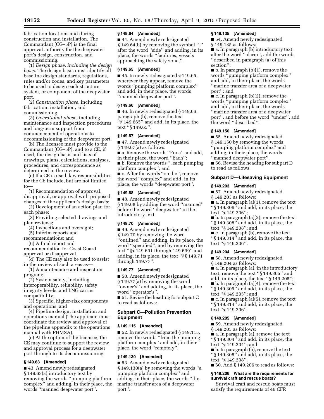fabrication locations and during construction and installation. The Commandant (CG–5P) is the final approval authority for the deepwater port's design, construction, and commissioning.

(1) *Design phase, including the design basis.* The design basis must identify all baseline design standards, regulations, rules and/or codes, and key parameters to be used to design each structure, system, or component of the deepwater port.

(2) *Construction phase,* including fabrication, installation, and commissioning.

(3) *Operational phase,* including maintenance and inspection procedures and long-term support from commencement of operations to decommissioning of the deepwater port.

(b) The licensee must provide to the Commandant (CG–5P), and to a CE, if used, the design basis and lists of drawings, plans, calculations, analyses, procedures, and correspondence as determined in the review.

(c) If a CE is used, key responsibilities for the CE include, but are not limited to—

(1) Recommendation of approval, disapproval, or approval with proposed changes of the applicant's design basis;

(2) Development of an action plan for each phase;

(3) Providing selected drawings and plan reviews;

(4) Inspections and oversight;

(5) Interim reports and

recommendations; and

(6) A final report and

recommendation for Coast Guard approval or disapproval.

(d) The CE may also be used to assist in the review of such areas as—

(1) A maintenance and inspection program;

(2) System safety, including interoperability, reliability, safety integrity levels, and LNG carrier compatibility;

(3) Specific, higher-risk components and operations; and

(4) Pipeline design, installation and operations manual (The applicant must coordinate the review and approval of the pipeline appendix to the operations manual with PHMSA).

(e) At the option of the licensee, the CE may continue to support the review and approval process for a deepwater port through to its decommissioning.

## **§ 149.63 [Amended]**

■ 43. Amend newly redesignated § 149.63(a) introductory text by removing the words ''pumping platform complex'' and adding, in their place, the words ''manned deepwater port''.

#### **§ 149.64 [Amended]**

■ 44. Amend newly redesignated § 149.64(b) by removing the symbol '','' after the word ''side'' and adding, in its place, the words ''facilities, vessels approaching the safety zone,''.

## **§ 149.65 [Amended]**

■ 45. In newly redesignated § 149.65, wherever they appear, remove the words ''pumping platform complex'' and add, in their place, the words ''manned deepwater port''.

## **§ 149.66 [Amended]**

■ 46. In newly redesignated § 149.66, paragraph (b), remove the text  $``\S\,1\overline{4}9.665"$  and add, in its place, the text ''§ 149.65''.

## **§ 149.67 [Amended]**

■ 47. Amend newly redesignated § 149.67(a) as follows:

■ a. Remove the words "For a" and add, in their place, the word ''Each'';

■ b. Remove the words ", each pumping platform complex''; and

■ c. After the words "on the", remove the word ''complex'' and add, in its place, the words ''deepwater port''.

## **§ 149.68 [Amended]**

■ 48. Amend newly redesignated § 149.68 by adding the word ''manned'' before the word ''deepwater'' in the introductory text.

## **§ 149.70 [Amended]**

■ 49. Amend newly redesignated § 149.70 by removing the word ''outlined'' and adding, in its place, the word ''specified'', and by removing the text ''§§ 149.691 through 149.699'' and adding, in its place, the text ''§§ 149.71 through 149.77''.

## **§ 149.77 [Amended]**

■ 50. Amend newly redesignated § 149.77(a) by removing the word ''owner's'' and adding, in its place, the word ''operator's''.

■ 51. Revise the heading for subpart C to read as follows:

## **Subpart C—Pollution Prevention Equipment**

# **§ 149.115 [Amended]**

■ 52. In newly redesignated § 149.115, remove the words ''from the pumping platform complex'' and add, in their place, the word ''remotely''.

## **§ 149.130 [Amended]**

■ 53. Amend newly redesignated § 149.130(a) by removing the words ''a pumping platform complex'' and adding, in their place, the words ''the marine transfer area of a deepwater port''.

## **§ 149.135 [Amended]**

■ 54. Amend newly redesignated § 149.135 as follows:

■ a. In paragraph (b) introductory text, after the word ''alarm'', add the words ''described in paragraph (a) of this section'';

■ b. In paragraph (b)(1), remove the words ''pumping platform complex'' and add, in their place, the words ''marine transfer area of a deepwater port''; and

 $\bullet$  c. In paragraph (b)(2), remove the words ''pumping platform complex'' and add, in their place, the words ''marine transfer area of a deepwater port'', and before the word ''under'', add the word ''described''.

## **§ 149.150 [Amended]**

■ 55. Amend newly redesignated § 149.150 by removing the words ''pumping platform complex'' and adding, in their place, the words ''manned deepwater port''.

■ 56. Revise the heading for subpart D to read as follows:

## **Subpart D—Lifesaving Equipment**

## **§ 149.203 [Amended]**

■ 57. Amend newly redesignated

§ 149.203 as follows:

 $\blacksquare$  a. In paragraph (a)(1), remove the text ''§ 149.306'' and add, in its place, the text ''§ 149.206'';

 $\blacksquare$  b. In paragraph (a)(2), remove the text ''§ 149.308'' and add, in its place, the text ''§ 149.208''; and

■ c. In paragraph (b), remove the text ''§ 149.314'' and add, in its place, the text ''§ 149.206''.

## **§ 149.204 [Amended]**

■ 58. Amend newly redesignated § 149.204 as follows:

■ a. In paragraph (a), in the introductory text, remove the text ''§ 149.305'' and

add, in its place, the text ''§ 149.205'';

■ b. In paragraph (a)(4), remove the text ''§ 149.305'' and add, in its place, the text ''§ 149.205''; and

■ c. In paragraph (a)(5), remove the text ''§ 149.314'' and add, in its place, the text ''§ 149.206''.

## **§ 149.205 [Amended]**

■ 59. Amend newly redesignated

§ 149.205 as follows:

■ a. In paragraph (a), remove the text ''§ 149.304'' and add, in its place, the text ''§ 149.204''; and

■ b. In paragraph (b), remove the text ''§ 149.308'' and add, in its place, the text ''§ 149.208''.

■ 60. Add § 149.206 to read as follows:

## **§ 149.206 What are the requirements for survival craft and rescue boats?**

Survival craft and rescue boats must satisfy the requirements of 46 CFR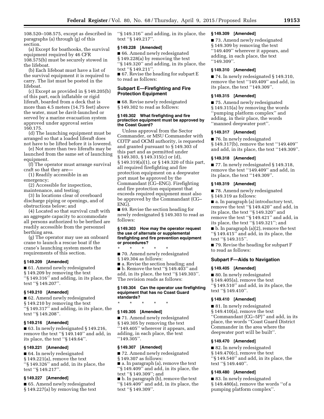108.520–108.575, except as described in paragraphs (a) through (g) of this section.

(a) Except for boathooks, the survival equipment required by 46 CFR 108.575(b) must be securely stowed in the lifeboat.

(b) Each lifeboat must have a list of the survival equipment it is required to carry. The list must be posted in the lifeboat.

(c) Except as provided in § 149.205(b) of this part, each inflatable or rigid liferaft, boarded from a deck that is more than 4.5 meters (14.75 feet) above the water, must be davit-launched or served by a marine evacuation system approved under approval series 160.175.

(d) The launching equipment must be arranged so that a loaded liferaft does not have to be lifted before it is lowered.

(e) Not more than two liferafts may be launched from the same set of launching equipment.

(f) The operator must arrange survival craft so that they are—

(1) Readily accessible in an emergency;

(2) Accessible for inspection, maintenance, and testing;

(3) In locations clear of overboard discharge piping or openings, and of obstructions below; and

(4) Located so that survival craft with an aggregate capacity to accommodate all persons authorized to be berthed are readily accessible from the personnel berthing area.

(g) The operator may use an onboard crane to launch a rescue boat if the crane's launching system meets the requirements of this section.

## **§ 149.209 [Amended]**

■ 61. Amend newly redesignated § 149.209 by removing the text ''§ 149.316'' and adding, in its place, the text ''§ 149.207''.

## **§ 149.210 [Amended]**

■ 62. Amend newly redesignated § 149.210 by removing the text ''§ 149.317'' and adding, in its place, the text ''§ 149.208''.

## **§ 149.216 [Amended]**

■ 63. In newly redesignated § 149.216, remove the text ''§ 149.140'' and add, in its place, the text ''§ 149.64''.

#### **§ 149.221 [Amended]**

■ 64. In newly redesignated § 149.221(a), remove the text ''§ 149.326'' and add, in its place, the text ''§ 149.217''.

## **§ 149.227 [Amended]**

■ 65. Amend newly redesignated § 149.227(a) by removing the text ''§ 149.316'' and adding, in its place, the text ''§ 149.217''.

## **§ 149.228 [Amended]**

■ 66. Amend newly redesignated § 149.228(a) by removing the text ''§ 149.320'' and adding, in its place, the text ''§ 149.211''. ■ 67. Revise the heading for subpart E

to read as follows:

## **Subpart E—Firefighting and Fire Protection Equipment**

■ 68. Revise newly redesignated § 149.302 to read as follows:

#### **§ 149.302 What firefighting and fire protection equipment must be approved by the Coast Guard?**

Unless approval from the Sector Commander, or MSU Commander with COTP and OCMI authority, is requested and granted pursuant to § 149.303 of this part and as permitted under § 149.303, § 149.315(c) or (d), § 149.319(a)(1), or § 149.320 of this part, all required firefighting and fire protection equipment on a deepwater port must be approved by the Commandant (CG–ENG). Firefighting and fire protection equipment that exceeds required equipment must also be approved by the Commandant (CG– ENG).

■ 69. Revise the section heading for newly redesignated § 149.303 to read as follows:

#### **§ 149.303 How may the operator request the use of alternate or supplemental firefighting and fire prevention equipment or procedures?**

\* \* \* \* \* ■ 70. Amend newly redesignated § 149.304 as follows:

■ a. Revise the section heading; and

■ b. Remove the text ''§ 149.403'' and add, in its place, the text ''§ 149.303''. The revision reads as follows:

#### **§ 149.304 Can the operator use firefighting equipment that has no Coast Guard standards?**

\* \* \* \* \*

## **§ 149.305 [Amended]**

■ 71. Amend newly redesignated § 149.305 by removing the text ''149.405'' wherever it appears, and adding, in each place, the text ''149.305''.

#### **§ 149.307 [Amended]**

■ 72. Amend newly redesignated § 149.307 as follows:

■ a. In paragraph (a), remove the text ''§ 149.409'' and add, in its place, the text ''§ 149.309''; and

■ b. In paragraph (b), remove the text ''§ 149.409'' and add, in its place, the text ''§ 149.309''.

#### **§ 149.309 [Amended]**

■ 73. Amend newly redesignated § 149.309 by removing the text "149.409" wherever it appears, and adding, in each place, the text ''149.309''.

#### **§ 149.310 [Amended]**

■ 74. In newly redesignated § 149.310, remove the text ''149.409'' and add, in its place, the text ''149.309''.

#### **§ 149.315 [Amended]**

■ 75. Amend newly redesignated § 149.315(a) by removing the words ''pumping platform complex'' and adding, in their place, the words ''manned deepwater port''.

#### **§ 149.317 [Amended]**

■ 76. In newly redesignated § 149.317(b), remove the text ''149.409'' and add, in its place, the text ''149.309''.

#### **§ 149.318 [Amended]**

■ 77. In newly redesignated § 149.318, remove the text ''149.409'' and add, in its place, the text ''149.309''.

#### **§ 149.319 [Amended]**

■ 78. Amend newly redesignated § 149.319 as follows:

■ a. In paragraph (a) introductory text, remove the text ''§ 149.420'' and add, in its place, the text ''§ 149.320'' and remove the text ''§ 149.421'' and add, in its place, the text ''§ 149.321''; and

 $\blacksquare$  b. In paragraph (a)(2), remove the text ''§ 149.415'' and add, in its place, the text ''§ 149.315''.

■ 79. Revise the heading for subpart F to read as follows:

#### **Subpart F—Aids to Navigation**

## **§ 149.405 [Amended]**

■ 80. In newly redesignated § 149.405(a), remove the text ''§ 149.510'' and add, in its place, the text ''§ 149.410''.

## **§ 149.410 [Amended]**

■ 81. In newly redesignated § 149.410(a), remove the text ''Commandant (CG–5P)'' and add, in its place, the words ''Coast Guard District Commander in the area where the deepwater port will be built''.

#### **§ 149.470 [Amended]**

■ 82. In newly redesignated § 149.470(c), remove the text ''§ 149.540'' and add, in its place, the text ''§ 149.440''.

#### **§ 149.480 [Amended]**

■ 83. In newly redesignated § 149.480(a), remove the words ''of a pumping platform complex''.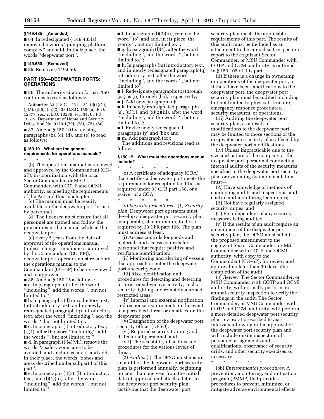#### **§ 149.485 [Amended]**

 $\blacksquare$  84. In redesignated § 149.485(a), remove the words ''pumping platform complex'' and add, in their place, the words ''deepwater port''.

#### **§ 149.650 [Removed]**

■ 85. Remove § 149.650.

## **PART 150—DEEPWATER PORTS: OPERATIONS**

■ 86. The authority citation for part 150 continues to read as follows:

**Authority:** 33 U.S.C. 1231, 1321(j)(1)(C), (j)(5), (j)(6), (m)(2); 33 U.S.C. 1509(a); E.O. 12777, sec. 2; E.O. 13286, sec. 34, 68 FR 10619; Department of Homeland Security Delegation No. 0170.1(70), (73), (75), (80).

■ 87. Amend § 150.10 by revising paragraphs (b), (c), (d), and (e) to read as follows:

## **§ 150.10 What are the general requirements for operations manuals?**

\* \* \* \* \* (b) The operations manual is reviewed and approved by the Commandant (CG– 5P), in coordination with the local Sector Commander, or MSU Commander, with COTP and OCMI authority, as meeting the requirements of the Act and this subchapter.

(c) The manual must be readily available on the deepwater port for use by personnel.

(d) The licensee must ensure that all personnel are trained and follow the procedures in the manual while at the deepwater port.

(e) Every 5 years from the date of approval of the operations manual (unless a longer timeframe is approved by the Commandant (CG–5P)), a deepwater port operator must re-submit the operations manual to the Commandant (CG–5P) to be re-reviewed and re-approved.

■ 88. Amend § 150.15 as follows:

■ a. In paragraph (c), after the word ''including'', add the words '', but not limited to,'';

■ b. In paragraphs (d) introductory text, (m) introductory text, and in newly redesignated paragraph (q) introductory text, after the word ''including'', add the words '', but not limited to'';

■ c. In paragraphs (i) introductory text, (i)(4), after the word ''including'', add the words ", but not limited to,"

■ d. In paragraph (i)(4)(vii), remove the words ''a safety zone, area to be avoided, and anchorage area'' and add, in their place, the words ''zones and areas described under subpart J of this part'';

 $\bullet$  e. In paragraphs (i)(7), (l) introductory text, and (l)(1)(iii), after the word ''including'', add the words '', but not limited to,'';

 $\blacksquare$  f. In paragraph (l)(2)(iii), remove the word ''to'' and add, in its place, the words ", but not limited to,"

■ g. In paragraph (l)(4), after the word ''including'', add the words '', but not limited to,'';

■ h. In paragraphs (m) introductory text, and in newly redesignated paragraph (q) introductory text, after the word ''including'', add the words '', but not limited to'';

■ i. Redesignate paragraphs (o) through (aa) as (p) through (bb), respectively;

■ j. Add new paragraph (o);

■ k. In newly redesignated paragraphs  $(s)$ ,  $(u)(3)$ , and  $(x)(2)(iii)$ , after the word ''including'', add the words '', but not limited to,'';

■ l. Revise newly redesignated

paragraphs (y) and (bb); and

 $\blacksquare$  m. Add paragraph (cc);

The additions and revisions read as follows:

#### **§ 150.15 What must the operations manual include?**

\* \* \* \* \* (o) A certificate of adequacy (COA) that certifies a deepwater port meets the requirements for reception facilities as required under 33 CFR part 158, or a waiver of a COA.

\* \* \* \* \* (y) *Security procedures*—(1) *Security plan.* Deepwater port operators must develop a deepwater port security plan comparable, at a minimum, to those required by 33 CFR part 106. The plan must address at least:

(i) Access controls for goods and materials and access controls for personnel that require positive and verifiable identification;

(ii) Monitoring and alerting of vessels that approach or enter the deepwater port's security zone;

(iii) Risk identification and procedures for detecting and deterring terrorist or subversive activity, such as security lighting and remotely-alarmed restricted areas;

(iv) Internal and external notification and response requirements in the event of a perceived threat or an attack on the deepwater port;

(v) Designation of the deepwater port security officer (DPSO);

(vi) Required security training and drills for all personnel; and

(vii) The scalability of actions and procedures for the various levels of threat.

(2) *Audits.* (i) The DPSO must ensure an audit of the deepwater port security plan is performed annually, beginning no later than one year from the initial date of approval and attach a letter to the deepwater port security plan certifying that the deepwater port

security plan meets the applicable requirements of this part. The results of this audit must be included as an attachment to the annual self-inspection report to the cognizant Sector Commander, or MSU Commander with COTP and OCMI authority as outlined in § 150.105 of this part.

(ii) If there is a change in ownership or operations of the deepwater port, or if there have been modifications to the deepwater port, the deepwater port security plan must be audited including but not limited to physical structure, emergency response procedures, security measures, or operations.

(iii) Auditing the deepwater port security plan, as a result of modifications to the deepwater port, may be limited to those sections of the deepwater port security plan affected by the deepwater port modifications.

(iv) Unless impracticable due to the size and nature of the company or the deepwater port, personnel conducting internal audits of the security measures specified in the deepwater port security plan or evaluating its implementation must—

(A) Have knowledge of methods of conducting audits and inspections, and control and monitoring techniques;

(B) Not have regularly assigned security duties; and

(C) Be independent of any security measures being audited.

(v) If the results of an audit require an amendment of the deepwater port security plan, the DPSO must submit the proposed amendment to the cognizant Sector Commander, or MSU Commander with COTP and OCMI authority, with copy to the Commandant (CG–5P), for review and approval no later than 30 days after completion of the audit.

(3) *Review.* The Sector Commander, or MSU Commander with COTP and OCMI authority, will normally perform an annual security inspection to verify the findings in the audit. The Sector Commander, or MSU Commander with COTP and OCMI authority, will perform a more detailed deepwater port security plan review at prescribed 5-year intervals following initial approval of the deepwater port security plan and will include onsite inspection of personnel assignments and qualifications, observance of security drills, and other security exercises as necessary.

\* \* \* \* \* (bb) *Environmental procedures.* A prevention, monitoring, and mitigation program (PMMP) that provides procedures to prevent, minimize, or mitigate adverse environmental effects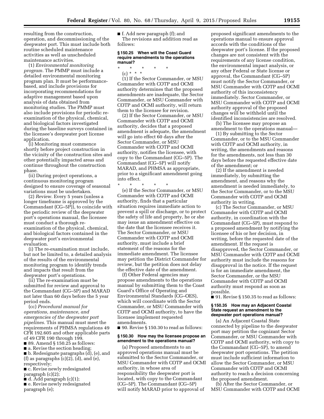resulting from the construction, operation, and decommissioning of the deepwater port. This must include both routine scheduled maintenance activities as well as unscheduled maintenance activities.

(1) *Environmental monitoring program.* The PMMP must include a detailed environmental monitoring program plan. It must be performancebased, and include provisions for incorporating recommendations for adaptive management based upon analysis of data obtained from monitoring studies. The PMMP must also include provisions for periodic reexamination of the physical, chemical, and biological factors investigated during the baseline surveys contained in the licensee's deepwater port license application.

(i) Monitoring must commence shortly before project construction in the vicinity of the construction sites and other potentially impacted areas and continue throughout the construction phase.

(ii) During project operations, a continuous monitoring program designed to ensure coverage of seasonal variations must be undertaken.

(2) *Review.* Every 5 years (unless a longer timeframe is approved by the Commandant (CG–5P)), to coincide with the periodic review of the deepwater port's operations manual, the licensee must conduct a thorough reexamination of the physical, chemical, and biological factors contained in the deepwater port's environmental evaluation.

(i) The re-examination must include, but not be limited to, a detailed analysis of the results of the environmental monitoring program to identify trends and impacts that result from the deepwater port's operations.

(ii) The re-examination must be submitted for review and approval to the Commandant (CG–5P) and MARAD not later than 60 days before the 5 year period ends.

(cc) *Procedural manual for operations, maintenance, and emergencies of the deepwater port pipelines.* This manual must meet the requirements of PHMSA regulations 49 CFR 192.605 and other applicable parts of 49 CFR 190 through 199.

■ 89. Amend § 150.25 as follows:

■ a. Revise the section heading

■ b. Redesignate paragraphs (d̆), (e), and (f) as paragraphs  $(c)(2)$ ,  $(d)$ , and  $(e)$ , respectively;

■ c. Revise newly redesignated paragraph (c)(2);

 $\blacksquare$  d. Add paragraph (c)(1);

■ e. Revise newly redesignated paragraph (e);

■ f. Add new paragraph (f); and The revisions and addition read as follows:

#### **§ 150.25 When will the Coast Guard require amendments to the operations manual?**

- \* \* \* \* \*
	- (c) \* \* \*

(1) If the Sector Commander, or MSU Commander with COTP and OCMI authority determines that the proposed amendments are inadequate, the Sector Commander, or MSU Commander with COTP and OCMI authority, will return them to the licensee for revision.

(2) If the Sector Commander, or MSU Commander with COTP and OCMI authority, decides that a proposed amendment is adequate, the amendment will go into effect 60 days after the Sector Commander, or MSU Commander with COTP and OCMI authority, notifies the licensee, with copy to the Commandant (CG–5P). The Commandant (CG–5P) will notify MARAD, and PHMSA as appropriate, prior to a significant amendment going into effect.

\* \* \* \* \*

(e) If the Sector Commander, or MSU Commander with COTP and OCMI authority, finds that a particular situation requires immediate action to prevent a spill or discharge, or to protect the safety of life and property, he or she may issue an amendment effective on the date that the licensee receives it. The Sector Commander, or MSU Commander with COTP and OCMI authority, must include a brief statement of the reasons for the immediate amendment. The licensee may petition the District Commander for review, but the petition does not delay the effective date of the amendment.

(f) Other Federal agencies may propose amendments to the operations manual by submitting them to the Coast Guard's Office of Operating and Environmental Standards (CG–OES), which will coordinate with the Sector Commander, or MSU Commander with COTP and OCMI authority, to have the licensee implement requested amendments.

■ 90. Revise § 150.30 to read as follows:

#### **§ 150.30 How may the licensee propose an amendment to the operations manual?**

(a) Proposed amendments to an approved operations manual must be submitted to the Sector Commander, or MSU Commander with COTP and OCMI authority, in whose area of responsibility the deepwater port is located, with copy to the Commandant (CG–5P). The Commandant (CG–5P) will notify MARAD prior to approval of

proposed significant amendments to the operations manual to ensure approval accords with the conditions of the deepwater port's license. If the proposed changes are not consistent with the requirements of any license condition, the environmental impact analysis, or any other Federal or State license or approval, the Commandant (CG–5P) must notify the Sector Commander, or MSU Commander with COTP and OCMI authority of this inconsistency immediately. Sector Commander, or MSU Commander with COTP and OCMI authority approval of the proposed changes will be withheld until the identified inconsistencies are resolved.

(b) The licensee may propose an amendment to the operations manual—

(1) By submitting to the Sector Commander, or to the MSU Commander with COTP and OCMI authority, in writing, the amendments and reasons for the amendments, not less than 30 days before the requested effective date of the amendment; or

(2) If the amendment is needed immediately, by submitting the amendment, and reasons why the amendment is needed immediately, to the Sector Commander, or to the MSU Commander with COTP and OCMI authority in writing.

(c) The Sector Commander, or MSU Commander with COTP and OCMI authority, in coordination with the Commandant (CG–5P), must respond to a proposed amendment by notifying the licensee of his or her decision, in writing, before the requested date of the amendment. If the request is disapproved, the Sector Commander, or MSU Commander with COTP and OCMI authority must include the reasons for disapproval in the notice. If the request is for an immediate amendment, the Sector Commander, or the MSU Commander with COTP and OCMI authority must respond as soon as possible.

■ 91. Revise § 150.35 to read as follows:

#### **§ 150.35 How may an Adjacent Coastal State request an amendment to the deepwater port operations manual?**

(a) An Adjacent Coastal State connected by pipeline to the deepwater port may petition the cognizant Sector Commander, or MSU Commander with COTP and OCMI authority, with copy to the Commandant (CG–5P), to amend deepwater port operations. The petition must include sufficient information to allow the Sector Commander, or MSU Commander with COTP and OCMI authority to reach a decision concerning the proposed amendment.

(b) After the Sector Commander, or MSU Commander with COTP and OCMI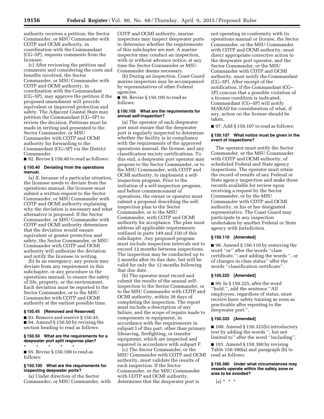authority receives a petition, the Sector Commander, or MSU Commander with COTP and OCMI authority, in coordination with the Commandant (CG–5P), requests comments from the licensee.

(c) After reviewing the petition and comments and considering the costs and benefits involved, the Sector Commander, or MSU Commander with COTP and OCMI authority, in coordination with the Commandant (CG–5P), may approve the petition if the proposed amendment will provide equivalent or improved protection and safety. The Adjacent Coastal State may petition the Commandant (CG–5P) to review the decision. Petitions must be made in writing and presented to the Sector Commander, or MSU Commander with COTP and OCMI authority for forwarding to the Commandant (CG–5P) via the District Commander.

■ 92. Revise § 150.40 to read as follows:

#### **§ 150.40 Deviating from the operations manual.**

(a) If, because of a particular situation, the licensee needs to deviate from the operations manual, the licensee must submit a written request to the Sector Commander, or MSU Commander with COTP and OCMI authority explaining why the deviation is necessary and what alternative is proposed. If the Sector Commander, or MSU Commander with COTP and OCMI authority determines that the deviation would ensure equivalent or greater protection and safety, the Sector Commander, or MSU Commander with COTP and OCMI authority will authorize the deviation and notify the licensee in writing.

(b) In an emergency, any person may deviate from any requirement in this subchapter, or any procedure in the operations manual, to ensure the safety of life, property, or the environment. Each deviation must be reported to the Sector Commander, or to the MSU Commander with COTP and OCMI authority at the earliest possible time.

#### **§ 150.45 [Removed and Reserved]**

■ 93. Remove and reserve § 150.45. ■ 94. Amend § 150.50 by revising the section heading to read as follows:

## **§ 150.50 What are the requirements for a deepwater port spill response plan?**

\* \* \* \* \* ■ 95. Revise § 150.100 to read as follows:

## **§ 150.100 What are the requirements for inspecting deepwater ports?**

(a) Under direction of the Sector Commander, or MSU Commander, with COTP and OCMI authority, marine inspectors may inspect deepwater ports to determine whether the requirements of this subchapter are met. A marine inspector may conduct an inspection, with or without advance notice, at any time the Sector Commander or MSU Commander deems necessary.

(b) During an inspection, Coast Guard marine inspectors may be accompanied by representatives of other Federal agencies.

■ 96. Revise § 150.105 to read as follows:

#### **§ 150.105 What are the requirements for annual self-inspection?**

(a) The operator of each deepwater port must ensure that the deepwater port is regularly inspected to determine whether the facility is in compliance with the requirements of the approved operations manual, the license, and any classification society certifications. To this end, a deepwater port operator may propose to the Sector Commander, or to the MSU Commander, with COTP and OCMI authority, to implement a selfinspection program. Prior to the initiation of a self-inspection program, and before commencement of operations, the owner or operator must submit a proposal describing the selfinspection plan to the Sector Commander, or to the MSU Commander, with COTP and OCMI authority for acceptance. The plan must address all applicable requirements outlined in parts 149 and 150 of this subchapter. Any proposed program must include inspection intervals not to exceed 12 months between inspections. The inspection may be conducted up to 2 months after its due date, but will be valid for only the 12 months following that due date.

(b) The operator must record and submit the results of the annual selfinspection to the Sector Commander, or to the MSU Commander with COTP and OCMI authority, within 30 days of completing the inspection. The report must include a description of any failure, and the scope of repairs made to components or equipment, in accordance with the requirements in subpart I of this part, other than primary lifesaving, firefighting, or transfer equipment, which are inspected and repaired in accordance with subpart F.

(c) The Sector Commander, or the MSU Commander with COTP and OCMI authority, must validate the results of each inspection. If the Sector Commander, or the MSU Commander with COTP and OCMI authority, determines that the deepwater port is

not operating in conformity with its operations manual or license, the Sector Commander, or the MSU Commander with COTP and OCMI authority, must direct appropriate corrective action to the deepwater port operator, and the Sector Commander, or the MSU Commander with COTP and OCMI authority, must notify the Commandant (CG–5P). After receipt of the notification, if the Commandant (CG– 5P) concurs that a possible violation of a license condition is indicated, Commandant (CG–5P) will notify MARAD for consideration of what, if any, action on the license should be taken.

■ 97. Add § 150.107 to read as follows:

#### **§ 150.107 What notice must be given in the event of inspections?**

The operator must notify the Sector Commander, or the MSU Commander with COTP and OCMI authority, of scheduled Federal and State agency inspections. The operator must retain the record of results of any Federal or State agency inspection and make those records available for review upon receiving a request by the Sector Commander, or by the MSU Commander with COTP and OCMI authority, or his or her designated representative. The Coast Guard may participate in any inspection undertaken by another Federal or State agency with jurisdiction.

## **§ 150.110 [Amended]**

■ 98. Amend § 150.110 by removing the word ''or'' after the words ''class certificate,''; and adding the words '', or of changes in class status'' after the words ''classification certificate''.

## **§ 150.225 [Amended]**

■ 99. In § 150.225, after the word ''hold.'', add the sentence ''All employees, regardless of status, must receive basic safety training as soon as practicable after reporting to the deepwater port.''.

#### **§ 150.325 [Amended]**

■ 100. Amend § 150.325(b) introductory text by adding the words '', but not limited to'' after the word ''including''.

 $\blacksquare$  101. Amend § 150.380 by revising Table 150.380(a) and paragraph (b) to read as follows:

#### **§ 150.380 Under what circumstances may vessels operate within the safety zone or area to be avoided?**

 $(a) * * * *$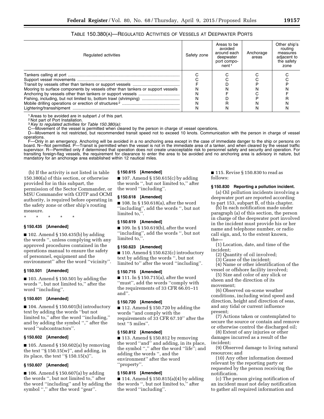| TABLE 150.380(A)—REGULATED ACTIVITIES OF VESSELS AT DEEPWATER PORTS |  |  |  |  |
|---------------------------------------------------------------------|--|--|--|--|
|---------------------------------------------------------------------|--|--|--|--|

| Regulated activities                                                                                                                               | Safety zone | Areas to be<br>avoided<br>around each<br>deepwater<br>port compo-<br>nent <sup>1</sup> | Anchorage<br>areas | Other ship's<br>routing<br>measures<br>adjacent to<br>the safety<br>zone |
|----------------------------------------------------------------------------------------------------------------------------------------------------|-------------|----------------------------------------------------------------------------------------|--------------------|--------------------------------------------------------------------------|
| Mooring to surface components by vessels other than tankers or support vessels<br>Fishing, including, but not limited to, bottom trawl (shrimping) |             |                                                                                        |                    |                                                                          |
|                                                                                                                                                    |             |                                                                                        |                    |                                                                          |

1Areas to be avoided are in subpart J of this part.

2 Not part of Port Installation.

3*Key to regulated activities for Table 150.380(a):* 

-Movement of the vessel is permitted when cleared by the person in charge of vessel operations.

D—Movement is not restricted, but recommended transit speed not to exceed 10 knots. Communication with the person in charge of vessel operations.

F—Only in an emergency. Anchoring will be avoided in a no anchoring area except in the case of immediate danger to the ship or persons on board. N—Not permitted. P—Transit is permitted when the vessel is not in the immediate area of a tanker, and when cleared by the vessel traffic supervisor. R—Permitted only if determined that operation does not create unacceptable risk to personnel safety and security and operation. For transiting foreign-flag vessels, the requirement for clearance to enter the area to be avoided and no anchoring area is advisory in nature, but mandatory for an anchorage area established within 12 nautical miles.

(b) If the activity is not listed in table 150.380(a) of this section, or otherwise provided for in this subpart, the permission of the Sector Commander, or MSU Commander with COTP and OCMI authority, is required before operating in the safety zone or other ship's routing measure.

\* \* \* \* \*

#### **§ 150.435 [Amended]**

 $\blacksquare$  102. Amend § 150.435(b) by adding the words '', unless complying with any approved procedures contained in the operations manual to ensure the safety of personnel, equipment and the environment'' after the word ''vicinity''.

## **§ 150.501 [Amended]**

 $\blacksquare$  103. Amend § 150.501 by adding the words '', but not limited to,'' after the word ''including''.

#### **§ 150.601 [Amended]**

■ 104. Amend § 150.601(b) introductory text by adding the words ''but not limited to,'' after the word ''including,'' and by adding the symbol '','' after the word ''subcontractors''.

#### **§ 150.602 [Amended]**

 $\blacksquare$  105. Amend § 150.602(a) by removing the text " $\S$  150.15(w)", and adding, in its place, the text " $\S$  150.15(x)".

#### **§ 150.607 [Amended]**

 $\blacksquare$  106. Amend § 150.607(a) by adding the words '', but not limited to,'' after the word ''including'' and by adding the symbol "," after the word "gear".

#### **§ 150.615 [Amended]**

■ 107. Amend § 150.615(c) by adding the words '', but not limited to,'' after the word ''including''.

## **§ 150.618 [Amended]**

■ 108. In § 150.618(a), after the word ''including'', add the words '', but not limited to,''.

#### **§ 150.619 [Amended]**

■ 109. In § 150.619(b), after the word ''including'', add the words '', but not limited to,''.

#### **§ 150.623 [Amended]**

■ 110. Amend § 150.623(c) introductory text by adding the words '', but not limited to'' after the word ''including''.

#### **§ 150.715 [Amended]**

■ 111. In § 150.715(a), after the word ''must'', add the words ''comply with the requirements of 33 CFR 66.01–11 and''.

#### **§ 150.720 [Amended]**

■ 112. Amend § 150.720 by adding the words ''and comply with the requirements of 33 CFR 67.10'' after the text ''5 miles''.

#### **§ 150.812 [Amended]**

 $\blacksquare$  113. Amend § 150.812 by removing the word ''and'' and adding, in its place, the symbol "," after the word "life"; and adding the words '', and the environment'' after the word ''property''.

#### **§ 150.815 [Amended]**

■ 114. Amend § 150.815(a)(4) by adding the words '', but not limited to,'' after the word ''including''.

■ 115. Revise § 150.830 to read as follows:

#### **§ 150.830 Reporting a pollution incident.**

(a) Oil pollution incidents involving a deepwater port are reported according to part 153, subpart B, of this chapter.

(b) In each notification made under paragraph (a) of this section, the person in charge of the deepwater port involved in the incident must provide his or her name and telephone number, or radio call sign, and, to the extent known, the—

(1) Location, date, and time of the incident;

- (2) Quantity of oil involved;
- (3) Cause of the incident;

(4) Name or other identification of the vessel or offshore facility involved;

(5) Size and color of any slick or sheen and the direction of its movement;

(6) Observed on-scene weather conditions, including wind speed and direction, height and direction of seas, and any tidal or current influence present;

(7) Actions taken or contemplated to secure the source or contain and remove or otherwise control the discharged oil;

(8) Extent of any injuries or other damages incurred as a result of the incident;

(9) Observed damage to living natural resources; and

(10) Any other information deemed relevant by the reporting party or requested by the person receiving the notification.

(c) The person giving notification of an incident must not delay notification to gather all required information and